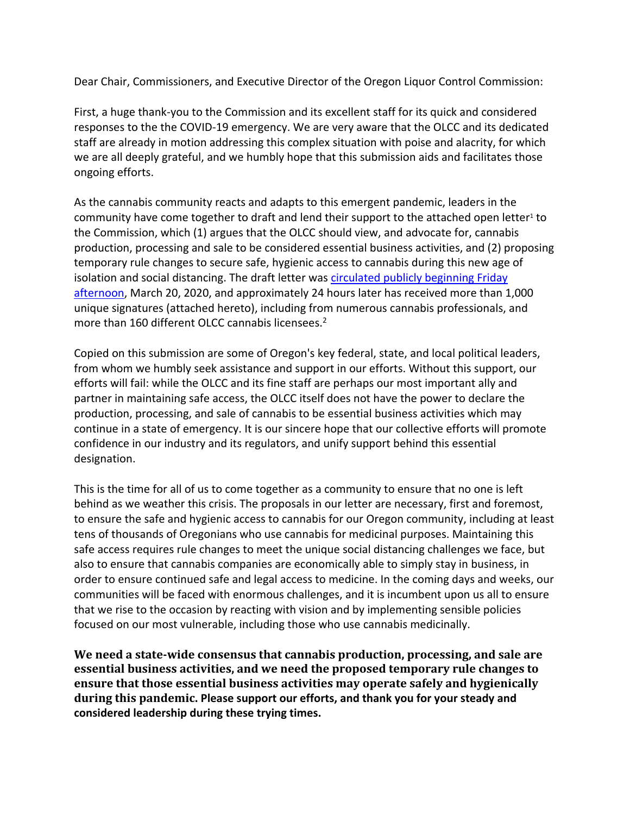Dear Chair, Commissioners, and Executive Director of the Oregon Liquor Control Commission:

First, a huge thank-you to the Commission and its excellent staff for its quick and considered responses to the the COVID-19 emergency. We are very aware that the OLCC and its dedicated staff are already in motion addressing this complex situation with poise and alacrity, for which we are all deeply grateful, and we humbly hope that this submission aids and facilitates those ongoing efforts.

As the cannabis community reacts and adapts to this emergent pandemic, leaders in the community have come together to draft and lend their support to the attached open letter<sup>1</sup> to the Commission, which (1) argues that the OLCC should view, and advocate for, cannabis production, processing and sale to be considered essential business activities, and (2) proposing temporary rule changes to secure safe, hygienic access to cannabis during this new age of isolation and social distancing. The draft letter was [circulated publicly beginning Friday](https://www.ipetitions.com/petition/proposed-temporary-rule-changes-to-increase-health)  [afternoon,](https://www.ipetitions.com/petition/proposed-temporary-rule-changes-to-increase-health) March 20, 2020, and approximately 24 hours later has received more than 1,000 unique signatures (attached hereto), including from numerous cannabis professionals, and more than 160 different OLCC cannabis licensees.<sup>2</sup>

Copied on this submission are some of Oregon's key federal, state, and local political leaders, from whom we humbly seek assistance and support in our efforts. Without this support, our efforts will fail: while the OLCC and its fine staff are perhaps our most important ally and partner in maintaining safe access, the OLCC itself does not have the power to declare the production, processing, and sale of cannabis to be essential business activities which may continue in a state of emergency. It is our sincere hope that our collective efforts will promote confidence in our industry and its regulators, and unify support behind this essential designation.

This is the time for all of us to come together as a community to ensure that no one is left behind as we weather this crisis. The proposals in our letter are necessary, first and foremost, to ensure the safe and hygienic access to cannabis for our Oregon community, including at least tens of thousands of Oregonians who use cannabis for medicinal purposes. Maintaining this safe access requires rule changes to meet the unique social distancing challenges we face, but also to ensure that cannabis companies are economically able to simply stay in business, in order to ensure continued safe and legal access to medicine. In the coming days and weeks, our communities will be faced with enormous challenges, and it is incumbent upon us all to ensure that we rise to the occasion by reacting with vision and by implementing sensible policies focused on our most vulnerable, including those who use cannabis medicinally.

**We need a state-wide consensus that cannabis production, processing, and sale are essential business activities, and we need the proposed temporary rule changes to ensure that those essential business activities may operate safely and hygienically during this pandemic. Please support our efforts, and thank you for your steady and considered leadership during these trying times.**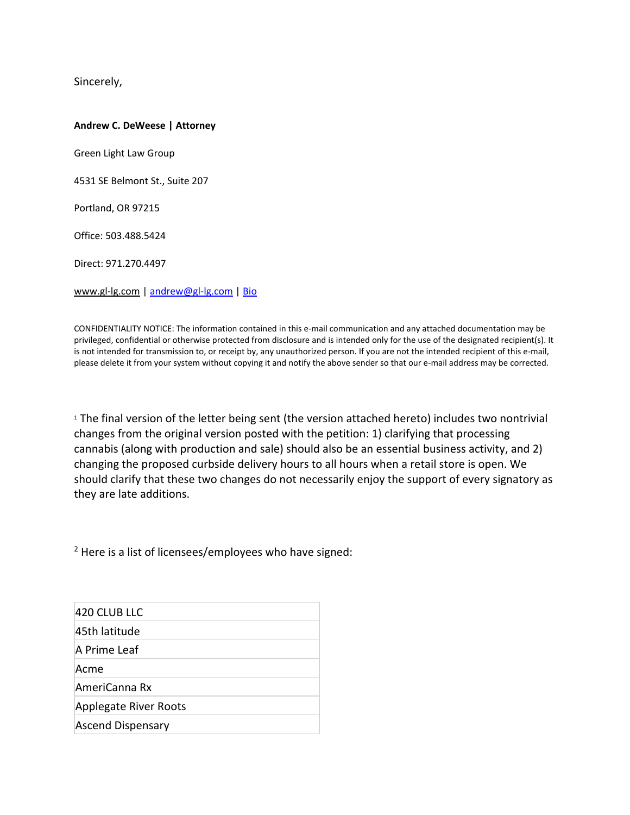Sincerely,

#### **Andrew C. DeWeese | Attorney**

Green Light Law Group

4531 SE Belmont St., Suite 207

Portland, OR 97215

Office: 503.488.5424

Direct: 971.270.4497

[www.gl-lg.com](http://www.gl-lg.com/) [| andrew@gl-lg.com](mailto:andrew@gl-lg.com) | [Bio](http://portlandmarijuanaattorneys.com/andrew-deweese/)

CONFIDENTIALITY NOTICE: The information contained in this e-mail communication and any attached documentation may be privileged, confidential or otherwise protected from disclosure and is intended only for the use of the designated recipient(s). It is not intended for transmission to, or receipt by, any unauthorized person. If you are not the intended recipient of this e-mail, please delete it from your system without copying it and notify the above sender so that our e-mail address may be corrected.

<sup>1</sup> The final version of the letter being sent (the version attached hereto) includes two nontrivial changes from the original version posted with the petition: 1) clarifying that processing cannabis (along with production and sale) should also be an essential business activity, and 2) changing the proposed curbside delivery hours to all hours when a retail store is open. We should clarify that these two changes do not necessarily enjoy the support of every signatory as they are late additions.

<sup>2</sup> Here is a list of licensees/employees who have signed:

| 420 CLUB LLC             |  |
|--------------------------|--|
| 45th latitude            |  |
| A Prime Leaf             |  |
| Acme                     |  |
| AmeriCanna Rx            |  |
| Applegate River Roots    |  |
| <b>Ascend Dispensary</b> |  |
|                          |  |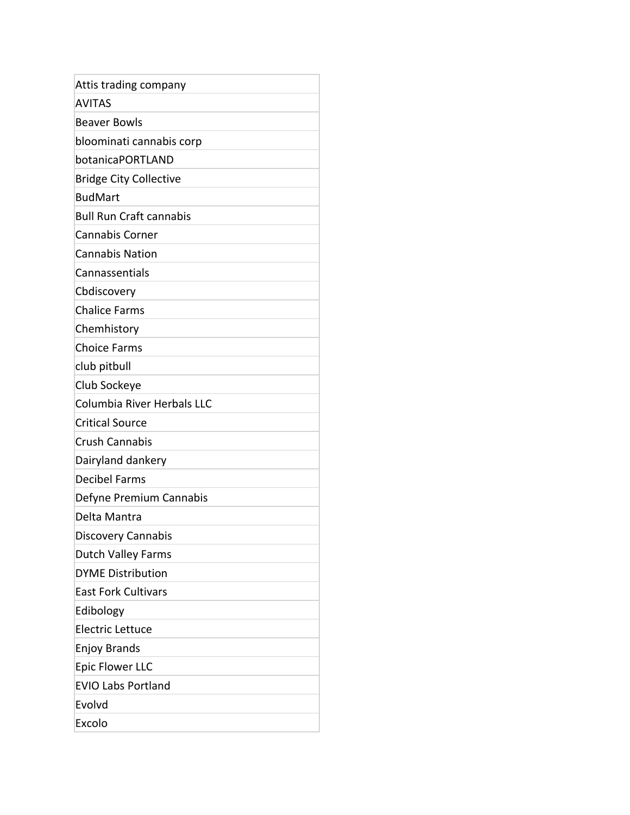| Attis trading company             |
|-----------------------------------|
| <b>AVITAS</b>                     |
| <b>Beaver Bowls</b>               |
| bloominati cannabis corp          |
| botanicaPORTLAND                  |
| <b>Bridge City Collective</b>     |
| <b>BudMart</b>                    |
| <b>Bull Run Craft cannabis</b>    |
| <b>Cannabis Corner</b>            |
| <b>Cannabis Nation</b>            |
| Cannassentials                    |
| Cbdiscovery                       |
| <b>Chalice Farms</b>              |
| Chemhistory                       |
| <b>Choice Farms</b>               |
| club pitbull                      |
| Club Sockeye                      |
| <b>Columbia River Herbals LLC</b> |
| <b>Critical Source</b>            |
| <b>Crush Cannabis</b>             |
| Dairyland dankery                 |
| <b>Decibel Farms</b>              |
| Defyne Premium Cannabis           |
| Delta Mantra                      |
| Discovery Cannabis                |
| <b>Dutch Valley Farms</b>         |
| <b>DYME Distribution</b>          |
| <b>East Fork Cultivars</b>        |
| Edibology                         |
| <b>Electric Lettuce</b>           |
| <b>Enjoy Brands</b>               |
| <b>Epic Flower LLC</b>            |
| <b>EVIO Labs Portland</b>         |
| Evolvd                            |
| Excolo                            |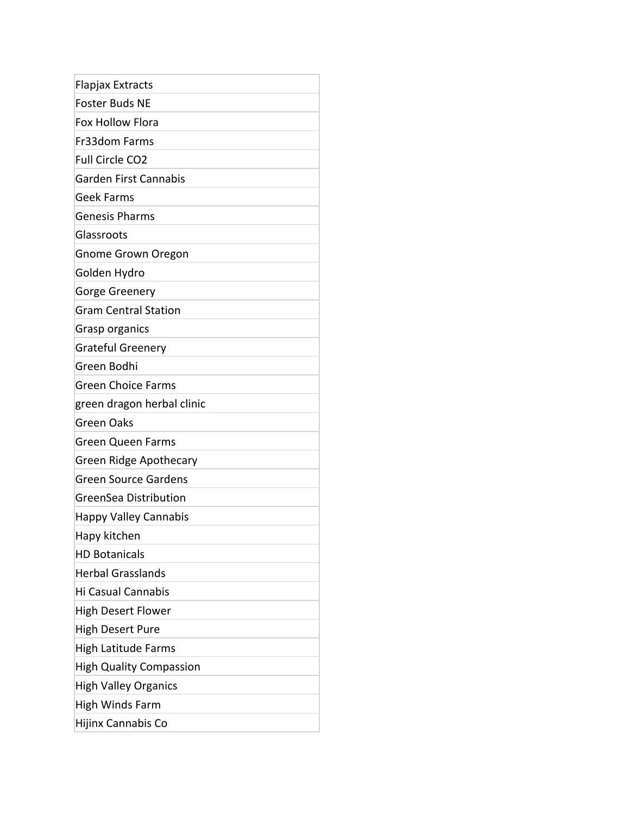| Flapjax Extracts               |
|--------------------------------|
| <b>Foster Buds NE</b>          |
| <b>Fox Hollow Flora</b>        |
| Fr33dom Farms                  |
| Full Circle CO2                |
| Garden First Cannabis          |
| <b>Geek Farms</b>              |
| <b>Genesis Pharms</b>          |
| Glassroots                     |
| <b>Gnome Grown Oregon</b>      |
| Golden Hydro                   |
| Gorge Greenery                 |
| <b>Gram Central Station</b>    |
| Grasp organics                 |
| <b>Grateful Greenery</b>       |
| Green Bodhi                    |
| <b>Green Choice Farms</b>      |
| green dragon herbal clinic     |
| <b>Green Oaks</b>              |
| <b>Green Queen Farms</b>       |
| <b>Green Ridge Apothecary</b>  |
| <b>Green Source Gardens</b>    |
| GreenSea Distribution          |
| <b>Happy Valley Cannabis</b>   |
| Hapy kitchen                   |
| <b>HD Botanicals</b>           |
| <b>Herbal Grasslands</b>       |
| <b>Hi Casual Cannabis</b>      |
| <b>High Desert Flower</b>      |
| <b>High Desert Pure</b>        |
| <b>High Latitude Farms</b>     |
| <b>High Quality Compassion</b> |
| <b>High Valley Organics</b>    |
| High Winds Farm                |
| Hijinx Cannabis Co             |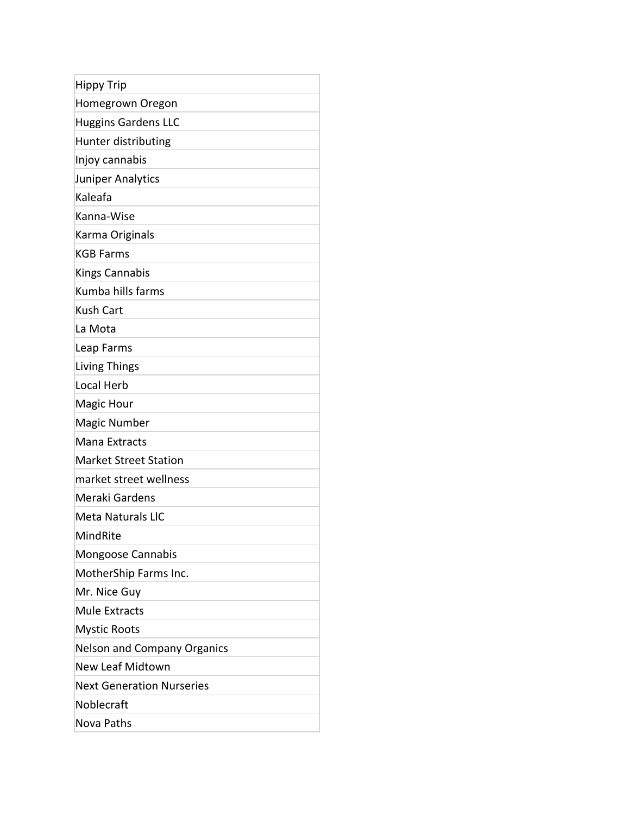| <b>Hippy Trip</b>                  |
|------------------------------------|
| Homegrown Oregon                   |
| <b>Huggins Gardens LLC</b>         |
| Hunter distributing                |
| Injoy cannabis                     |
| Juniper Analytics                  |
| Kaleafa                            |
| Kanna-Wise                         |
| Karma Originals                    |
| <b>KGB Farms</b>                   |
| <b>Kings Cannabis</b>              |
| Kumba hills farms                  |
| <b>Kush Cart</b>                   |
| La Mota                            |
| Leap Farms                         |
| <b>Living Things</b>               |
| Local Herb                         |
| Magic Hour                         |
| <b>Magic Number</b>                |
| Mana Extracts                      |
| <b>Market Street Station</b>       |
| market street wellness             |
| Meraki Gardens                     |
| <b>Meta Naturals LIC</b>           |
| MindRite                           |
| Mongoose Cannabis                  |
| MotherShip Farms Inc.              |
| Mr. Nice Guy                       |
| <b>Mule Extracts</b>               |
| <b>Mystic Roots</b>                |
| <b>Nelson and Company Organics</b> |
| <b>New Leaf Midtown</b>            |
| <b>Next Generation Nurseries</b>   |
| Noblecraft                         |
| Nova Paths                         |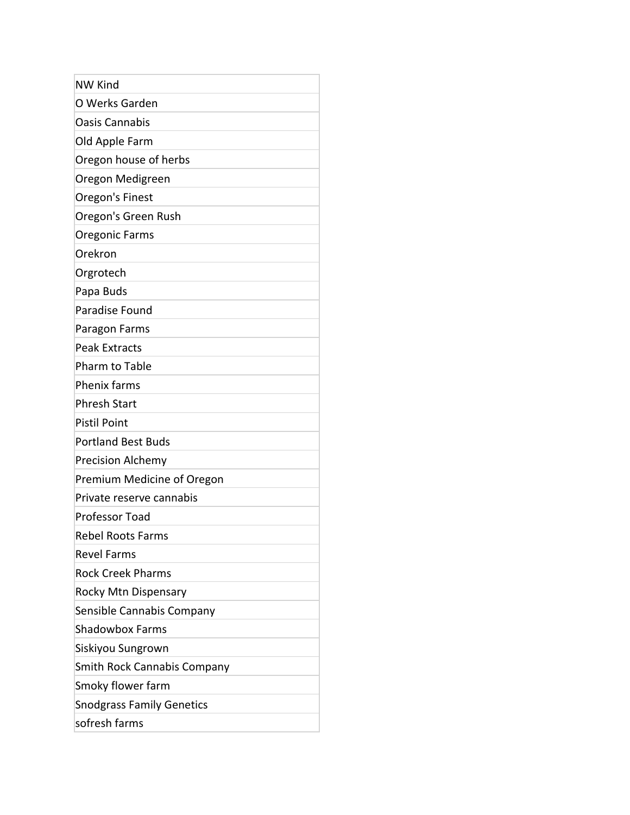| <b>NW Kind</b>                   |
|----------------------------------|
| O Werks Garden                   |
| <b>Oasis Cannabis</b>            |
| Old Apple Farm                   |
| Oregon house of herbs            |
| Oregon Medigreen                 |
| Oregon's Finest                  |
| Oregon's Green Rush              |
| Oregonic Farms                   |
| Orekron                          |
| Orgrotech                        |
| Papa Buds                        |
| Paradise Found                   |
| Paragon Farms                    |
| <b>Peak Extracts</b>             |
| Pharm to Table                   |
| <b>Phenix farms</b>              |
| <b>Phresh Start</b>              |
| <b>Pistil Point</b>              |
| <b>Portland Best Buds</b>        |
| <b>Precision Alchemy</b>         |
| Premium Medicine of Oregon       |
| Private reserve cannabis         |
| <b>Professor Toad</b>            |
| <b>Rebel Roots Farms</b>         |
| <b>Revel Farms</b>               |
| <b>Rock Creek Pharms</b>         |
| Rocky Mtn Dispensary             |
| Sensible Cannabis Company        |
| <b>Shadowbox Farms</b>           |
| Siskiyou Sungrown                |
| Smith Rock Cannabis Company      |
| Smoky flower farm                |
| <b>Snodgrass Family Genetics</b> |
| sofresh farms                    |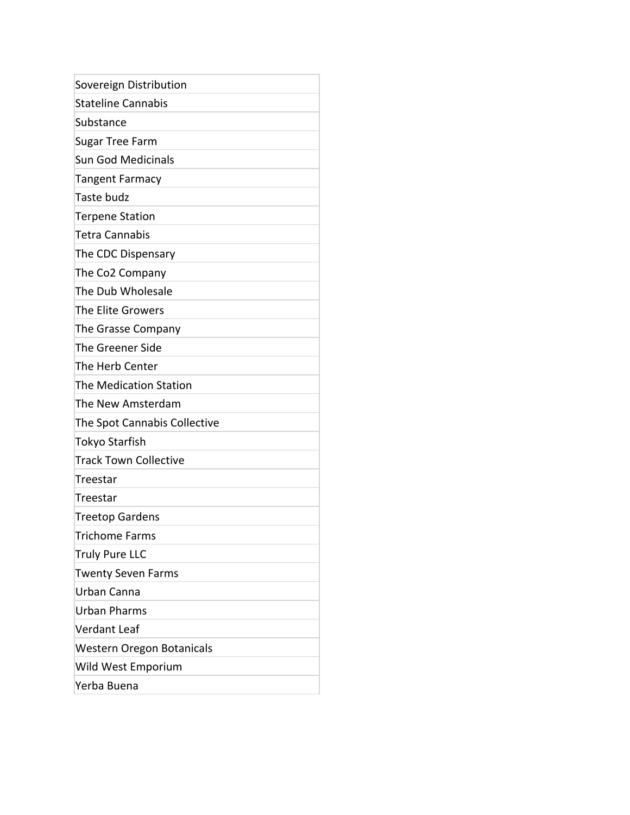| Sovereign Distribution       |  |
|------------------------------|--|
| <b>Stateline Cannabis</b>    |  |
| Substance                    |  |
| Sugar Tree Farm              |  |
| <b>Sun God Medicinals</b>    |  |
| <b>Tangent Farmacy</b>       |  |
| Taste budz                   |  |
| <b>Terpene Station</b>       |  |
| Tetra Cannabis               |  |
| The CDC Dispensary           |  |
| The Co2 Company              |  |
| The Dub Wholesale            |  |
| The Elite Growers            |  |
| The Grasse Company           |  |
| <b>The Greener Side</b>      |  |
| The Herb Center              |  |
| The Medication Station       |  |
| The New Amsterdam            |  |
| The Spot Cannabis Collective |  |
| Tokyo Starfish               |  |
| <b>Track Town Collective</b> |  |
| Treestar                     |  |
| Treestar                     |  |
| <b>Treetop Gardens</b>       |  |
| <b>Trichome Farms</b>        |  |
| <b>Truly Pure LLC</b>        |  |
| <b>Twenty Seven Farms</b>    |  |
| Urban Canna                  |  |
| <b>Urban Pharms</b>          |  |
| <b>Verdant Leaf</b>          |  |
| Western Oregon Botanicals    |  |
| Wild West Emporium           |  |
| Yerba Buena                  |  |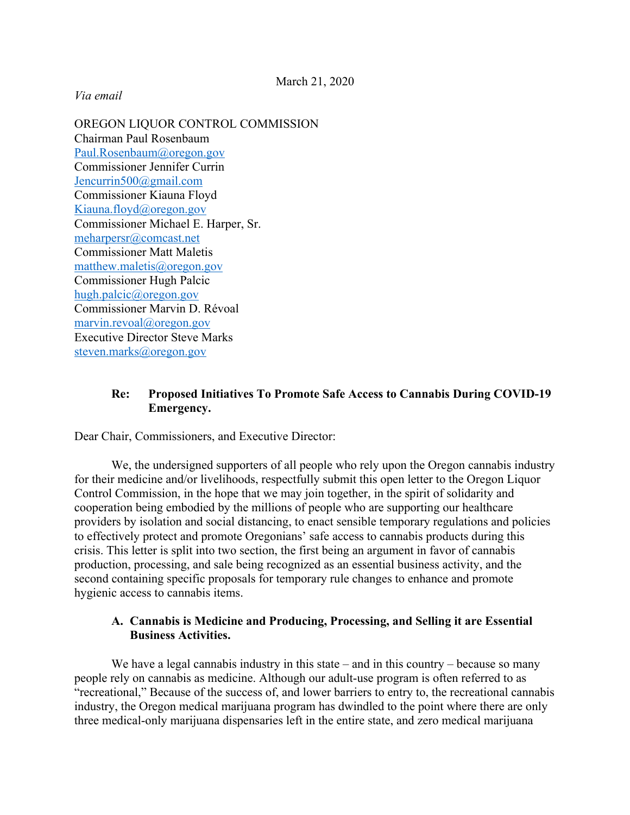#### *Via email*

OREGON LIQUOR CONTROL COMMISSION Chairman Paul Rosenbaum Paul.Rosenbaum@oregon.gov Commissioner Jennifer Currin Jencurrin500@gmail.com Commissioner Kiauna Floyd Kiauna.floyd@oregon.gov Commissioner Michael E. Harper, Sr. meharpersr@comcast.net Commissioner Matt Maletis matthew.maletis@oregon.gov Commissioner Hugh Palcic hugh.palcic@oregon.gov Commissioner Marvin D. Révoal marvin.revoal@oregon.gov Executive Director Steve Marks steven.marks@oregon.gov

#### **Re: Proposed Initiatives To Promote Safe Access to Cannabis During COVID-19 Emergency.**

Dear Chair, Commissioners, and Executive Director:

We, the undersigned supporters of all people who rely upon the Oregon cannabis industry for their medicine and/or livelihoods, respectfully submit this open letter to the Oregon Liquor Control Commission, in the hope that we may join together, in the spirit of solidarity and cooperation being embodied by the millions of people who are supporting our healthcare providers by isolation and social distancing, to enact sensible temporary regulations and policies to effectively protect and promote Oregonians' safe access to cannabis products during this crisis. This letter is split into two section, the first being an argument in favor of cannabis production, processing, and sale being recognized as an essential business activity, and the second containing specific proposals for temporary rule changes to enhance and promote hygienic access to cannabis items.

#### **A. Cannabis is Medicine and Producing, Processing, and Selling it are Essential Business Activities.**

We have a legal cannabis industry in this state – and in this country – because so many people rely on cannabis as medicine. Although our adult-use program is often referred to as "recreational," Because of the success of, and lower barriers to entry to, the recreational cannabis industry, the Oregon medical marijuana program has dwindled to the point where there are only three medical-only marijuana dispensaries left in the entire state, and zero medical marijuana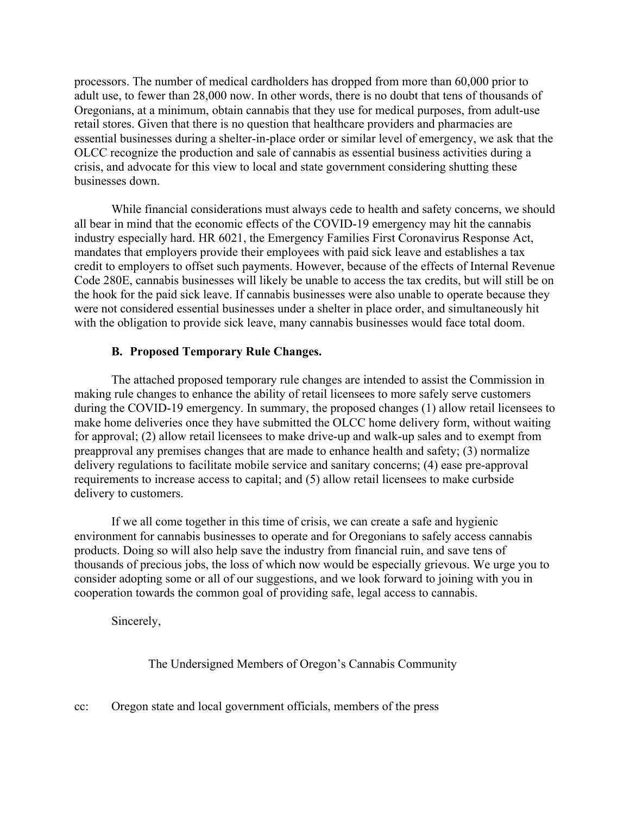processors. The number of medical cardholders has dropped from more than 60,000 prior to adult use, to fewer than 28,000 now. In other words, there is no doubt that tens of thousands of Oregonians, at a minimum, obtain cannabis that they use for medical purposes, from adult-use retail stores. Given that there is no question that healthcare providers and pharmacies are essential businesses during a shelter-in-place order or similar level of emergency, we ask that the OLCC recognize the production and sale of cannabis as essential business activities during a crisis, and advocate for this view to local and state government considering shutting these businesses down.

While financial considerations must always cede to health and safety concerns, we should all bear in mind that the economic effects of the COVID-19 emergency may hit the cannabis industry especially hard. HR 6021, the Emergency Families First Coronavirus Response Act, mandates that employers provide their employees with paid sick leave and establishes a tax credit to employers to offset such payments. However, because of the effects of Internal Revenue Code 280E, cannabis businesses will likely be unable to access the tax credits, but will still be on the hook for the paid sick leave. If cannabis businesses were also unable to operate because they were not considered essential businesses under a shelter in place order, and simultaneously hit with the obligation to provide sick leave, many cannabis businesses would face total doom.

#### **B. Proposed Temporary Rule Changes.**

The attached proposed temporary rule changes are intended to assist the Commission in making rule changes to enhance the ability of retail licensees to more safely serve customers during the COVID-19 emergency. In summary, the proposed changes (1) allow retail licensees to make home deliveries once they have submitted the OLCC home delivery form, without waiting for approval; (2) allow retail licensees to make drive-up and walk-up sales and to exempt from preapproval any premises changes that are made to enhance health and safety; (3) normalize delivery regulations to facilitate mobile service and sanitary concerns; (4) ease pre-approval requirements to increase access to capital; and (5) allow retail licensees to make curbside delivery to customers.

If we all come together in this time of crisis, we can create a safe and hygienic environment for cannabis businesses to operate and for Oregonians to safely access cannabis products. Doing so will also help save the industry from financial ruin, and save tens of thousands of precious jobs, the loss of which now would be especially grievous. We urge you to consider adopting some or all of our suggestions, and we look forward to joining with you in cooperation towards the common goal of providing safe, legal access to cannabis.

Sincerely,

The Undersigned Members of Oregon's Cannabis Community

cc: Oregon state and local government officials, members of the press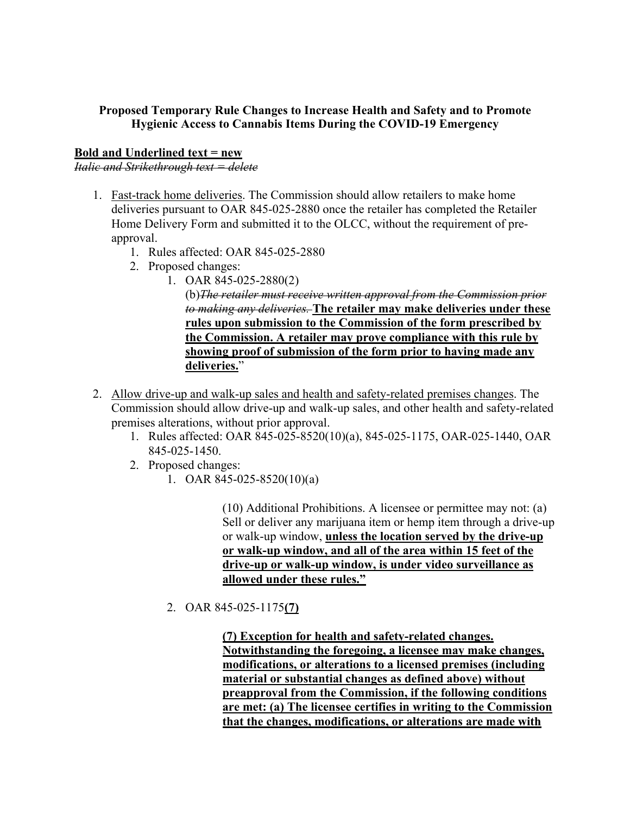#### **Proposed Temporary Rule Changes to Increase Health and Safety and to Promote Hygienic Access to Cannabis Items During the COVID-19 Emergency**

#### **Bold and Underlined text = new**

*Italic and Strikethrough text = delete*

- 1. Fast-track home deliveries. The Commission should allow retailers to make home deliveries pursuant to OAR 845-025-2880 once the retailer has completed the Retailer Home Delivery Form and submitted it to the OLCC, without the requirement of preapproval.
	- 1. Rules affected: OAR 845-025-2880
	- 2. Proposed changes:
		- 1. OAR 845-025-2880(2)

(b)*The retailer must receive written approval from the Commission prior to making any deliveries.* **The retailer may make deliveries under these rules upon submission to the Commission of the form prescribed by the Commission. A retailer may prove compliance with this rule by showing proof of submission of the form prior to having made any** deliveries."

- 2. Allow drive-up and walk-up sales and health and safety-related premises changes. The Commission should allow drive-up and walk-up sales, and other health and safety-related premises alterations, without prior approval.
	- 1. Rules affected: OAR 845-025-8520(10)(a), 845-025-1175, OAR-025-1440, OAR 845-025-1450.
	- 2. Proposed changes:
		- 1. OAR 845-025-8520(10)(a)

(10) Additional Prohibitions. A licensee or permittee may not: (a) Sell or deliver any marijuana item or hemp item through a drive-up or walk-up window, **unless the location served by the drive-up or walk-up window, and all of the area within 15 feet of the drive-up or walk-up window, is under video surveillance as allowed under these rules."**

2. OAR 845-025-1175**(7)**

**(7) Exception for health and safety-related changes. Notwithstanding the foregoing, a licensee may make changes, modifications, or alterations to a licensed premises (including material or substantial changes as defined above) without preapproval from the Commission, if the following conditions are met: (a) The licensee certifies in writing to the Commission that the changes, modifications, or alterations are made with**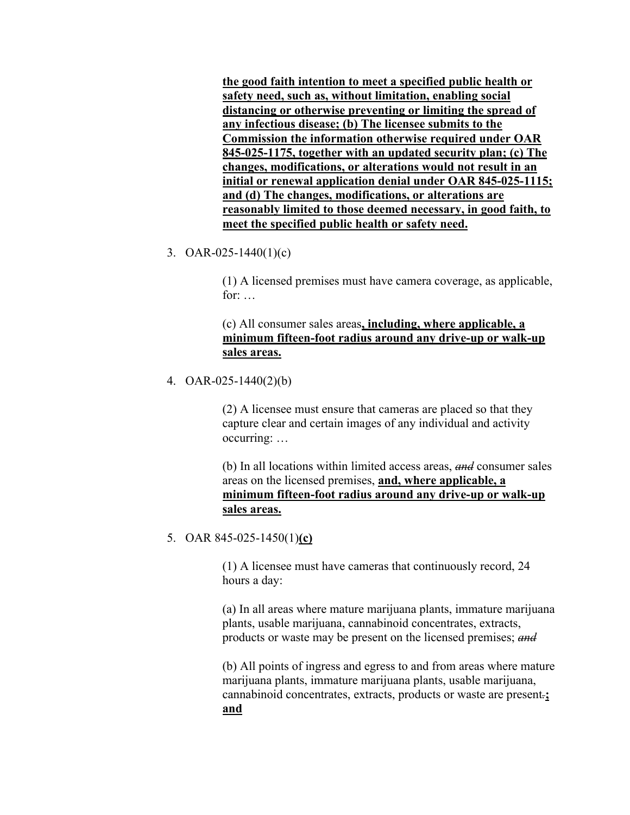**the good faith intention to meet a specified public health or safety need, such as, without limitation, enabling social distancing or otherwise preventing or limiting the spread of any infectious disease; (b) The licensee submits to the Commission the information otherwise required under OAR 845-025-1175, together with an updated security plan; (c) The changes, modifications, or alterations would not result in an initial or renewal application denial under OAR 845-025-1115; and (d) The changes, modifications, or alterations are reasonably limited to those deemed necessary, in good faith, to meet the specified public health or safety need.**

3. OAR-025-1440(1)(c)

(1) A licensed premises must have camera coverage, as applicable, for: …

(c) All consumer sales areas**, including, where applicable, a minimum fifteen-foot radius around any drive-up or walk-up sales areas.**

4. OAR-025-1440(2)(b)

(2) A licensee must ensure that cameras are placed so that they capture clear and certain images of any individual and activity occurring: …

(b) In all locations within limited access areas, *and* consumer sales areas on the licensed premises, **and, where applicable, a minimum fifteen-foot radius around any drive-up or walk-up sales areas.**

5. OAR 845-025-1450(1)**(c)**

(1) A licensee must have cameras that continuously record, 24 hours a day:

(a) In all areas where mature marijuana plants, immature marijuana plants, usable marijuana, cannabinoid concentrates, extracts, products or waste may be present on the licensed premises; *and*

(b) All points of ingress and egress to and from areas where mature marijuana plants, immature marijuana plants, usable marijuana, cannabinoid concentrates, extracts, products or waste are present*.***; and**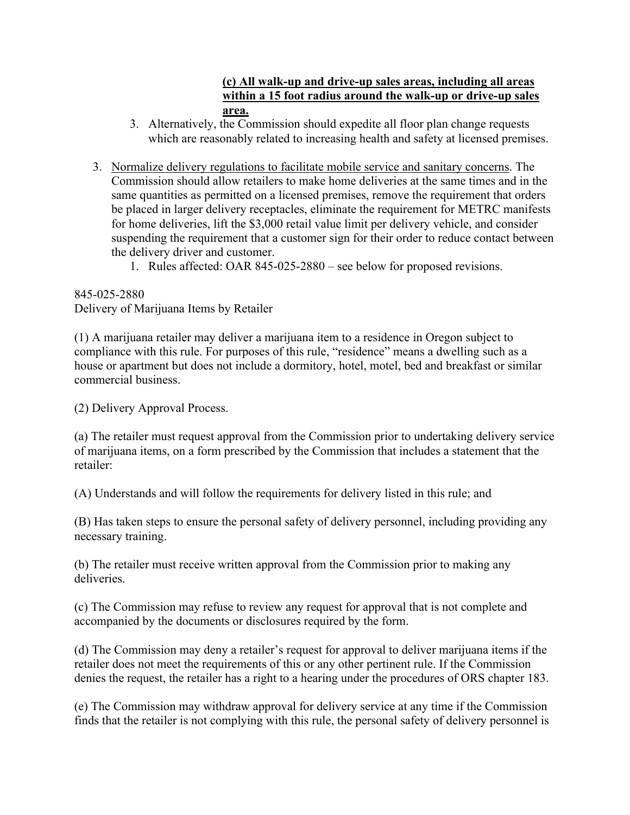#### **(c) All walk-up and drive-up sales areas, including all areas within a 15 foot radius around the walk-up or drive-up sales area.**

- 3. Alternatively, the Commission should expedite all floor plan change requests which are reasonably related to increasing health and safety at licensed premises.
- 3. Normalize delivery regulations to facilitate mobile service and sanitary concerns. The Commission should allow retailers to make home deliveries at the same times and in the same quantities as permitted on a licensed premises, remove the requirement that orders be placed in larger delivery receptacles, eliminate the requirement for METRC manifests for home deliveries, lift the \$3,000 retail value limit per delivery vehicle, and consider suspending the requirement that a customer sign for their order to reduce contact between the delivery driver and customer.
	- 1. Rules affected: OAR 845-025-2880 see below for proposed revisions.

845-025-2880 Delivery of Marijuana Items by Retailer

(1) A marijuana retailer may deliver a marijuana item to a residence in Oregon subject to compliance with this rule. For purposes of this rule, "residence" means a dwelling such as a house or apartment but does not include a dormitory, hotel, motel, bed and breakfast or similar commercial business.

(2) Delivery Approval Process.

(a) The retailer must request approval from the Commission prior to undertaking delivery service of marijuana items, on a form prescribed by the Commission that includes a statement that the retailer:

(A) Understands and will follow the requirements for delivery listed in this rule; and

(B) Has taken steps to ensure the personal safety of delivery personnel, including providing any necessary training.

(b) The retailer must receive written approval from the Commission prior to making any deliveries.

(c) The Commission may refuse to review any request for approval that is not complete and accompanied by the documents or disclosures required by the form.

(d) The Commission may deny a retailer's request for approval to deliver marijuana items if the retailer does not meet the requirements of this or any other pertinent rule. If the Commission denies the request, the retailer has a right to a hearing under the procedures of ORS chapter 183.

(e) The Commission may withdraw approval for delivery service at any time if the Commission finds that the retailer is not complying with this rule, the personal safety of delivery personnel is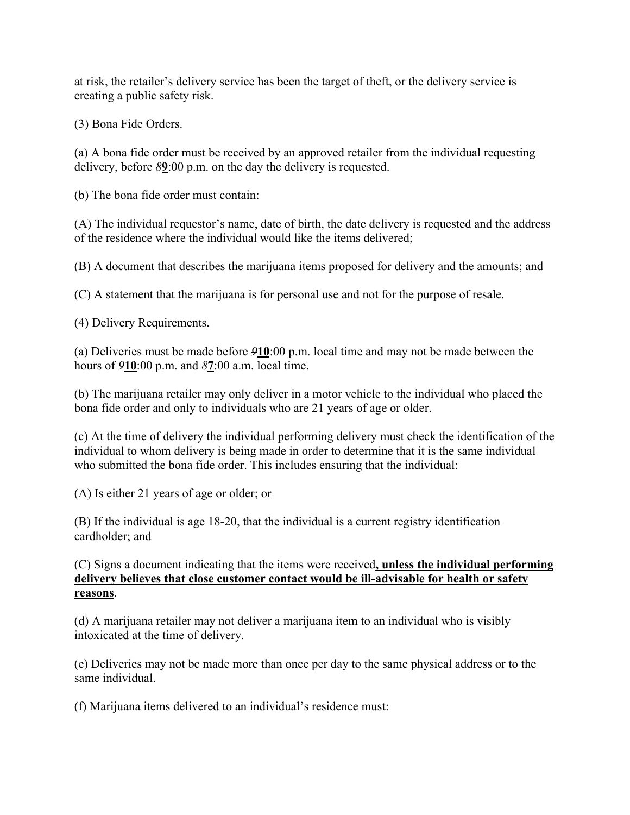at risk, the retailer's delivery service has been the target of theft, or the delivery service is creating a public safety risk.

(3) Bona Fide Orders.

(a) A bona fide order must be received by an approved retailer from the individual requesting delivery, before *8***9**:00 p.m. on the day the delivery is requested.

(b) The bona fide order must contain:

(A) The individual requestor's name, date of birth, the date delivery is requested and the address of the residence where the individual would like the items delivered;

(B) A document that describes the marijuana items proposed for delivery and the amounts; and

(C) A statement that the marijuana is for personal use and not for the purpose of resale.

(4) Delivery Requirements.

(a) Deliveries must be made before *9***10**:00 p.m. local time and may not be made between the hours of *9***10**:00 p.m. and *8***7**:00 a.m. local time.

(b) The marijuana retailer may only deliver in a motor vehicle to the individual who placed the bona fide order and only to individuals who are 21 years of age or older.

(c) At the time of delivery the individual performing delivery must check the identification of the individual to whom delivery is being made in order to determine that it is the same individual who submitted the bona fide order. This includes ensuring that the individual:

(A) Is either 21 years of age or older; or

(B) If the individual is age 18-20, that the individual is a current registry identification cardholder; and

(C) Signs a document indicating that the items were received**, unless the individual performing delivery believes that close customer contact would be ill-advisable for health or safety reasons**.

(d) A marijuana retailer may not deliver a marijuana item to an individual who is visibly intoxicated at the time of delivery.

(e) Deliveries may not be made more than once per day to the same physical address or to the same individual.

(f) Marijuana items delivered to an individual's residence must: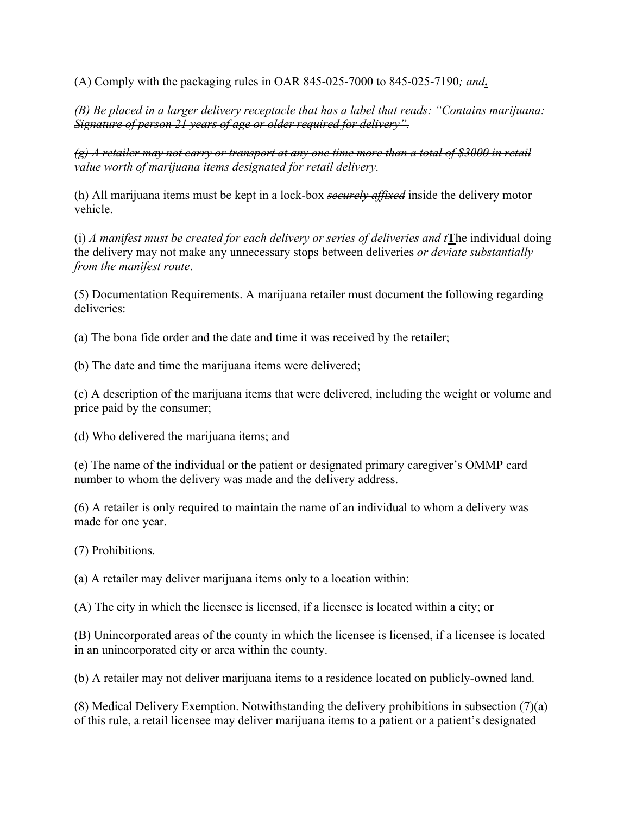(A) Comply with the packaging rules in OAR 845-025-7000 to 845-025-7190*; and***.**

*(B) Be placed in a larger delivery receptacle that has a label that reads: "Contains marijuana: Signature of person 21 years of age or older required for delivery".*

*(g) A retailer may not carry or transport at any one time more than a total of \$3000 in retail value worth of marijuana items designated for retail delivery.*

(h) All marijuana items must be kept in a lock-box *securely affixed* inside the delivery motor vehicle.

(i) *A manifest must be created for each delivery or series of deliveries and t***T**he individual doing the delivery may not make any unnecessary stops between deliveries *or deviate substantially from the manifest route*.

(5) Documentation Requirements. A marijuana retailer must document the following regarding deliveries:

(a) The bona fide order and the date and time it was received by the retailer;

(b) The date and time the marijuana items were delivered;

(c) A description of the marijuana items that were delivered, including the weight or volume and price paid by the consumer;

(d) Who delivered the marijuana items; and

(e) The name of the individual or the patient or designated primary caregiver's OMMP card number to whom the delivery was made and the delivery address.

(6) A retailer is only required to maintain the name of an individual to whom a delivery was made for one year.

(7) Prohibitions.

(a) A retailer may deliver marijuana items only to a location within:

(A) The city in which the licensee is licensed, if a licensee is located within a city; or

(B) Unincorporated areas of the county in which the licensee is licensed, if a licensee is located in an unincorporated city or area within the county.

(b) A retailer may not deliver marijuana items to a residence located on publicly-owned land.

(8) Medical Delivery Exemption. Notwithstanding the delivery prohibitions in subsection (7)(a) of this rule, a retail licensee may deliver marijuana items to a patient or a patient's designated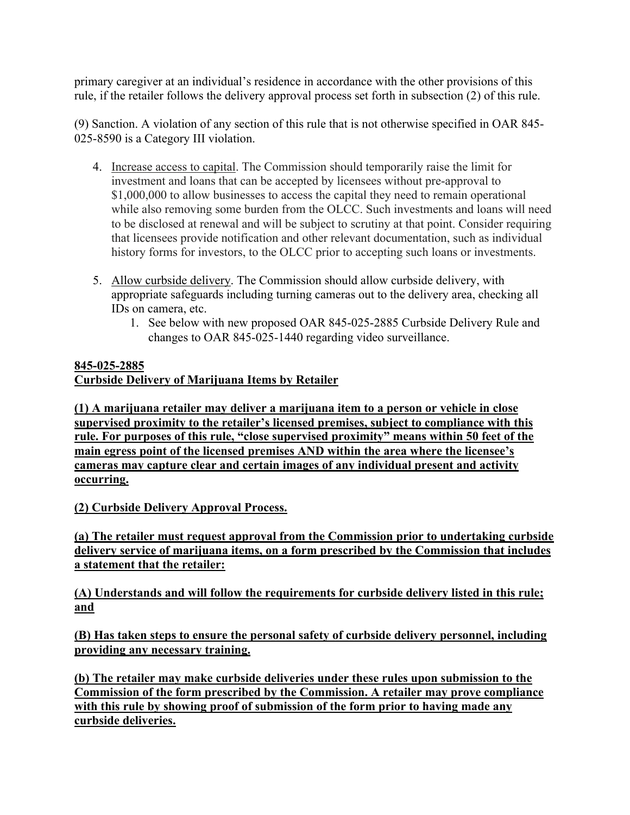primary caregiver at an individual's residence in accordance with the other provisions of this rule, if the retailer follows the delivery approval process set forth in subsection (2) of this rule.

(9) Sanction. A violation of any section of this rule that is not otherwise specified in OAR 845- 025-8590 is a Category III violation.

- 4. Increase access to capital. The Commission should temporarily raise the limit for investment and loans that can be accepted by licensees without pre-approval to \$1,000,000 to allow businesses to access the capital they need to remain operational while also removing some burden from the OLCC. Such investments and loans will need to be disclosed at renewal and will be subject to scrutiny at that point. Consider requiring that licensees provide notification and other relevant documentation, such as individual history forms for investors, to the OLCC prior to accepting such loans or investments.
- 5. Allow curbside delivery. The Commission should allow curbside delivery, with appropriate safeguards including turning cameras out to the delivery area, checking all IDs on camera, etc.
	- 1. See below with new proposed OAR 845-025-2885 Curbside Delivery Rule and changes to OAR 845-025-1440 regarding video surveillance.

### **845-025-2885**

## **Curbside Delivery of Marijuana Items by Retailer**

**(1) A marijuana retailer may deliver a marijuana item to a person or vehicle in close supervised proximity to the retailer's licensed premises, subject to compliance with this rule. For purposes of this rule, "close supervised proximity" means within 50 feet of the main egress point of the licensed premises AND within the area where the licensee's cameras may capture clear and certain images of any individual present and activity occurring.**

**(2) Curbside Delivery Approval Process.**

**(a) The retailer must request approval from the Commission prior to undertaking curbside delivery service of marijuana items, on a form prescribed by the Commission that includes a statement that the retailer:**

**(A) Understands and will follow the requirements for curbside delivery listed in this rule; and**

**(B) Has taken steps to ensure the personal safety of curbside delivery personnel, including providing any necessary training.**

**(b) The retailer may make curbside deliveries under these rules upon submission to the Commission of the form prescribed by the Commission. A retailer may prove compliance with this rule by showing proof of submission of the form prior to having made any curbside deliveries.**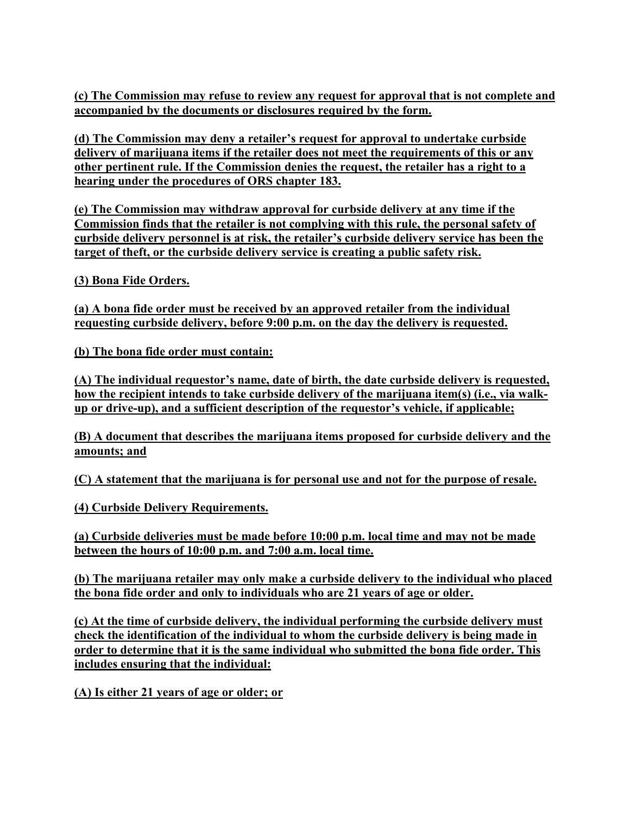**(c) The Commission may refuse to review any request for approval that is not complete and accompanied by the documents or disclosures required by the form.**

**(d) The Commission may deny a retailer's request for approval to undertake curbside delivery of marijuana items if the retailer does not meet the requirements of this or any other pertinent rule. If the Commission denies the request, the retailer has a right to a hearing under the procedures of ORS chapter 183.**

**(e) The Commission may withdraw approval for curbside delivery at any time if the Commission finds that the retailer is not complying with this rule, the personal safety of curbside delivery personnel is at risk, the retailer's curbside delivery service has been the target of theft, or the curbside delivery service is creating a public safety risk.**

**(3) Bona Fide Orders.**

**(a) A bona fide order must be received by an approved retailer from the individual requesting curbside delivery, before 9:00 p.m. on the day the delivery is requested.**

**(b) The bona fide order must contain:**

**(A) The individual requestor's name, date of birth, the date curbside delivery is requested, how the recipient intends to take curbside delivery of the marijuana item(s) (i.e., via walkup or drive-up), and a sufficient description of the requestor's vehicle, if applicable;**

**(B) A document that describes the marijuana items proposed for curbside delivery and the amounts; and**

**(C) A statement that the marijuana is for personal use and not for the purpose of resale.**

**(4) Curbside Delivery Requirements.**

**(a) Curbside deliveries must be made before 10:00 p.m. local time and may not be made between the hours of 10:00 p.m. and 7:00 a.m. local time.**

**(b) The marijuana retailer may only make a curbside delivery to the individual who placed the bona fide order and only to individuals who are 21 years of age or older.**

**(c) At the time of curbside delivery, the individual performing the curbside delivery must check the identification of the individual to whom the curbside delivery is being made in order to determine that it is the same individual who submitted the bona fide order. This includes ensuring that the individual:**

**(A) Is either 21 years of age or older; or**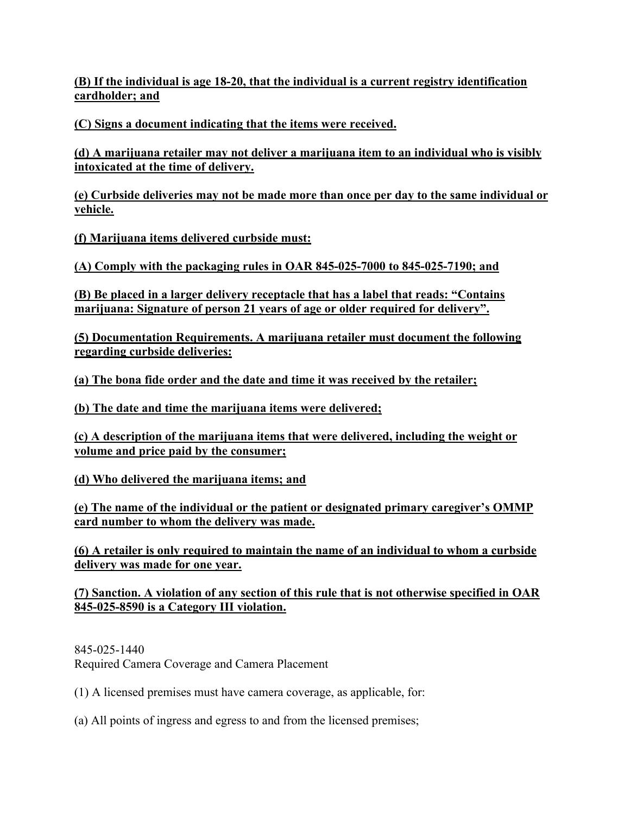**(B) If the individual is age 18-20, that the individual is a current registry identification cardholder; and**

**(C) Signs a document indicating that the items were received.**

**(d) A marijuana retailer may not deliver a marijuana item to an individual who is visibly intoxicated at the time of delivery.**

**(e) Curbside deliveries may not be made more than once per day to the same individual or vehicle.**

**(f) Marijuana items delivered curbside must:**

**(A) Comply with the packaging rules in OAR 845-025-7000 to 845-025-7190; and**

**(B) Be placed in a larger delivery receptacle that has a label that reads: "Contains marijuana: Signature of person 21 years of age or older required for delivery".**

**(5) Documentation Requirements. A marijuana retailer must document the following regarding curbside deliveries:**

**(a) The bona fide order and the date and time it was received by the retailer;**

**(b) The date and time the marijuana items were delivered;**

**(c) A description of the marijuana items that were delivered, including the weight or volume and price paid by the consumer;**

**(d) Who delivered the marijuana items; and**

**(e) The name of the individual or the patient or designated primary caregiver's OMMP card number to whom the delivery was made.**

**(6) A retailer is only required to maintain the name of an individual to whom a curbside delivery was made for one year.**

**(7) Sanction. A violation of any section of this rule that is not otherwise specified in OAR 845-025-8590 is a Category III violation.**

845-025-1440 Required Camera Coverage and Camera Placement

(1) A licensed premises must have camera coverage, as applicable, for:

(a) All points of ingress and egress to and from the licensed premises;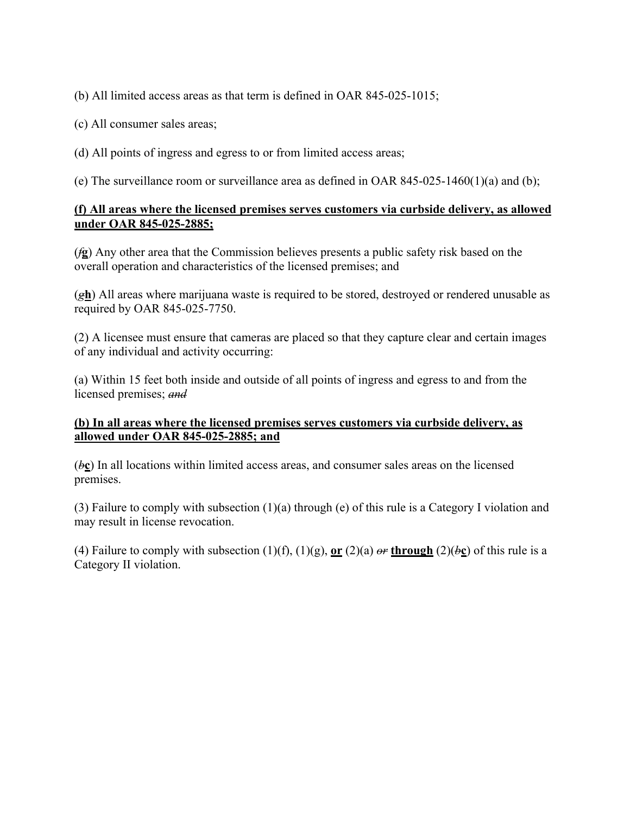(b) All limited access areas as that term is defined in OAR 845-025-1015;

(c) All consumer sales areas;

(d) All points of ingress and egress to or from limited access areas;

(e) The surveillance room or surveillance area as defined in OAR 845-025-1460(1)(a) and (b);

#### **(f) All areas where the licensed premises serves customers via curbside delivery, as allowed under OAR 845-025-2885;**

(*f***g**) Any other area that the Commission believes presents a public safety risk based on the overall operation and characteristics of the licensed premises; and

(*g***h**) All areas where marijuana waste is required to be stored, destroyed or rendered unusable as required by OAR 845-025-7750.

(2) A licensee must ensure that cameras are placed so that they capture clear and certain images of any individual and activity occurring:

(a) Within 15 feet both inside and outside of all points of ingress and egress to and from the licensed premises; *and*

#### **(b) In all areas where the licensed premises serves customers via curbside delivery, as allowed under OAR 845-025-2885; and**

(*b***c**) In all locations within limited access areas, and consumer sales areas on the licensed premises.

(3) Failure to comply with subsection (1)(a) through (e) of this rule is a Category I violation and may result in license revocation.

(4) Failure to comply with subsection (1)(f), (1)(g),  $\mathbf{or}$  (2)(a)  $\theta$ **through** (2)( $\theta$ **c**) of this rule is a Category II violation.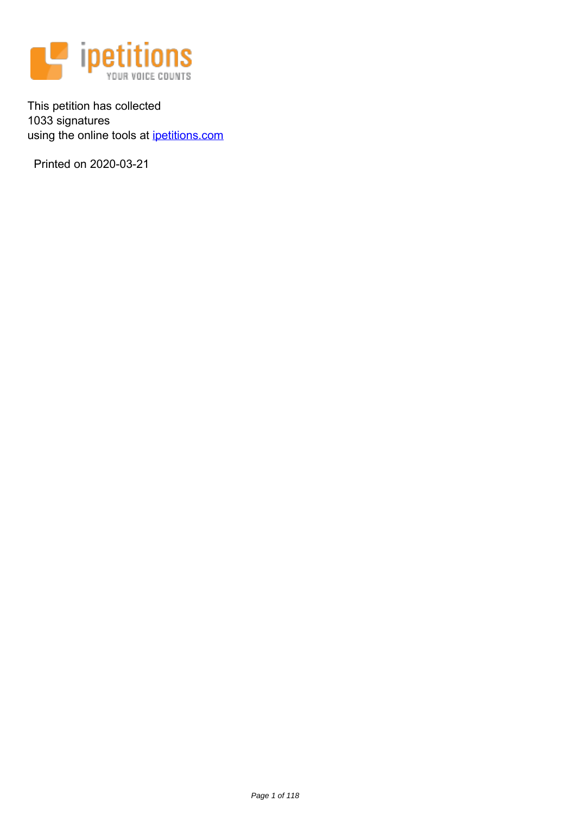

This petition has collected 1033 signatures using the online tools at [ipetitions.com](https://www.ipetitions.com)

Printed on 2020-03-21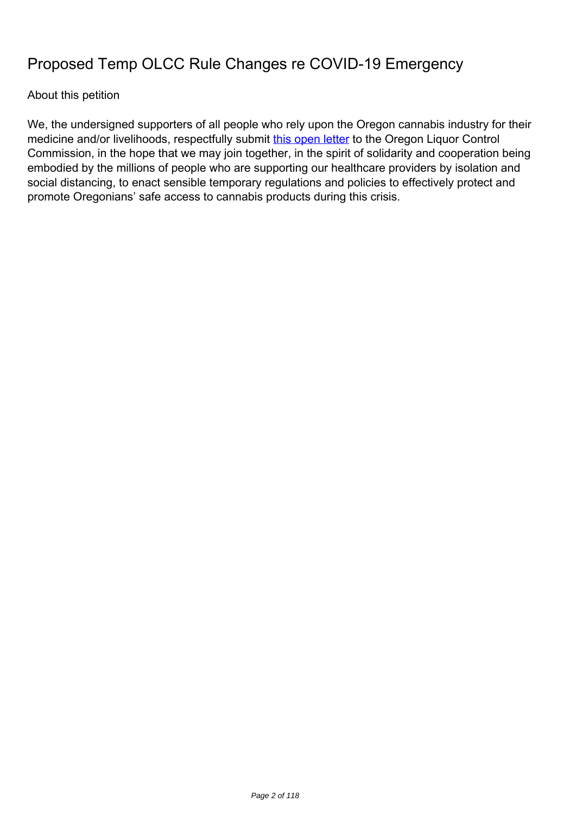# **Proposed Temp OLCC Rule Changes re COVID-19 Emergency**

# About this petition

We, the undersigned supporters of all people who rely upon the Oregon cannabis industry for their medicine and/or livelihoods, respectfully submit [this open letter](http://portlandmarijuanaattorneys.com/proposed-temporary-rule-changes/) to the Oregon Liquor Control Commission, in the hope that we may join together, in the spirit of solidarity and cooperation being embodied by the millions of people who are supporting our healthcare providers by isolation and social distancing, to enact sensible temporary regulations and policies to effectively protect and promote Oregonians' safe access to cannabis products during this crisis.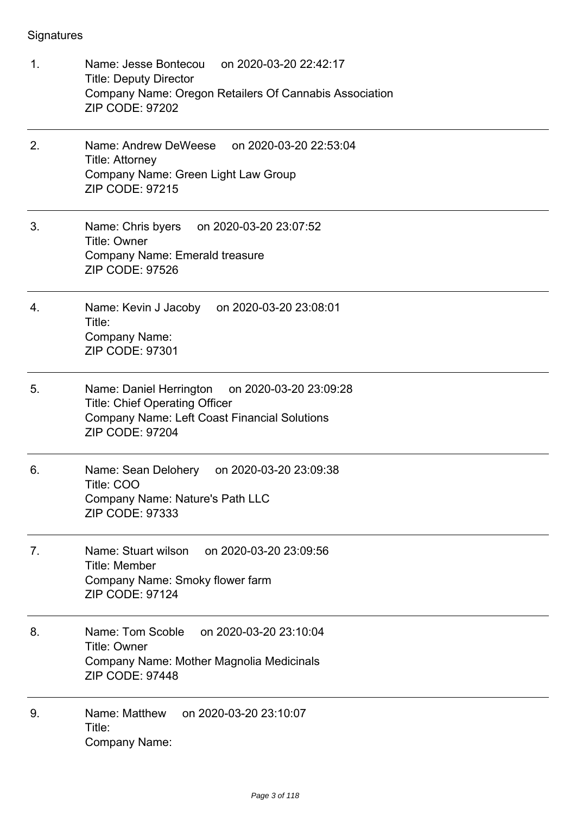- 1. Name: Jesse Bontecou on 2020-03-20 22:42:17 Title: Deputy Director Company Name: Oregon Retailers Of Cannabis Association ZIP CODE: 97202
- 2. Name: Andrew DeWeese on 2020-03-20 22:53:04 Title: Attorney Company Name: Green Light Law Group ZIP CODE: 97215
- 3. Name: Chris byers on 2020-03-20 23:07:52 Title: Owner Company Name: Emerald treasure ZIP CODE: 97526
- 4. Name: Kevin J Jacoby on 2020-03-20 23:08:01 Title: Company Name: ZIP CODE: 97301
- 5. Name: Daniel Herrington on 2020-03-20 23:09:28 Title: Chief Operating Officer Company Name: Left Coast Financial Solutions ZIP CODE: 97204
- 6. Name: Sean Delohery on 2020-03-20 23:09:38 Title: COO Company Name: Nature's Path LLC ZIP CODE: 97333
- 7. Name: Stuart wilson on 2020-03-20 23:09:56 Title: Member Company Name: Smoky flower farm ZIP CODE: 97124
- 8. Name: Tom Scoble on 2020-03-20 23:10:04 Title: Owner Company Name: Mother Magnolia Medicinals ZIP CODE: 97448
- 9. Name: Matthew on 2020-03-20 23:10:07 Title: Company Name: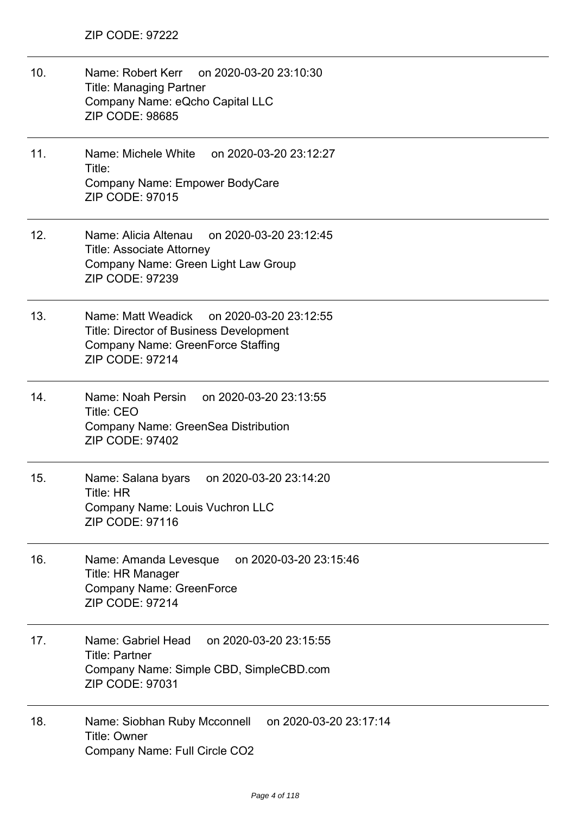- 10. Name: Robert Kerr on 2020-03-20 23:10:30 Title: Managing Partner Company Name: eQcho Capital LLC ZIP CODE: 98685
- 11. Name: Michele White on 2020-03-20 23:12:27 Title: Company Name: Empower BodyCare ZIP CODE: 97015
- 12. Name: Alicia Altenau on 2020-03-20 23:12:45 Title: Associate Attorney Company Name: Green Light Law Group ZIP CODE: 97239
- 13. Name: Matt Weadick on 2020-03-20 23:12:55 Title: Director of Business Development Company Name: GreenForce Staffing ZIP CODE: 97214
- 14. Name: Noah Persin on 2020-03-20 23:13:55 Title: CEO Company Name: GreenSea Distribution ZIP CODE: 97402
- 15. Name: Salana byars on 2020-03-20 23:14:20 Title: HR Company Name: Louis Vuchron LLC ZIP CODE: 97116
- 16. Name: Amanda Levesque on 2020-03-20 23:15:46 Title: HR Manager Company Name: GreenForce ZIP CODE: 97214
- 17. Name: Gabriel Head on 2020-03-20 23:15:55 Title: Partner Company Name: Simple CBD, SimpleCBD.com ZIP CODE: 97031
- 18. Name: Siobhan Ruby Mcconnell on 2020-03-20 23:17:14 Title: Owner Company Name: Full Circle CO2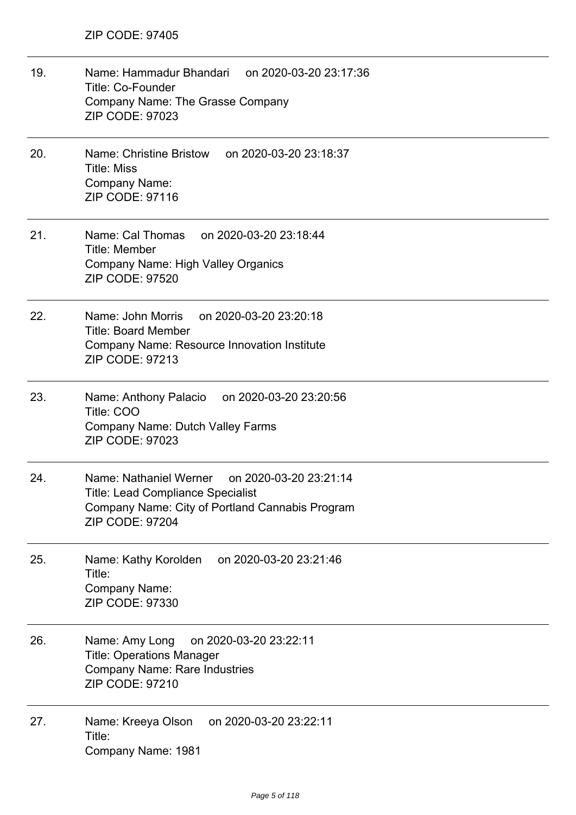| 19. | Name: Hammadur Bhandari on 2020-03-20 23:17:36<br><b>Title: Co-Founder</b><br>Company Name: The Grasse Company<br><b>ZIP CODE: 97023</b>                                  |
|-----|---------------------------------------------------------------------------------------------------------------------------------------------------------------------------|
| 20. | Name: Christine Bristow<br>on 2020-03-20 23:18:37<br><b>Title: Miss</b><br>Company Name:<br>ZIP CODE: 97116                                                               |
| 21. | Name: Cal Thomas<br>on 2020-03-20 23:18:44<br><b>Title: Member</b><br><b>Company Name: High Valley Organics</b><br><b>ZIP CODE: 97520</b>                                 |
| 22. | Name: John Morris<br>on 2020-03-20 23:20:18<br><b>Title: Board Member</b><br>Company Name: Resource Innovation Institute<br>ZIP CODE: 97213                               |
| 23. | Name: Anthony Palacio<br>on 2020-03-20 23:20:56<br>Title: COO<br><b>Company Name: Dutch Valley Farms</b><br>ZIP CODE: 97023                                               |
| 24. | Name: Nathaniel Werner<br>on 2020-03-20 23:21:14<br><b>Title: Lead Compliance Specialist</b><br>Company Name: City of Portland Cannabis Program<br><b>ZIP CODE: 97204</b> |
| 25. | on 2020-03-20 23:21:46<br>Name: Kathy Korolden<br>Title:<br>Company Name:<br>ZIP CODE: 97330                                                                              |
| 26. | on 2020-03-20 23:22:11<br>Name: Amy Long<br><b>Title: Operations Manager</b><br><b>Company Name: Rare Industries</b><br>ZIP CODE: 97210                                   |
| 27. | on 2020-03-20 23:22:11<br>Name: Kreeya Olson<br>Title:<br>Company Name: 1981                                                                                              |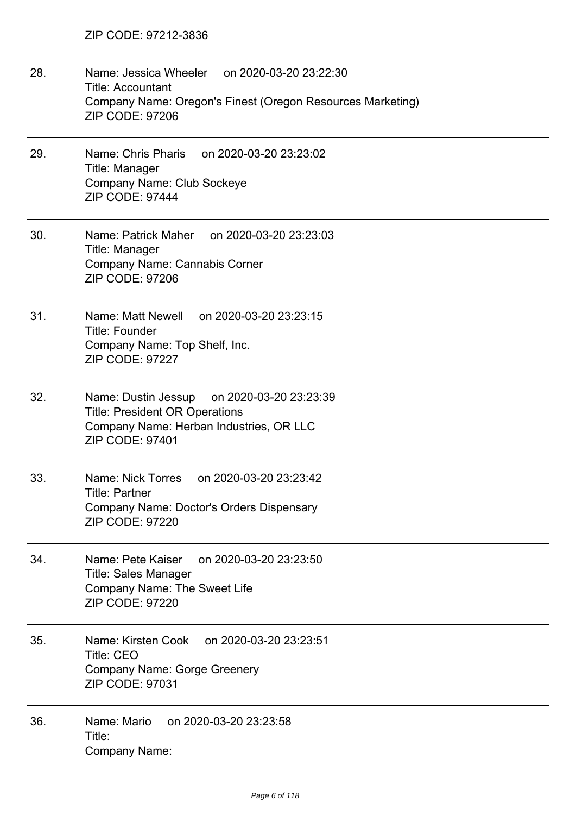| 28. | Name: Jessica Wheeler on 2020-03-20 23:22:30<br><b>Title: Accountant</b><br>Company Name: Oregon's Finest (Oregon Resources Marketing)<br><b>ZIP CODE: 97206</b> |
|-----|------------------------------------------------------------------------------------------------------------------------------------------------------------------|
| 29. | Name: Chris Pharis<br>on 2020-03-20 23:23:02<br>Title: Manager<br>Company Name: Club Sockeye<br><b>ZIP CODE: 97444</b>                                           |
| 30. | Name: Patrick Maher<br>on 2020-03-20 23:23:03<br>Title: Manager<br>Company Name: Cannabis Corner<br><b>ZIP CODE: 97206</b>                                       |
| 31. | Name: Matt Newell on 2020-03-20 23:23:15<br><b>Title: Founder</b><br>Company Name: Top Shelf, Inc.<br><b>ZIP CODE: 97227</b>                                     |
| 32. | Name: Dustin Jessup<br>on 2020-03-20 23:23:39<br><b>Title: President OR Operations</b><br>Company Name: Herban Industries, OR LLC<br>ZIP CODE: 97401             |
| 33. | Name: Nick Torres<br>on 2020-03-20 23:23:42<br>Title: Partner<br>Company Name: Doctor's Orders Dispensary<br><b>ZIP CODE: 97220</b>                              |
| 34. | Name: Pete Kaiser<br>on 2020-03-20 23:23:50<br><b>Title: Sales Manager</b><br><b>Company Name: The Sweet Life</b><br><b>ZIP CODE: 97220</b>                      |
| 35. | Name: Kirsten Cook on 2020-03-20 23:23:51<br><b>Title: CEO</b><br><b>Company Name: Gorge Greenery</b><br><b>ZIP CODE: 97031</b>                                  |
| 36. | Name: Mario<br>on 2020-03-20 23:23:58<br>Title:<br>Company Name:                                                                                                 |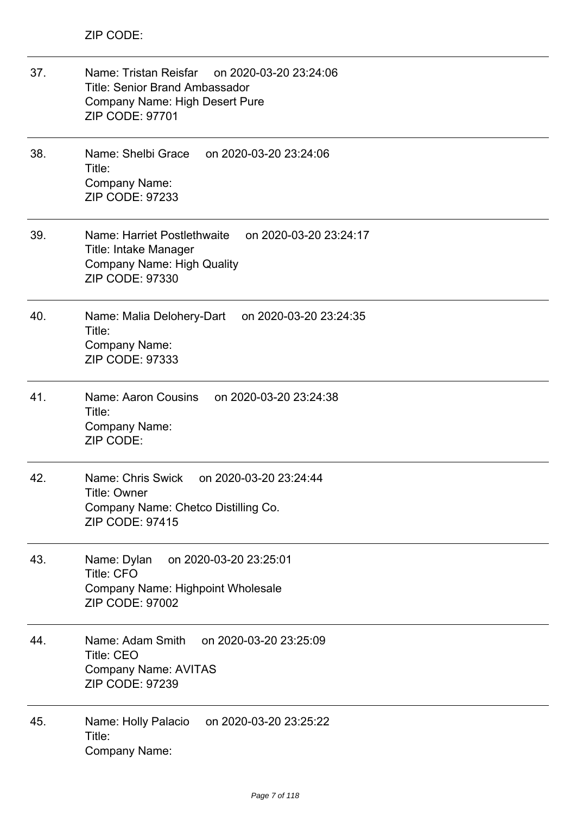| 37. | Name: Tristan Reisfar on 2020-03-20 23:24:06<br><b>Title: Senior Brand Ambassador</b><br>Company Name: High Desert Pure<br>ZIP CODE: 97701    |
|-----|-----------------------------------------------------------------------------------------------------------------------------------------------|
| 38. | Name: Shelbi Grace on 2020-03-20 23:24:06<br>Title:<br>Company Name:<br><b>ZIP CODE: 97233</b>                                                |
| 39. | Name: Harriet Postlethwaite<br>on 2020-03-20 23:24:17<br>Title: Intake Manager<br><b>Company Name: High Quality</b><br><b>ZIP CODE: 97330</b> |
| 40. | on 2020-03-20 23:24:35<br>Name: Malia Delohery-Dart<br>Title:<br><b>Company Name:</b><br>ZIP CODE: 97333                                      |
| 41. | Name: Aaron Cousins<br>on 2020-03-20 23:24:38<br>Title:<br><b>Company Name:</b><br>ZIP CODE:                                                  |
| 42. | Name: Chris Swick<br>on 2020-03-20 23:24:44<br>Title: Owner<br>Company Name: Chetco Distilling Co.<br><b>ZIP CODE: 97415</b>                  |
| 43. | on 2020-03-20 23:25:01<br>Name: Dylan<br><b>Title: CFO</b><br>Company Name: Highpoint Wholesale<br><b>ZIP CODE: 97002</b>                     |
| 44. | on 2020-03-20 23:25:09<br>Name: Adam Smith<br><b>Title: CEO</b><br><b>Company Name: AVITAS</b><br>ZIP CODE: 97239                             |
| 45. | Name: Holly Palacio on 2020-03-20 23:25:22<br>Title:<br>Company Name:                                                                         |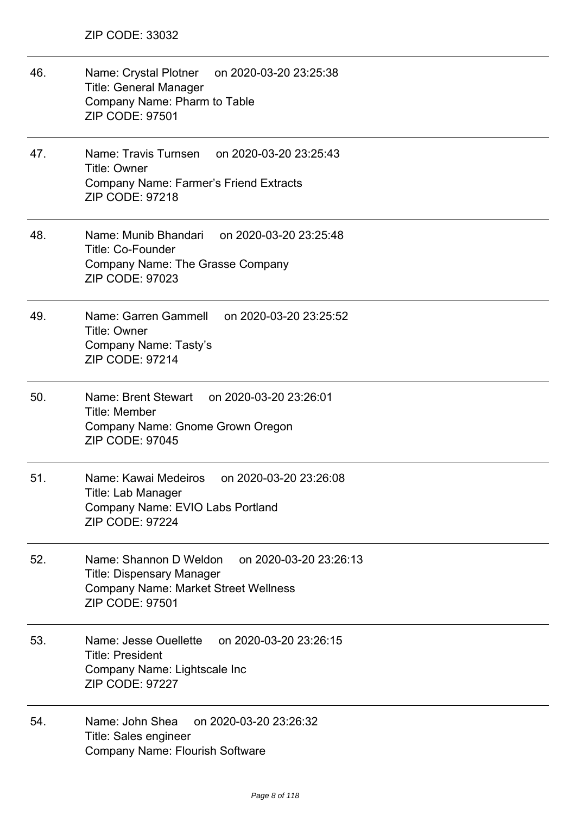46. Name: Crystal Plotner on 2020-03-20 23:25:38 Title: General Manager Company Name: Pharm to Table ZIP CODE: 97501 47. Name: Travis Turnsen on 2020-03-20 23:25:43 Title: Owner Company Name: Farmer's Friend Extracts ZIP CODE: 97218 48. Name: Munib Bhandari on 2020-03-20 23:25:48 Title: Co-Founder Company Name: The Grasse Company ZIP CODE: 97023 49. Name: Garren Gammell on 2020-03-20 23:25:52 Title: Owner Company Name: Tasty's ZIP CODE: 97214 50. Name: Brent Stewart on 2020-03-20 23:26:01 Title: Member Company Name: Gnome Grown Oregon ZIP CODE: 97045 51. Name: Kawai Medeiros on 2020-03-20 23:26:08 Title: Lab Manager Company Name: EVIO Labs Portland ZIP CODE: 97224 52. Name: Shannon D Weldon on 2020-03-20 23:26:13 Title: Dispensary Manager Company Name: Market Street Wellness ZIP CODE: 97501 53. Name: Jesse Ouellette on 2020-03-20 23:26:15 Title: President Company Name: Lightscale Inc ZIP CODE: 97227 54. Name: John Shea on 2020-03-20 23:26:32 Title: Sales engineer Company Name: Flourish Software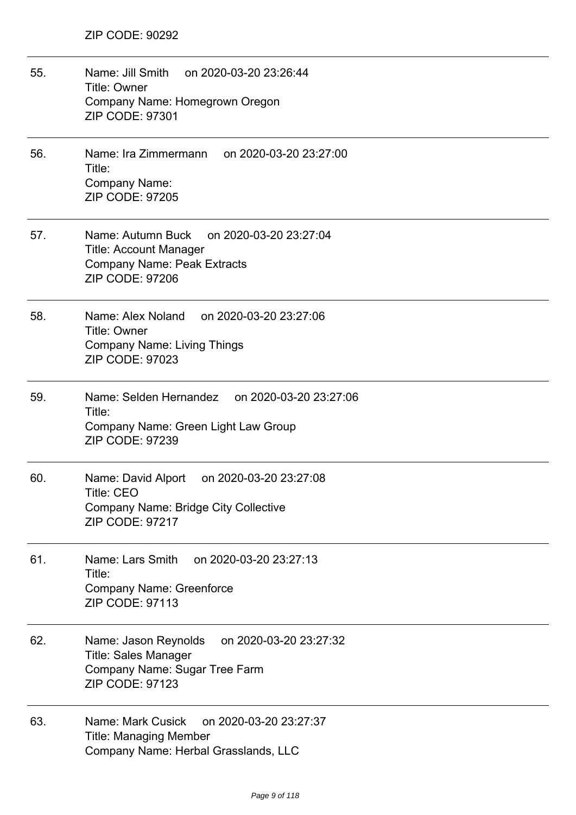- 55. Name: Jill Smith on 2020-03-20 23:26:44 Title: Owner Company Name: Homegrown Oregon ZIP CODE: 97301
- 56. Name: Ira Zimmermann on 2020-03-20 23:27:00 Title: Company Name: ZIP CODE: 97205
- 57. Name: Autumn Buck on 2020-03-20 23:27:04 Title: Account Manager Company Name: Peak Extracts ZIP CODE: 97206
- 58. Name: Alex Noland on 2020-03-20 23:27:06 Title: Owner Company Name: Living Things ZIP CODE: 97023
- 59. Name: Selden Hernandez on 2020-03-20 23:27:06 Title: Company Name: Green Light Law Group ZIP CODE: 97239
- 60. Name: David Alport on 2020-03-20 23:27:08 Title: CEO Company Name: Bridge City Collective ZIP CODE: 97217
- 61. Name: Lars Smith on 2020-03-20 23:27:13 Title: Company Name: Greenforce ZIP CODE: 97113
- 62. Name: Jason Reynolds on 2020-03-20 23:27:32 Title: Sales Manager Company Name: Sugar Tree Farm ZIP CODE: 97123
- 63. Name: Mark Cusick on 2020-03-20 23:27:37 Title: Managing Member Company Name: Herbal Grasslands, LLC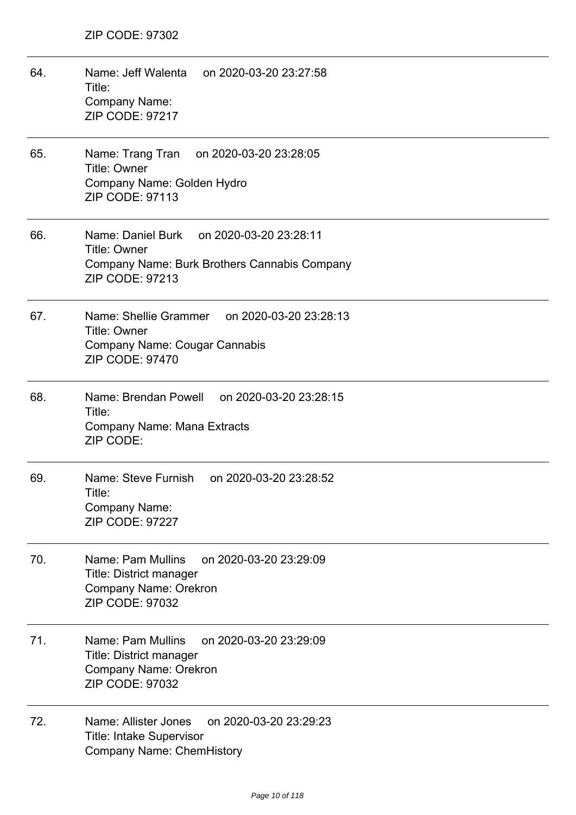64. Name: Jeff Walenta on 2020-03-20 23:27:58 Title: Company Name: ZIP CODE: 97217 65. Name: Trang Tran on 2020-03-20 23:28:05 Title: Owner Company Name: Golden Hydro ZIP CODE: 97113 66. Name: Daniel Burk on 2020-03-20 23:28:11 Title: Owner Company Name: Burk Brothers Cannabis Company ZIP CODE: 97213 67. Name: Shellie Grammer on 2020-03-20 23:28:13 Title: Owner Company Name: Cougar Cannabis ZIP CODE: 97470 68. Name: Brendan Powell on 2020-03-20 23:28:15 Title: Company Name: Mana Extracts ZIP CODE: 69. Name: Steve Furnish on 2020-03-20 23:28:52 Title: Company Name: ZIP CODE: 97227 70. Name: Pam Mullins on 2020-03-20 23:29:09 Title: District manager Company Name: Orekron ZIP CODE: 97032 71. Name: Pam Mullins on 2020-03-20 23:29:09 Title: District manager Company Name: Orekron ZIP CODE: 97032 72. Name: Allister Jones on 2020-03-20 23:29:23 Title: Intake Supervisor Company Name: ChemHistory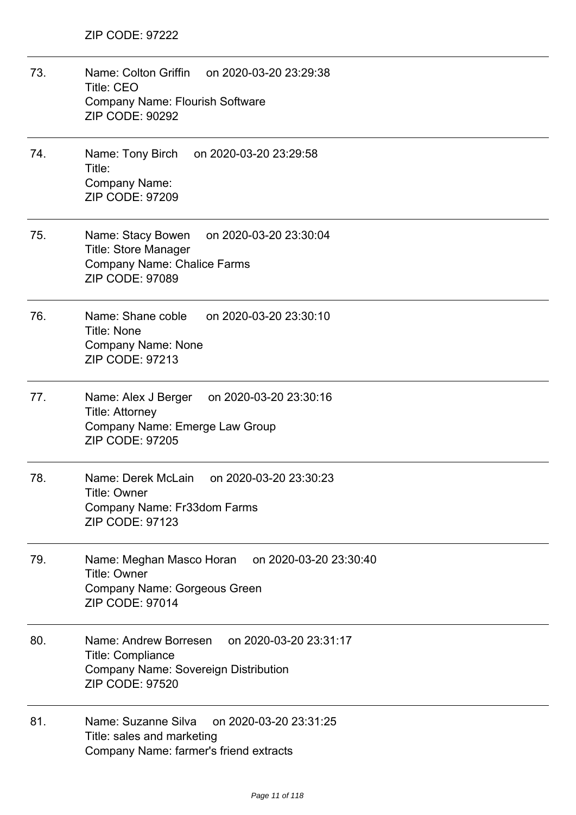73. Name: Colton Griffin on 2020-03-20 23:29:38 Title: CEO Company Name: Flourish Software ZIP CODE: 90292 74. Name: Tony Birch on 2020-03-20 23:29:58 Title: Company Name: ZIP CODE: 97209 75. Name: Stacy Bowen on 2020-03-20 23:30:04 Title: Store Manager Company Name: Chalice Farms ZIP CODE: 97089 76. Name: Shane coble on 2020-03-20 23:30:10 Title: None Company Name: None ZIP CODE: 97213 77. Name: Alex J Berger on 2020-03-20 23:30:16 Title: Attorney Company Name: Emerge Law Group ZIP CODE: 97205 78. Name: Derek McLain on 2020-03-20 23:30:23 Title: Owner Company Name: Fr33dom Farms ZIP CODE: 97123 79. Name: Meghan Masco Horan on 2020-03-20 23:30:40 Title: Owner Company Name: Gorgeous Green ZIP CODE: 97014 80. Name: Andrew Borresen on 2020-03-20 23:31:17 Title: Compliance Company Name: Sovereign Distribution ZIP CODE: 97520 81. Name: Suzanne Silva on 2020-03-20 23:31:25 Title: sales and marketing Company Name: farmer's friend extracts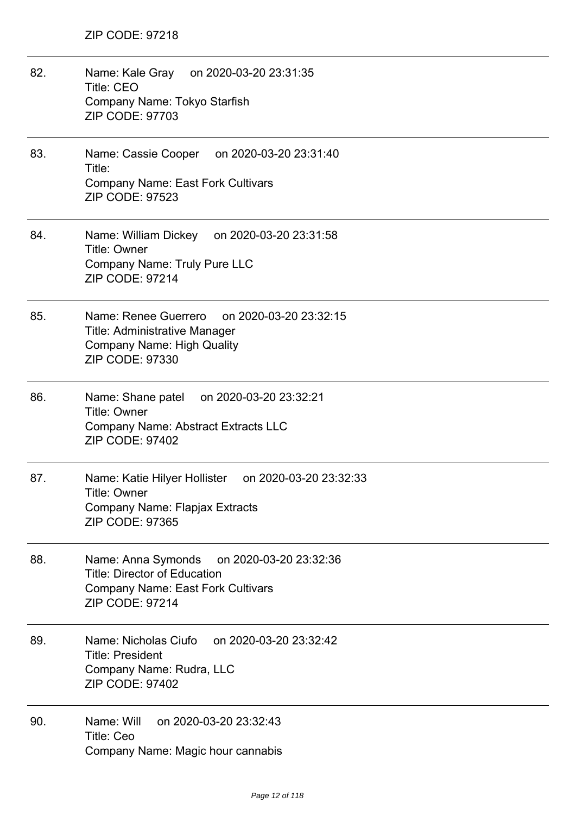82. Name: Kale Gray on 2020-03-20 23:31:35 Title: CEO Company Name: Tokyo Starfish ZIP CODE: 97703 83. Name: Cassie Cooper on 2020-03-20 23:31:40 Title: Company Name: East Fork Cultivars ZIP CODE: 97523 84. Name: William Dickey on 2020-03-20 23:31:58 Title: Owner Company Name: Truly Pure LLC ZIP CODE: 97214 85. Name: Renee Guerrero on 2020-03-20 23:32:15 Title: Administrative Manager Company Name: High Quality ZIP CODE: 97330 86. Name: Shane patel on 2020-03-20 23:32:21 Title: Owner Company Name: Abstract Extracts LLC ZIP CODE: 97402 87. Name: Katie Hilyer Hollister on 2020-03-20 23:32:33 Title: Owner Company Name: Flapjax Extracts ZIP CODE: 97365 88. Name: Anna Symonds on 2020-03-20 23:32:36 Title: Director of Education Company Name: East Fork Cultivars ZIP CODE: 97214 89. Name: Nicholas Ciufo on 2020-03-20 23:32:42 Title: President Company Name: Rudra, LLC ZIP CODE: 97402 90. Name: Will on 2020-03-20 23:32:43 Title: Ceo Company Name: Magic hour cannabis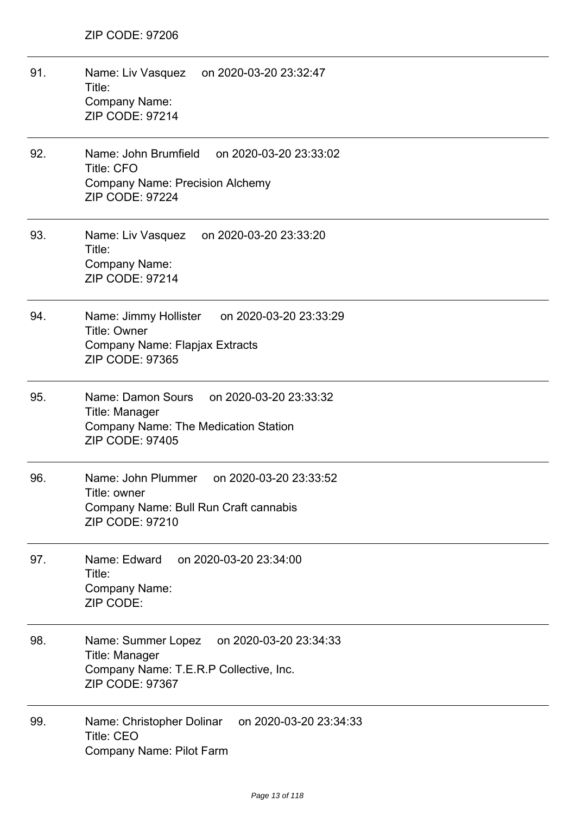| 91. | Name: Liv Vasquez on 2020-03-20 23:32:47<br>Title:<br>Company Name:<br><b>ZIP CODE: 97214</b>                                    |
|-----|----------------------------------------------------------------------------------------------------------------------------------|
| 92. | Name: John Brumfield<br>on 2020-03-20 23:33:02<br><b>Title: CFO</b><br><b>Company Name: Precision Alchemy</b><br>ZIP CODE: 97224 |
| 93. | Name: Liv Vasquez<br>on 2020-03-20 23:33:20<br>Title:<br>Company Name:<br><b>ZIP CODE: 97214</b>                                 |
| 94. | Name: Jimmy Hollister<br>on 2020-03-20 23:33:29<br><b>Title: Owner</b><br>Company Name: Flapjax Extracts<br>ZIP CODE: 97365      |
| 95. | Name: Damon Sours<br>on 2020-03-20 23:33:32<br>Title: Manager<br>Company Name: The Medication Station<br><b>ZIP CODE: 97405</b>  |
| 96. | Name: John Plummer<br>on 2020-03-20 23:33:52<br>Title: owner<br>Company Name: Bull Run Craft cannabis<br><b>ZIP CODE: 97210</b>  |
| 97. | on 2020-03-20 23:34:00<br>Name: Edward<br>Title:<br><b>Company Name:</b><br>ZIP CODE:                                            |
| 98. | on 2020-03-20 23:34:33<br>Name: Summer Lopez<br>Title: Manager<br>Company Name: T.E.R.P Collective, Inc.<br>ZIP CODE: 97367      |
| 99. | on 2020-03-20 23:34:33<br>Name: Christopher Dolinar<br>Title: CEO<br>Company Name: Pilot Farm                                    |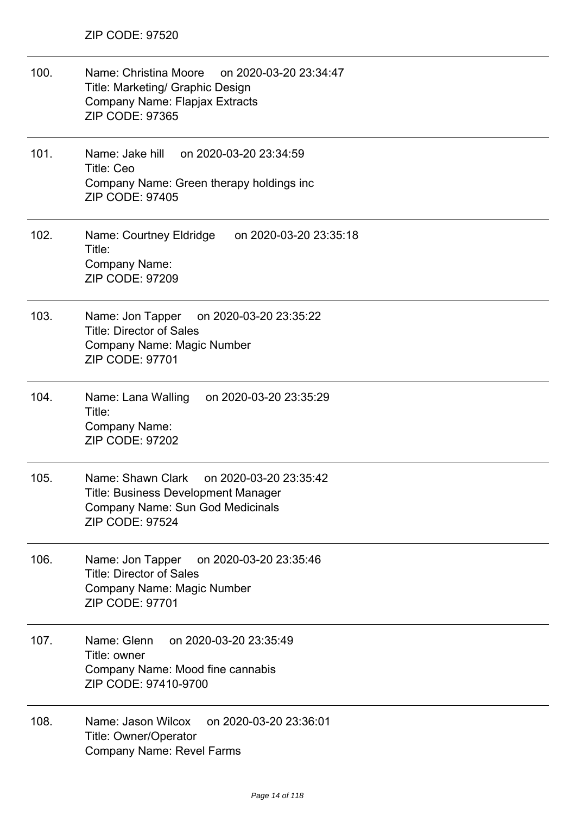| 100. | Name: Christina Moore<br>on 2020-03-20 23:34:47<br>Title: Marketing/ Graphic Design<br>Company Name: Flapjax Extracts<br>ZIP CODE: 97365                |
|------|---------------------------------------------------------------------------------------------------------------------------------------------------------|
| 101. | Name: Jake hill<br>on 2020-03-20 23:34:59<br><b>Title: Ceo</b><br>Company Name: Green therapy holdings inc<br><b>ZIP CODE: 97405</b>                    |
| 102. | Name: Courtney Eldridge<br>on 2020-03-20 23:35:18<br>Title:<br>Company Name:<br>ZIP CODE: 97209                                                         |
| 103. | Name: Jon Tapper on 2020-03-20 23:35:22<br><b>Title: Director of Sales</b><br>Company Name: Magic Number<br>ZIP CODE: 97701                             |
| 104. | Name: Lana Walling on 2020-03-20 23:35:29<br>Title:<br>Company Name:<br><b>ZIP CODE: 97202</b>                                                          |
| 105. | Name: Shawn Clark<br>on 2020-03-20 23:35:42<br>Title: Business Development Manager<br><b>Company Name: Sun God Medicinals</b><br><b>ZIP CODE: 97524</b> |
| 106. | on 2020-03-20 23:35:46<br>Name: Jon Tapper<br><b>Title: Director of Sales</b><br>Company Name: Magic Number<br><b>ZIP CODE: 97701</b>                   |
| 107. | on 2020-03-20 23:35:49<br>Name: Glenn<br>Title: owner<br>Company Name: Mood fine cannabis<br>ZIP CODE: 97410-9700                                       |
| 108. | Name: Jason Wilcox<br>on 2020-03-20 23:36:01<br>Title: Owner/Operator<br>Company Name: Revel Farms                                                      |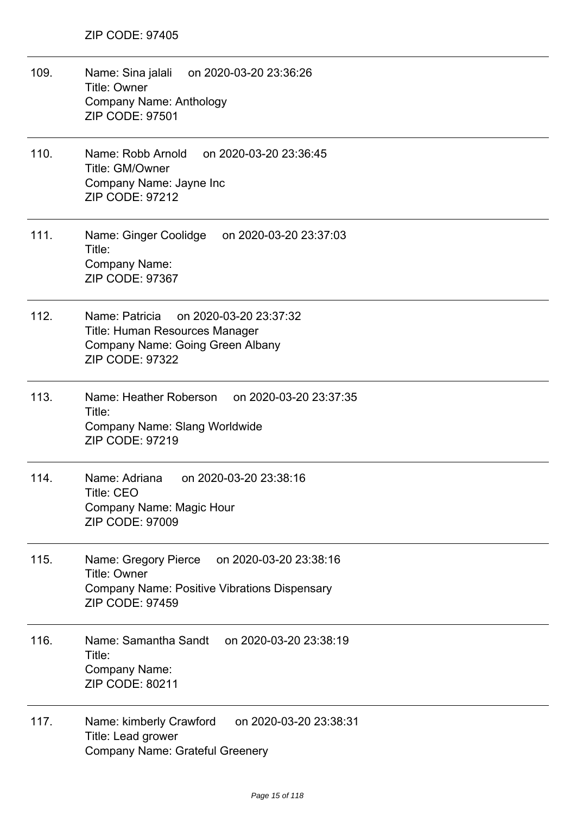- 109. Name: Sina jalali on 2020-03-20 23:36:26 Title: Owner Company Name: Anthology ZIP CODE: 97501
- 110. Name: Robb Arnold on 2020-03-20 23:36:45 Title: GM/Owner Company Name: Jayne Inc ZIP CODE: 97212
- 111. Name: Ginger Coolidge on 2020-03-20 23:37:03 Title: Company Name: ZIP CODE: 97367
- 112. Name: Patricia on 2020-03-20 23:37:32 Title: Human Resources Manager Company Name: Going Green Albany ZIP CODE: 97322
- 113. Name: Heather Roberson on 2020-03-20 23:37:35 Title: Company Name: Slang Worldwide ZIP CODE: 97219
- 114. Name: Adriana on 2020-03-20 23:38:16 Title: CEO Company Name: Magic Hour ZIP CODE: 97009
- 115. Name: Gregory Pierce on 2020-03-20 23:38:16 Title: Owner Company Name: Positive Vibrations Dispensary ZIP CODE: 97459
- 116. Name: Samantha Sandt on 2020-03-20 23:38:19 Title: Company Name: ZIP CODE: 80211
- 117. Name: kimberly Crawford on 2020-03-20 23:38:31 Title: Lead grower Company Name: Grateful Greenery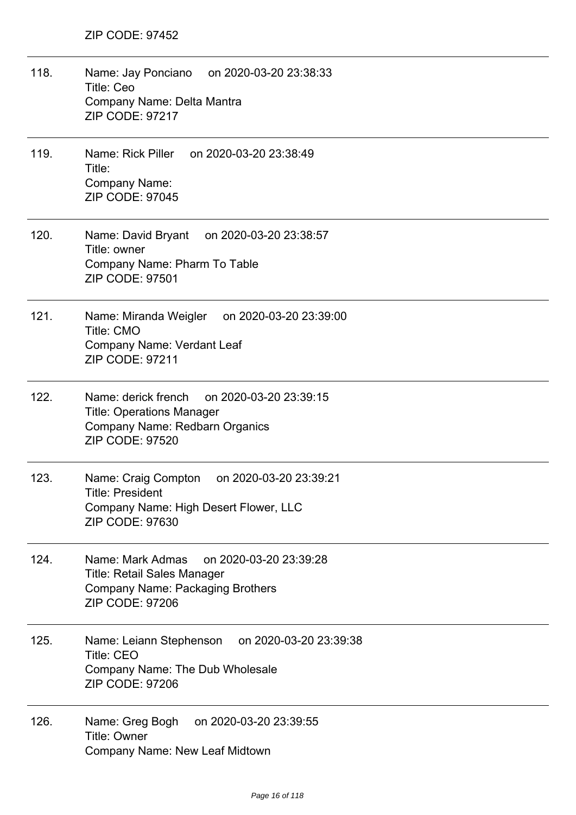118. Name: Jay Ponciano on 2020-03-20 23:38:33 Title: Ceo Company Name: Delta Mantra ZIP CODE: 97217 119. Name: Rick Piller on 2020-03-20 23:38:49 Title: Company Name: ZIP CODE: 97045 120. Name: David Bryant on 2020-03-20 23:38:57 Title: owner Company Name: Pharm To Table ZIP CODE: 97501 121. Name: Miranda Weigler on 2020-03-20 23:39:00 Title: CMO Company Name: Verdant Leaf ZIP CODE: 97211 122. Name: derick french on 2020-03-20 23:39:15 Title: Operations Manager Company Name: Redbarn Organics ZIP CODE: 97520 123. Name: Craig Compton on 2020-03-20 23:39:21 Title: President Company Name: High Desert Flower, LLC ZIP CODE: 97630 124. Name: Mark Admas on 2020-03-20 23:39:28 Title: Retail Sales Manager Company Name: Packaging Brothers ZIP CODE: 97206 125. Name: Leiann Stephenson on 2020-03-20 23:39:38 Title: CEO Company Name: The Dub Wholesale ZIP CODE: 97206 126. Name: Greg Bogh on 2020-03-20 23:39:55 Title: Owner Company Name: New Leaf Midtown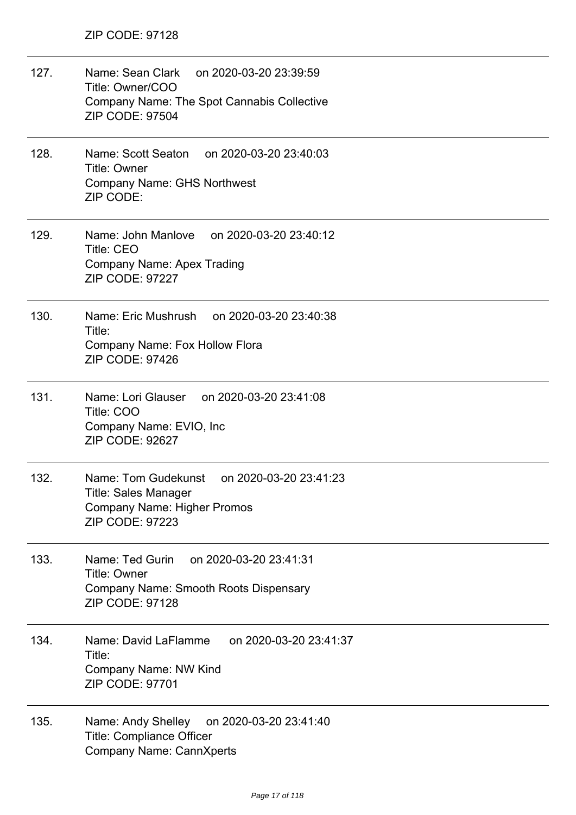- 127. Name: Sean Clark on 2020-03-20 23:39:59 Title: Owner/COO Company Name: The Spot Cannabis Collective ZIP CODE: 97504
- 128. Name: Scott Seaton on 2020-03-20 23:40:03 Title: Owner Company Name: GHS Northwest ZIP CODE:
- 129. Name: John Manlove on 2020-03-20 23:40:12 Title: CEO Company Name: Apex Trading ZIP CODE: 97227
- 130. Name: Eric Mushrush on 2020-03-20 23:40:38 Title: Company Name: Fox Hollow Flora ZIP CODE: 97426
- 131. Name: Lori Glauser on 2020-03-20 23:41:08 Title: COO Company Name: EVIO, Inc ZIP CODE: 92627
- 132. Name: Tom Gudekunst on 2020-03-20 23:41:23 Title: Sales Manager Company Name: Higher Promos ZIP CODE: 97223
- 133. Name: Ted Gurin on 2020-03-20 23:41:31 Title: Owner Company Name: Smooth Roots Dispensary ZIP CODE: 97128
- 134. Name: David LaFlamme on 2020-03-20 23:41:37 Title: Company Name: NW Kind ZIP CODE: 97701
- 135. Name: Andy Shelley on 2020-03-20 23:41:40 Title: Compliance Officer Company Name: CannXperts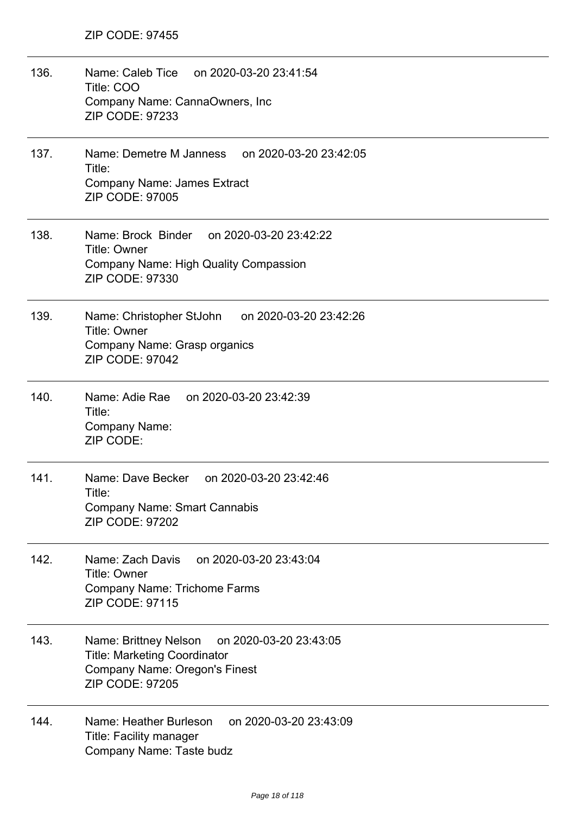| 136. | Name: Caleb Tice<br>on 2020-03-20 23:41:54<br>Title: COO<br>Company Name: CannaOwners, Inc<br>ZIP CODE: 97233                                     |
|------|---------------------------------------------------------------------------------------------------------------------------------------------------|
| 137. | Name: Demetre M Janness on 2020-03-20 23:42:05<br>Title:<br><b>Company Name: James Extract</b><br><b>ZIP CODE: 97005</b>                          |
| 138. | Name: Brock Binder<br>on 2020-03-20 23:42:22<br>Title: Owner<br><b>Company Name: High Quality Compassion</b><br>ZIP CODE: 97330                   |
| 139. | Name: Christopher StJohn on 2020-03-20 23:42:26<br>Title: Owner<br>Company Name: Grasp organics<br><b>ZIP CODE: 97042</b>                         |
| 140. | Name: Adie Rae<br>on 2020-03-20 23:42:39<br>Title:<br>Company Name:<br>ZIP CODE:                                                                  |
| 141. | Name: Dave Becker<br>on 2020-03-20 23:42:46<br>Title <sup>.</sup><br><b>Company Name: Smart Cannabis</b><br><b>ZIP CODE: 97202</b>                |
| 142. | on 2020-03-20 23:43:04<br>Name: Zach Davis<br><b>Title: Owner</b><br><b>Company Name: Trichome Farms</b><br><b>ZIP CODE: 97115</b>                |
| 143. | Name: Brittney Nelson<br>on 2020-03-20 23:43:05<br><b>Title: Marketing Coordinator</b><br>Company Name: Oregon's Finest<br><b>ZIP CODE: 97205</b> |
| 144. | Name: Heather Burleson<br>on 2020-03-20 23:43:09<br><b>Title: Facility manager</b><br>Company Name: Taste budz                                    |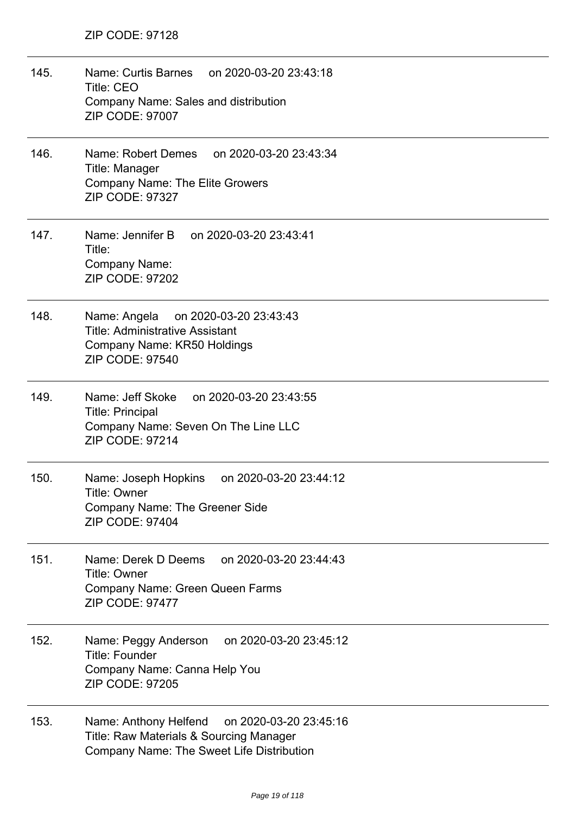- 145. Name: Curtis Barnes on 2020-03-20 23:43:18 Title: CEO Company Name: Sales and distribution ZIP CODE: 97007
- 146. Name: Robert Demes on 2020-03-20 23:43:34 Title: Manager Company Name: The Elite Growers ZIP CODE: 97327
- 147. Name: Jennifer B on 2020-03-20 23:43:41 Title: Company Name: ZIP CODE: 97202
- 148. Name: Angela on 2020-03-20 23:43:43 Title: Administrative Assistant Company Name: KR50 Holdings ZIP CODE: 97540
- 149. Name: Jeff Skoke on 2020-03-20 23:43:55 Title: Principal Company Name: Seven On The Line LLC ZIP CODE: 97214
- 150. Name: Joseph Hopkins on 2020-03-20 23:44:12 Title: Owner Company Name: The Greener Side ZIP CODE: 97404
- 151. Name: Derek D Deems on 2020-03-20 23:44:43 Title: Owner Company Name: Green Queen Farms ZIP CODE: 97477
- 152. Name: Peggy Anderson on 2020-03-20 23:45:12 Title: Founder Company Name: Canna Help You ZIP CODE: 97205
- 153. Name: Anthony Helfend on 2020-03-20 23:45:16 Title: Raw Materials & Sourcing Manager Company Name: The Sweet Life Distribution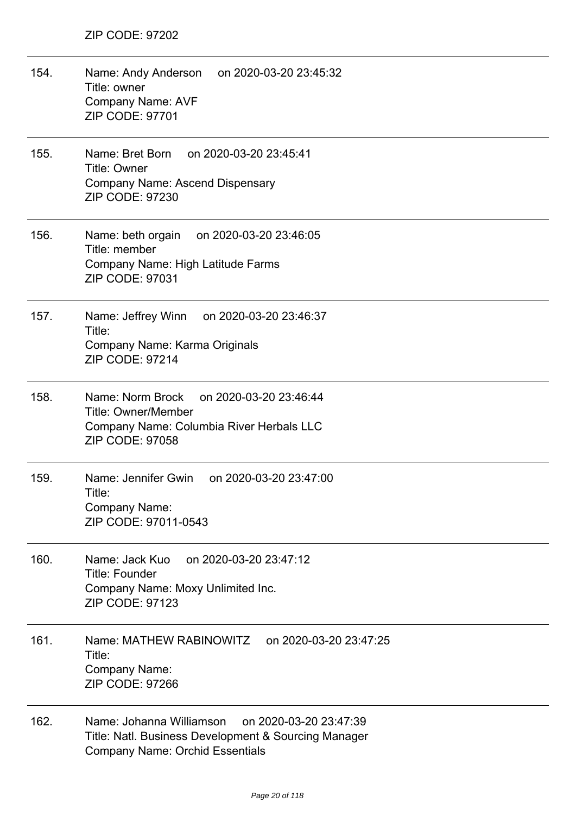| 154. | Name: Andy Anderson on 2020-03-20 23:45:32<br>Title: owner<br><b>Company Name: AVF</b><br>ZIP CODE: 97701                                            |
|------|------------------------------------------------------------------------------------------------------------------------------------------------------|
| 155. | Name: Bret Born<br>on 2020-03-20 23:45:41<br><b>Title: Owner</b><br><b>Company Name: Ascend Dispensary</b><br>ZIP CODE: 97230                        |
| 156. | Name: beth orgain<br>on 2020-03-20 23:46:05<br>Title: member<br>Company Name: High Latitude Farms<br>ZIP CODE: 97031                                 |
| 157. | Name: Jeffrey Winn on 2020-03-20 23:46:37<br>Title:<br>Company Name: Karma Originals<br><b>ZIP CODE: 97214</b>                                       |
| 158. | Name: Norm Brock<br>on 2020-03-20 23:46:44<br><b>Title: Owner/Member</b><br>Company Name: Columbia River Herbals LLC<br><b>ZIP CODE: 97058</b>       |
| 159. | Name: Jennifer Gwin<br>on 2020-03-20 23:47:00<br>Title:<br>Company Name:<br>ZIP CODE: 97011-0543                                                     |
| 160. | on 2020-03-20 23:47:12<br>Name: Jack Kuo<br><b>Title: Founder</b><br>Company Name: Moxy Unlimited Inc.<br><b>ZIP CODE: 97123</b>                     |
| 161. | Name: MATHEW RABINOWITZ<br>on 2020-03-20 23:47:25<br>Title:<br>Company Name:<br><b>ZIP CODE: 97266</b>                                               |
| 162. | Name: Johanna Williamson<br>on 2020-03-20 23:47:39<br>Title: Natl. Business Development & Sourcing Manager<br><b>Company Name: Orchid Essentials</b> |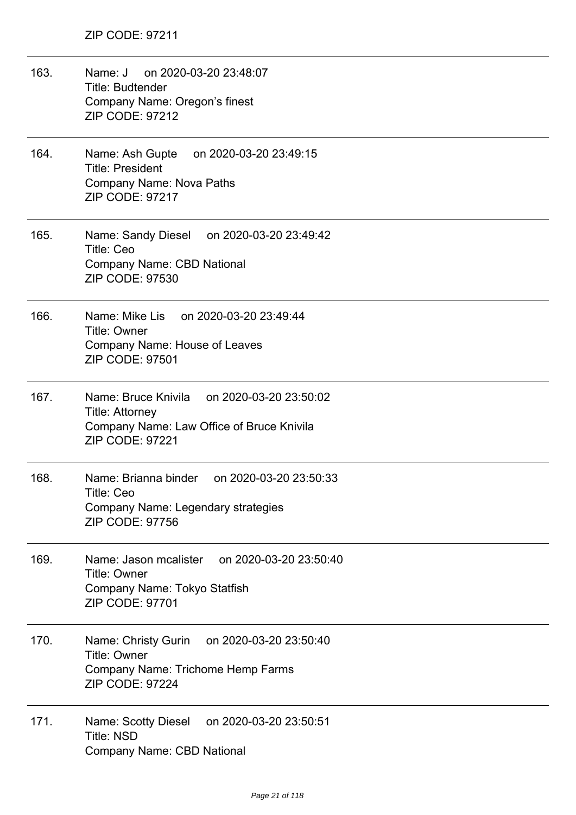| 163. | Name: J<br>on 2020-03-20 23:48:07<br><b>Title: Budtender</b><br>Company Name: Oregon's finest<br><b>ZIP CODE: 97212</b>                     |
|------|---------------------------------------------------------------------------------------------------------------------------------------------|
| 164. | Name: Ash Gupte<br>on 2020-03-20 23:49:15<br><b>Title: President</b><br><b>Company Name: Nova Paths</b><br><b>ZIP CODE: 97217</b>           |
| 165. | Name: Sandy Diesel on 2020-03-20 23:49:42<br><b>Title: Ceo</b><br><b>Company Name: CBD National</b><br>ZIP CODE: 97530                      |
| 166. | Name: Mike Lis on 2020-03-20 23:49:44<br><b>Title: Owner</b><br>Company Name: House of Leaves<br><b>ZIP CODE: 97501</b>                     |
| 167. | Name: Bruce Knivila on 2020-03-20 23:50:02<br><b>Title: Attorney</b><br>Company Name: Law Office of Bruce Knivila<br><b>ZIP CODE: 97221</b> |
| 168. | Name: Brianna binder on 2020-03-20 23:50:33<br>Title: Ceo<br>Company Name: Legendary strategies<br>ZIP CODE: 97756                          |
| 169. | on 2020-03-20 23:50:40<br>Name: Jason mcalister<br><b>Title: Owner</b><br>Company Name: Tokyo Statfish<br>ZIP CODE: 97701                   |
| 170. | on 2020-03-20 23:50:40<br>Name: Christy Gurin<br><b>Title: Owner</b><br>Company Name: Trichome Hemp Farms<br><b>ZIP CODE: 97224</b>         |
| 171. | on 2020-03-20 23:50:51<br>Name: Scotty Diesel<br><b>Title: NSD</b><br><b>Company Name: CBD National</b>                                     |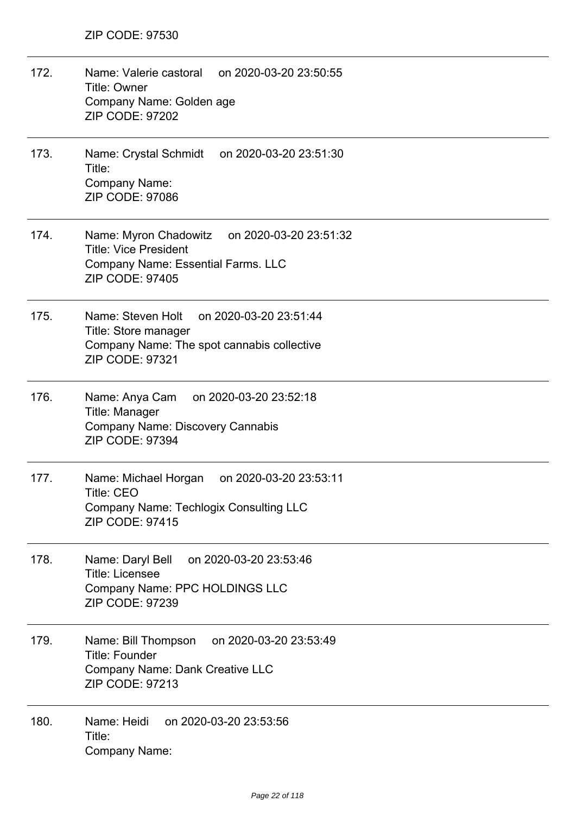172. Name: Valerie castoral on 2020-03-20 23:50:55 Title: Owner Company Name: Golden age ZIP CODE: 97202 173. Name: Crystal Schmidt on 2020-03-20 23:51:30 Title: Company Name: ZIP CODE: 97086 174. Name: Myron Chadowitz on 2020-03-20 23:51:32 Title: Vice President Company Name: Essential Farms. LLC ZIP CODE: 97405 175. Name: Steven Holt on 2020-03-20 23:51:44 Title: Store manager Company Name: The spot cannabis collective ZIP CODE: 97321 176. Name: Anya Cam on 2020-03-20 23:52:18 Title: Manager Company Name: Discovery Cannabis ZIP CODE: 97394 177. Name: Michael Horgan on 2020-03-20 23:53:11 Title: CEO Company Name: Techlogix Consulting LLC ZIP CODE: 97415 178. Name: Daryl Bell on 2020-03-20 23:53:46 Title: Licensee Company Name: PPC HOLDINGS LLC ZIP CODE: 97239 179. Name: Bill Thompson on 2020-03-20 23:53:49 Title: Founder Company Name: Dank Creative LLC ZIP CODE: 97213 180. Name: Heidi on 2020-03-20 23:53:56 Title: Company Name: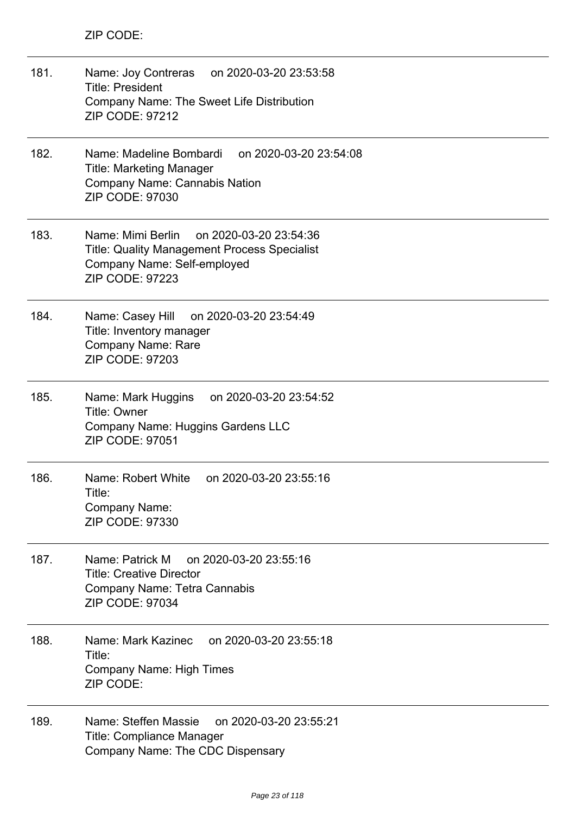| 181. | Name: Joy Contreras<br>on 2020-03-20 23:53:58<br><b>Title: President</b><br>Company Name: The Sweet Life Distribution<br><b>ZIP CODE: 97212</b>      |
|------|------------------------------------------------------------------------------------------------------------------------------------------------------|
| 182. | Name: Madeline Bombardi<br>on 2020-03-20 23:54:08<br><b>Title: Marketing Manager</b><br><b>Company Name: Cannabis Nation</b><br>ZIP CODE: 97030      |
| 183. | Name: Mimi Berlin<br>on 2020-03-20 23:54:36<br>Title: Quality Management Process Specialist<br>Company Name: Self-employed<br><b>ZIP CODE: 97223</b> |
| 184. | Name: Casey Hill<br>on 2020-03-20 23:54:49<br>Title: Inventory manager<br><b>Company Name: Rare</b><br><b>ZIP CODE: 97203</b>                        |
| 185. | Name: Mark Huggins<br>on 2020-03-20 23:54:52<br><b>Title: Owner</b><br>Company Name: Huggins Gardens LLC<br>ZIP CODE: 97051                          |
| 186. | Name: Robert White<br>on 2020-03-20 23:55:16<br>Title:<br>Company Name:<br><b>ZIP CODE: 97330</b>                                                    |
| 187. | Name: Patrick M<br>on 2020-03-20 23:55:16<br><b>Title: Creative Director</b><br>Company Name: Tetra Cannabis<br>ZIP CODE: 97034                      |
| 188. | Name: Mark Kazinec<br>on 2020-03-20 23:55:18<br>Title:<br><b>Company Name: High Times</b><br>ZIP CODE:                                               |
| 189. | Name: Steffen Massie<br>on 2020-03-20 23:55:21<br><b>Title: Compliance Manager</b><br>Company Name: The CDC Dispensary                               |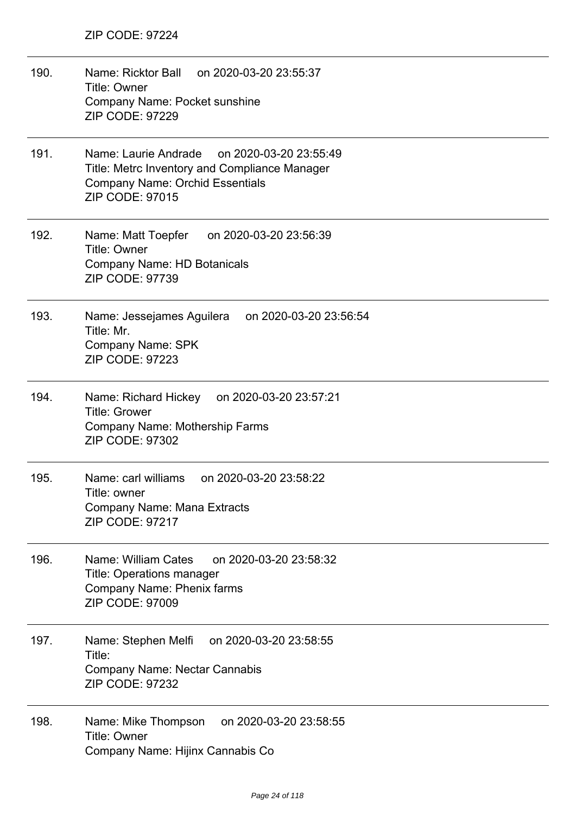190. Name: Ricktor Ball on 2020-03-20 23:55:37 Title: Owner Company Name: Pocket sunshine ZIP CODE: 97229 191. Name: Laurie Andrade on 2020-03-20 23:55:49 Title: Metrc Inventory and Compliance Manager Company Name: Orchid Essentials ZIP CODE: 97015 192. Name: Matt Toepfer on 2020-03-20 23:56:39 Title: Owner Company Name: HD Botanicals ZIP CODE: 97739 193. Name: Jessejames Aguilera on 2020-03-20 23:56:54 Title: Mr. Company Name: SPK ZIP CODE: 97223 194. Name: Richard Hickey on 2020-03-20 23:57:21 Title: Grower Company Name: Mothership Farms ZIP CODE: 97302 195. Name: carl williams on 2020-03-20 23:58:22 Title: owner Company Name: Mana Extracts ZIP CODE: 97217 196. Name: William Cates on 2020-03-20 23:58:32 Title: Operations manager Company Name: Phenix farms ZIP CODE: 97009 197. Name: Stephen Melfi on 2020-03-20 23:58:55 Title: Company Name: Nectar Cannabis ZIP CODE: 97232 198. Name: Mike Thompson on 2020-03-20 23:58:55 Title: Owner Company Name: Hijinx Cannabis Co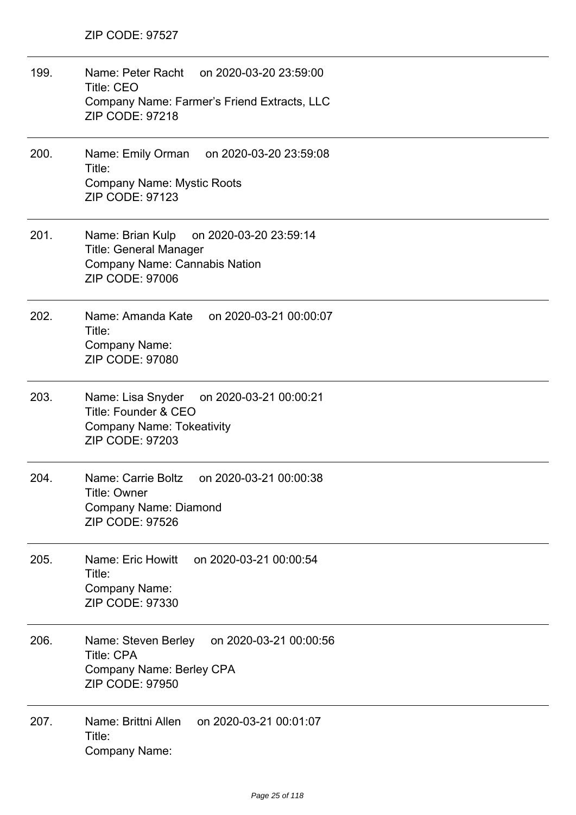| 199. | Name: Peter Racht on 2020-03-20 23:59:00<br><b>Title: CEO</b><br>Company Name: Farmer's Friend Extracts, LLC<br><b>ZIP CODE: 97218</b> |
|------|----------------------------------------------------------------------------------------------------------------------------------------|
| 200. | Name: Emily Orman on 2020-03-20 23:59:08<br>Title:<br><b>Company Name: Mystic Roots</b><br><b>ZIP CODE: 97123</b>                      |
| 201. | Name: Brian Kulp on 2020-03-20 23:59:14<br><b>Title: General Manager</b><br>Company Name: Cannabis Nation<br><b>ZIP CODE: 97006</b>    |
| 202. | Name: Amanda Kate on 2020-03-21 00:00:07<br>Title:<br>Company Name:<br>ZIP CODE: 97080                                                 |
| 203. | Name: Lisa Snyder on 2020-03-21 00:00:21<br>Title: Founder & CEO<br><b>Company Name: Tokeativity</b><br><b>ZIP CODE: 97203</b>         |
| 204. | Name: Carrie Boltz<br>on 2020-03-21 00:00:38<br>Title: Owner<br><b>Company Name: Diamond</b><br><b>ZIP CODE: 97526</b>                 |
| 205. | Name: Eric Howitt<br>on 2020-03-21 00:00:54<br>Title:<br>Company Name:<br>ZIP CODE: 97330                                              |
| 206. | on 2020-03-21 00:00:56<br>Name: Steven Berley<br><b>Title: CPA</b><br>Company Name: Berley CPA<br><b>ZIP CODE: 97950</b>               |
| 207. | Name: Brittni Allen<br>on 2020-03-21 00:01:07<br>Title:<br><b>Company Name:</b>                                                        |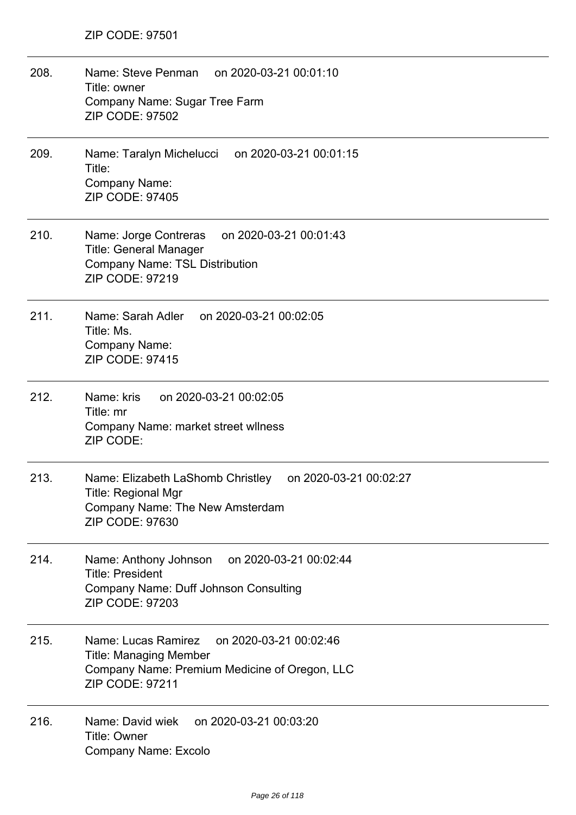| 208. | on 2020-03-21 00:01:10<br>Name: Steve Penman<br>Title: owner<br>Company Name: Sugar Tree Farm<br><b>ZIP CODE: 97502</b>                              |
|------|------------------------------------------------------------------------------------------------------------------------------------------------------|
| 209. | Name: Taralyn Michelucci<br>on 2020-03-21 00:01:15<br>Title:<br>Company Name:<br><b>ZIP CODE: 97405</b>                                              |
| 210. | Name: Jorge Contreras<br>on 2020-03-21 00:01:43<br><b>Title: General Manager</b><br><b>Company Name: TSL Distribution</b><br><b>ZIP CODE: 97219</b>  |
| 211. | Name: Sarah Adler<br>on 2020-03-21 00:02:05<br>Title: Ms.<br>Company Name:<br><b>ZIP CODE: 97415</b>                                                 |
| 212. | Name: kris<br>on 2020-03-21 00:02:05<br>Title: mr<br>Company Name: market street wilness<br>ZIP CODE:                                                |
| 213. | Name: Elizabeth LaShomb Christley<br>on 2020-03-21 00:02:27<br><b>Title: Regional Mgr</b><br>Company Name: The New Amsterdam<br>ZIP CODE: 97630      |
| 214. | on 2020-03-21 00:02:44<br>Name: Anthony Johnson<br><b>Title: President</b><br><b>Company Name: Duff Johnson Consulting</b><br><b>ZIP CODE: 97203</b> |
| 215. | Name: Lucas Ramirez<br>on 2020-03-21 00:02:46<br><b>Title: Managing Member</b><br>Company Name: Premium Medicine of Oregon, LLC<br>ZIP CODE: 97211   |
| 216. | Name: David wiek<br>on 2020-03-21 00:03:20<br>Title: Owner<br>Company Name: Excolo                                                                   |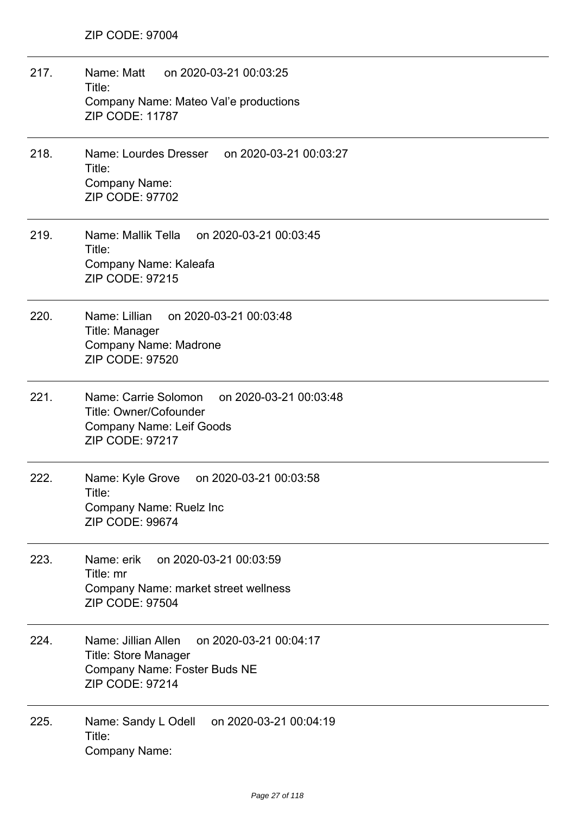| 217. | Name: Matt<br>on 2020-03-21 00:03:25<br>Title:<br>Company Name: Mateo Val'e productions<br><b>ZIP CODE: 11787</b>                     |
|------|---------------------------------------------------------------------------------------------------------------------------------------|
| 218. | Name: Lourdes Dresser<br>on 2020-03-21 00:03:27<br>Title:<br>Company Name:<br><b>ZIP CODE: 97702</b>                                  |
| 219. | Name: Mallik Tella<br>on 2020-03-21 00:03:45<br>Title:<br>Company Name: Kaleafa<br><b>ZIP CODE: 97215</b>                             |
| 220. | Name: Lillian<br>on 2020-03-21 00:03:48<br>Title: Manager<br><b>Company Name: Madrone</b><br><b>ZIP CODE: 97520</b>                   |
| 221. | Name: Carrie Solomon<br>on 2020-03-21 00:03:48<br>Title: Owner/Cofounder<br><b>Company Name: Leif Goods</b><br><b>ZIP CODE: 97217</b> |
| 222. | Name: Kyle Grove<br>on 2020-03-21 00:03:58<br>Title:<br>Company Name: Ruelz Inc<br><b>ZIP CODE: 99674</b>                             |
| 223. | Name: erik<br>on 2020-03-21 00:03:59<br>Title: mr<br>Company Name: market street wellness<br><b>ZIP CODE: 97504</b>                   |
| 224. | Name: Jillian Allen<br>on 2020-03-21 00:04:17<br>Title: Store Manager<br>Company Name: Foster Buds NE<br><b>ZIP CODE: 97214</b>       |
| 225. | on 2020-03-21 00:04:19<br>Name: Sandy L Odell<br>Title:<br>Company Name:                                                              |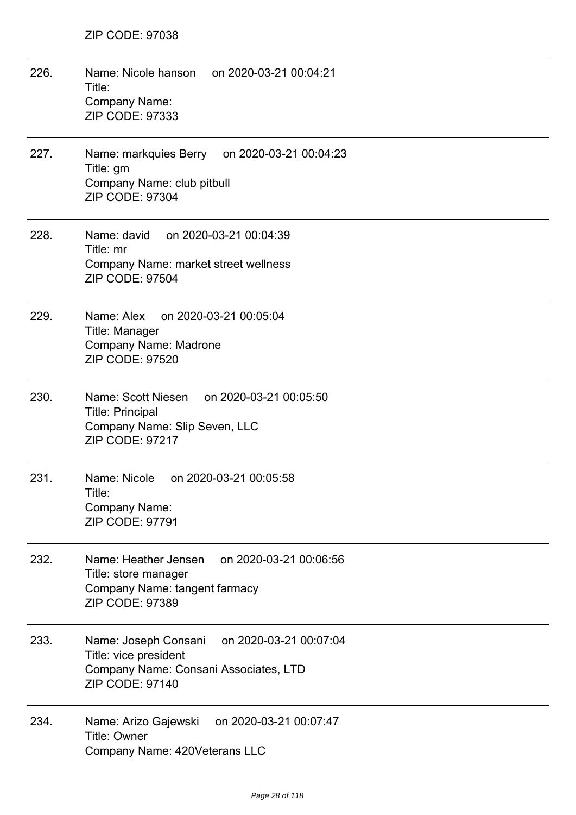| 226. | Name: Nicole hanson<br>on 2020-03-21 00:04:21<br>Title:<br>Company Name:<br><b>ZIP CODE: 97333</b>                                         |
|------|--------------------------------------------------------------------------------------------------------------------------------------------|
| 227. | Name: markquies Berry<br>on 2020-03-21 00:04:23<br>Title: gm<br>Company Name: club pitbull<br>ZIP CODE: 97304                              |
| 228. | Name: david on 2020-03-21 00:04:39<br>Title: mr<br>Company Name: market street wellness<br><b>ZIP CODE: 97504</b>                          |
| 229. | on 2020-03-21 00:05:04<br>Name: Alex<br>Title: Manager<br><b>Company Name: Madrone</b><br><b>ZIP CODE: 97520</b>                           |
| 230. | Name: Scott Niesen on 2020-03-21 00:05:50<br><b>Title: Principal</b><br>Company Name: Slip Seven, LLC<br><b>ZIP CODE: 97217</b>            |
| 231. | Name: Nicole<br>on 2020-03-21 00:05:58<br>Title:<br>Company Name:<br>ZIP CODE: 97791                                                       |
| 232. | Name: Heather Jensen<br>on 2020-03-21 00:06:56<br>Title: store manager<br>Company Name: tangent farmacy<br><b>ZIP CODE: 97389</b>          |
| 233. | on 2020-03-21 00:07:04<br>Name: Joseph Consani<br>Title: vice president<br>Company Name: Consani Associates, LTD<br><b>ZIP CODE: 97140</b> |
| 234. | on 2020-03-21 00:07:47<br>Name: Arizo Gajewski<br><b>Title: Owner</b><br>Company Name: 420Veterans LLC                                     |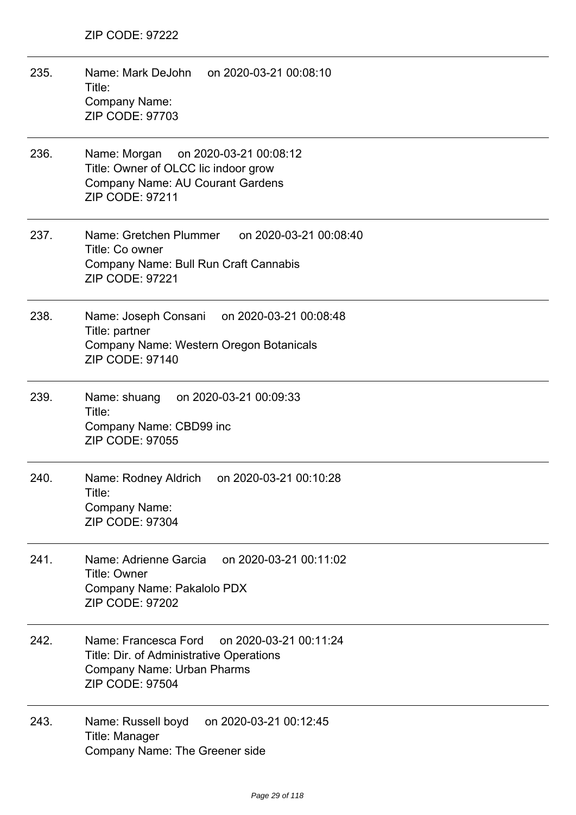- 235. Name: Mark DeJohn on 2020-03-21 00:08:10 Title: Company Name: ZIP CODE: 97703
- 236. Name: Morgan on 2020-03-21 00:08:12 Title: Owner of OLCC lic indoor grow Company Name: AU Courant Gardens ZIP CODE: 97211
- 237. Name: Gretchen Plummer on 2020-03-21 00:08:40 Title: Co owner Company Name: Bull Run Craft Cannabis ZIP CODE: 97221
- 238. Name: Joseph Consani on 2020-03-21 00:08:48 Title: partner Company Name: Western Oregon Botanicals ZIP CODE: 97140
- 239. Name: shuang on 2020-03-21 00:09:33 Title: Company Name: CBD99 inc ZIP CODE: 97055
- 240. Name: Rodney Aldrich on 2020-03-21 00:10:28 Title: Company Name: ZIP CODE: 97304
- 241. Name: Adrienne Garcia on 2020-03-21 00:11:02 Title: Owner Company Name: Pakalolo PDX ZIP CODE: 97202
- 242. Name: Francesca Ford on 2020-03-21 00:11:24 Title: Dir. of Administrative Operations Company Name: Urban Pharms ZIP CODE: 97504
- 243. Name: Russell boyd on 2020-03-21 00:12:45 Title: Manager Company Name: The Greener side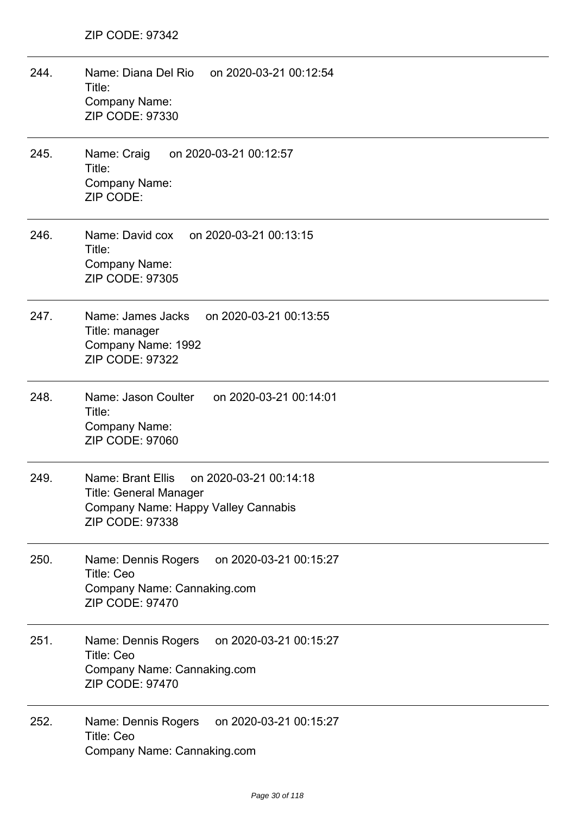| 244. | on 2020-03-21 00:12:54<br>Name: Diana Del Rio<br>Title:<br>Company Name:<br>ZIP CODE: 97330                                            |
|------|----------------------------------------------------------------------------------------------------------------------------------------|
| 245. | Name: Craig<br>on 2020-03-21 00:12:57<br>Title:<br>Company Name:<br>ZIP CODE:                                                          |
| 246. | Name: David cox on 2020-03-21 00:13:15<br>Title:<br>Company Name:<br><b>ZIP CODE: 97305</b>                                            |
| 247. | Name: James Jacks<br>on 2020-03-21 00:13:55<br>Title: manager<br>Company Name: 1992<br>ZIP CODE: 97322                                 |
| 248. | Name: Jason Coulter<br>on 2020-03-21 00:14:01<br>Title:<br>Company Name:<br><b>ZIP CODE: 97060</b>                                     |
| 249. | Name: Brant Ellis<br>on 2020-03-21 00:14:18<br><b>Title: General Manager</b><br>Company Name: Happy Valley Cannabis<br>ZIP CODE: 97338 |
| 250. | Name: Dennis Rogers<br>on 2020-03-21 00:15:27<br>Title: Ceo<br>Company Name: Cannaking.com<br><b>ZIP CODE: 97470</b>                   |
| 251. | on 2020-03-21 00:15:27<br>Name: Dennis Rogers<br><b>Title: Ceo</b><br>Company Name: Cannaking.com<br><b>ZIP CODE: 97470</b>            |
| 252. | on 2020-03-21 00:15:27<br>Name: Dennis Rogers<br>Title: Ceo<br>Company Name: Cannaking.com                                             |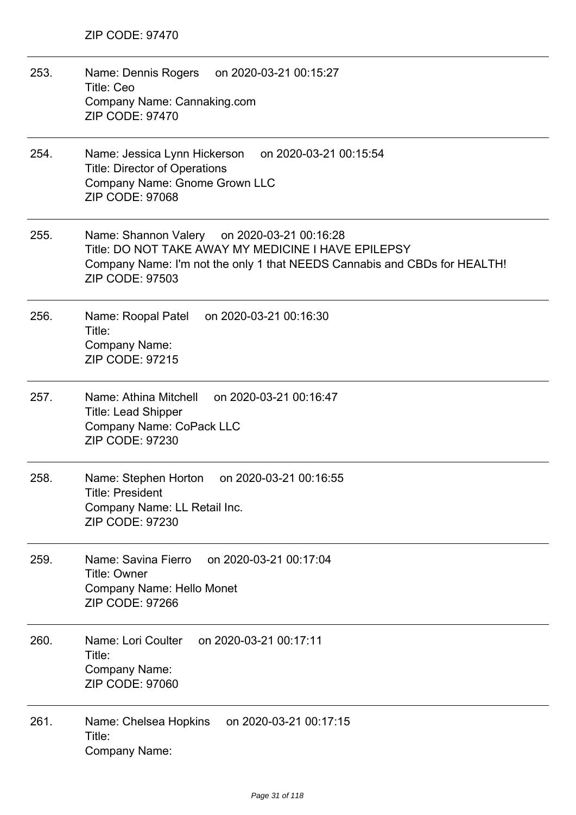| 253. | Name: Dennis Rogers<br>on 2020-03-21 00:15:27<br>Title: Ceo<br>Company Name: Cannaking.com<br><b>ZIP CODE: 97470</b>                                                                                      |
|------|-----------------------------------------------------------------------------------------------------------------------------------------------------------------------------------------------------------|
| 254. | Name: Jessica Lynn Hickerson<br>on 2020-03-21 00:15:54<br><b>Title: Director of Operations</b><br>Company Name: Gnome Grown LLC<br><b>ZIP CODE: 97068</b>                                                 |
| 255. | Name: Shannon Valery on 2020-03-21 00:16:28<br>Title: DO NOT TAKE AWAY MY MEDICINE I HAVE EPILEPSY<br>Company Name: I'm not the only 1 that NEEDS Cannabis and CBDs for HEALTH!<br><b>ZIP CODE: 97503</b> |
| 256. | Name: Roopal Patel on 2020-03-21 00:16:30<br>Title:<br>Company Name:<br><b>ZIP CODE: 97215</b>                                                                                                            |
| 257. | Name: Athina Mitchell<br>on 2020-03-21 00:16:47<br><b>Title: Lead Shipper</b><br>Company Name: CoPack LLC<br>ZIP CODE: 97230                                                                              |
| 258. | Name: Stephen Horton<br>on 2020-03-21 00:16:55<br><b>Title: President</b><br>Company Name: LL Retail Inc.<br><b>ZIP CODE: 97230</b>                                                                       |
| 259. | Name: Savina Fierro<br>on 2020-03-21 00:17:04<br><b>Title: Owner</b><br>Company Name: Hello Monet<br><b>ZIP CODE: 97266</b>                                                                               |
| 260. | Name: Lori Coulter<br>on 2020-03-21 00:17:11<br>Title:<br>Company Name:<br><b>ZIP CODE: 97060</b>                                                                                                         |
| 261. | on 2020-03-21 00:17:15<br>Name: Chelsea Hopkins<br>Title:<br>Company Name:                                                                                                                                |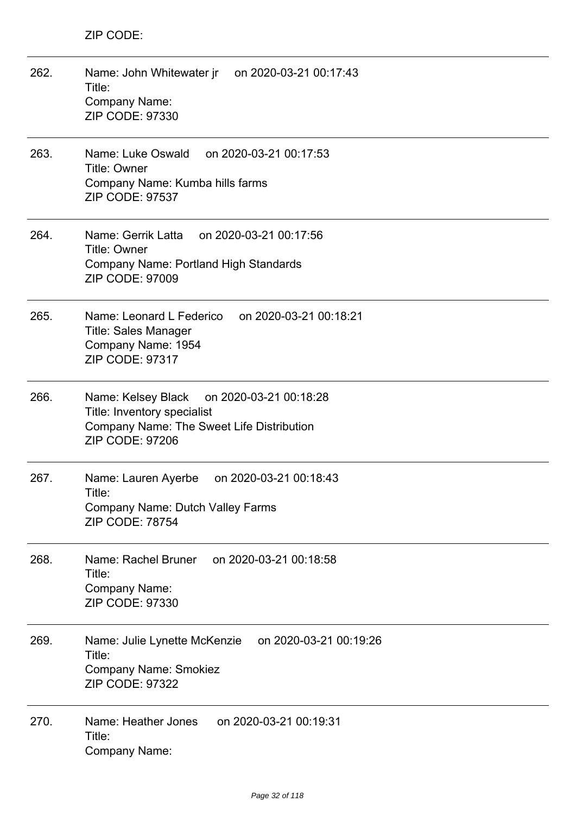| 262. | on 2020-03-21 00:17:43<br>Name: John Whitewater jr<br>Title:<br>Company Name:<br><b>ZIP CODE: 97330</b>                                            |
|------|----------------------------------------------------------------------------------------------------------------------------------------------------|
| 263. | Name: Luke Oswald<br>on 2020-03-21 00:17:53<br><b>Title: Owner</b><br>Company Name: Kumba hills farms<br><b>ZIP CODE: 97537</b>                    |
| 264. | Name: Gerrik Latta<br>on 2020-03-21 00:17:56<br><b>Title: Owner</b><br>Company Name: Portland High Standards<br><b>ZIP CODE: 97009</b>             |
| 265. | on 2020-03-21 00:18:21<br>Name: Leonard L Federico<br><b>Title: Sales Manager</b><br>Company Name: 1954<br>ZIP CODE: 97317                         |
| 266. | Name: Kelsey Black<br>on 2020-03-21 00:18:28<br>Title: Inventory specialist<br>Company Name: The Sweet Life Distribution<br><b>ZIP CODE: 97206</b> |
| 267. | Name: Lauren Ayerbe<br>on 2020-03-21 00:18:43<br>Title:<br><b>Company Name: Dutch Valley Farms</b><br><b>ZIP CODE: 78754</b>                       |
| 268. | Name: Rachel Bruner<br>on 2020-03-21 00:18:58<br>Title:<br><b>Company Name:</b><br>ZIP CODE: 97330                                                 |
| 269. | on 2020-03-21 00:19:26<br>Name: Julie Lynette McKenzie<br>Title:<br><b>Company Name: Smokiez</b><br><b>ZIP CODE: 97322</b>                         |
| 270. | Name: Heather Jones<br>on 2020-03-21 00:19:31<br>Title:<br>Company Name:                                                                           |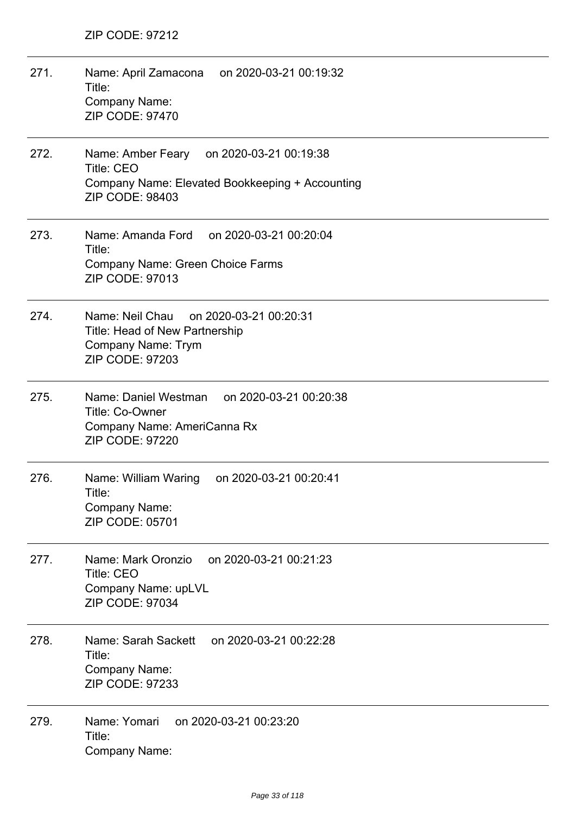| 271. | Name: April Zamacona on 2020-03-21 00:19:32<br>Title:<br>Company Name:<br><b>ZIP CODE: 97470</b>                                    |
|------|-------------------------------------------------------------------------------------------------------------------------------------|
| 272. | Name: Amber Feary on 2020-03-21 00:19:38<br><b>Title: CEO</b><br>Company Name: Elevated Bookkeeping + Accounting<br>ZIP CODE: 98403 |
| 273. | Name: Amanda Ford<br>on 2020-03-21 00:20:04<br>Title:<br>Company Name: Green Choice Farms<br><b>ZIP CODE: 97013</b>                 |
| 274. | Name: Neil Chau<br>on 2020-03-21 00:20:31<br>Title: Head of New Partnership<br>Company Name: Trym<br><b>ZIP CODE: 97203</b>         |
| 275. | Name: Daniel Westman<br>on 2020-03-21 00:20:38<br>Title: Co-Owner<br>Company Name: AmeriCanna Rx<br><b>ZIP CODE: 97220</b>          |
| 276. | Name: William Waring<br>on 2020-03-21 00:20:41<br>Title:<br><b>Company Name:</b><br>ZIP CODE: 05701                                 |
| 277. | on 2020-03-21 00:21:23<br>Name: Mark Oronzio<br><b>Title: CEO</b><br>Company Name: upLVL<br>ZIP CODE: 97034                         |
| 278. | Name: Sarah Sackett<br>on 2020-03-21 00:22:28<br>Title:<br>Company Name:<br>ZIP CODE: 97233                                         |
| 279. | Name: Yomari<br>on 2020-03-21 00:23:20<br>Title:<br><b>Company Name:</b>                                                            |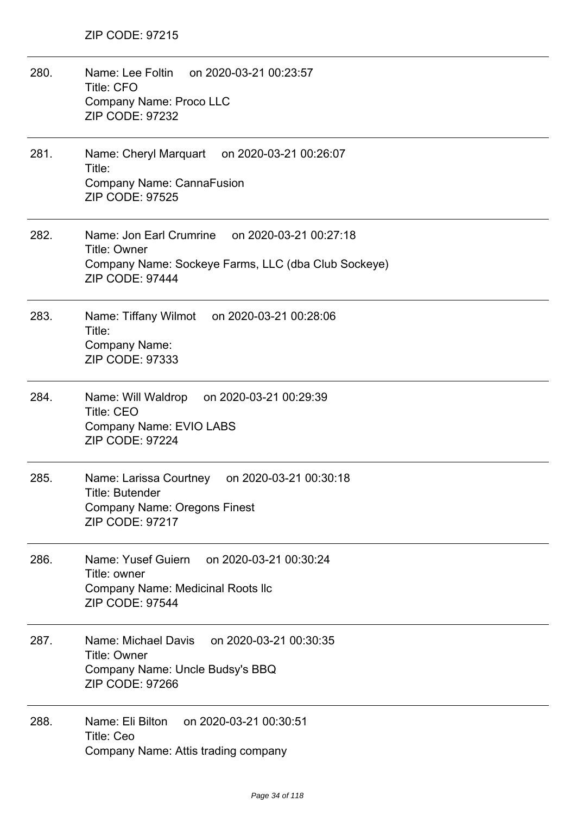| 280. | Name: Lee Foltin on 2020-03-21 00:23:57<br><b>Title: CFO</b><br>Company Name: Proco LLC<br>ZIP CODE: 97232                                      |
|------|-------------------------------------------------------------------------------------------------------------------------------------------------|
| 281. | Name: Cheryl Marquart on 2020-03-21 00:26:07<br>Title:<br>Company Name: CannaFusion<br><b>ZIP CODE: 97525</b>                                   |
| 282. | Name: Jon Earl Crumrine on 2020-03-21 00:27:18<br><b>Title: Owner</b><br>Company Name: Sockeye Farms, LLC (dba Club Sockeye)<br>ZIP CODE: 97444 |
| 283. | Name: Tiffany Wilmot on 2020-03-21 00:28:06<br>Title:<br>Company Name:<br>ZIP CODE: 97333                                                       |
| 284. | Name: Will Waldrop<br>on 2020-03-21 00:29:39<br><b>Title: CEO</b><br>Company Name: EVIO LABS<br><b>ZIP CODE: 97224</b>                          |
| 285. | Name: Larissa Courtney<br>on 2020-03-21 00:30:18<br>Title: Butender<br><b>Company Name: Oregons Finest</b><br>ZIP CODE: 97217                   |
| 286. | on 2020-03-21 00:30:24<br>Name: Yusef Guiern<br>Title: owner<br><b>Company Name: Medicinal Roots Ilc</b><br><b>ZIP CODE: 97544</b>              |
| 287. | Name: Michael Davis<br>on 2020-03-21 00:30:35<br><b>Title: Owner</b><br>Company Name: Uncle Budsy's BBQ<br><b>ZIP CODE: 97266</b>               |
| 288. | on 2020-03-21 00:30:51<br>Name: Eli Bilton<br>Title: Ceo<br>Company Name: Attis trading company                                                 |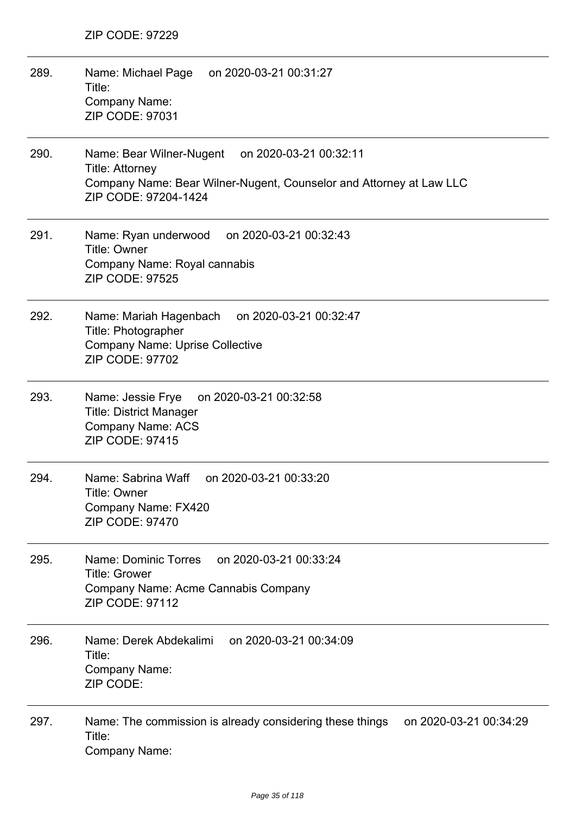| 289. | Name: Michael Page<br>on 2020-03-21 00:31:27<br>Title:<br>Company Name:<br>ZIP CODE: 97031                                                                                  |
|------|-----------------------------------------------------------------------------------------------------------------------------------------------------------------------------|
| 290. | Name: Bear Wilner-Nugent<br>on 2020-03-21 00:32:11<br><b>Title: Attorney</b><br>Company Name: Bear Wilner-Nugent, Counselor and Attorney at Law LLC<br>ZIP CODE: 97204-1424 |
| 291. | Name: Ryan underwood<br>on 2020-03-21 00:32:43<br>Title: Owner<br>Company Name: Royal cannabis<br><b>ZIP CODE: 97525</b>                                                    |
| 292. | Name: Mariah Hagenbach on 2020-03-21 00:32:47<br>Title: Photographer<br><b>Company Name: Uprise Collective</b><br>ZIP CODE: 97702                                           |
| 293. | Name: Jessie Frye<br>on 2020-03-21 00:32:58<br><b>Title: District Manager</b><br><b>Company Name: ACS</b><br>ZIP CODE: 97415                                                |
| 294. | Name: Sabrina Waff<br>on 2020-03-21 00:33:20<br>Title: Owner<br>Company Name: FX420<br><b>ZIP CODE: 97470</b>                                                               |
| 295. | on 2020-03-21 00:33:24<br>Name: Dominic Torres<br><b>Title: Grower</b><br>Company Name: Acme Cannabis Company<br><b>ZIP CODE: 97112</b>                                     |
| 296. | on 2020-03-21 00:34:09<br>Name: Derek Abdekalimi<br>Title:<br>Company Name:<br>ZIP CODE:                                                                                    |
| 297. | Name: The commission is already considering these things<br>on 2020-03-21 00:34:29<br>Title:<br>Company Name:                                                               |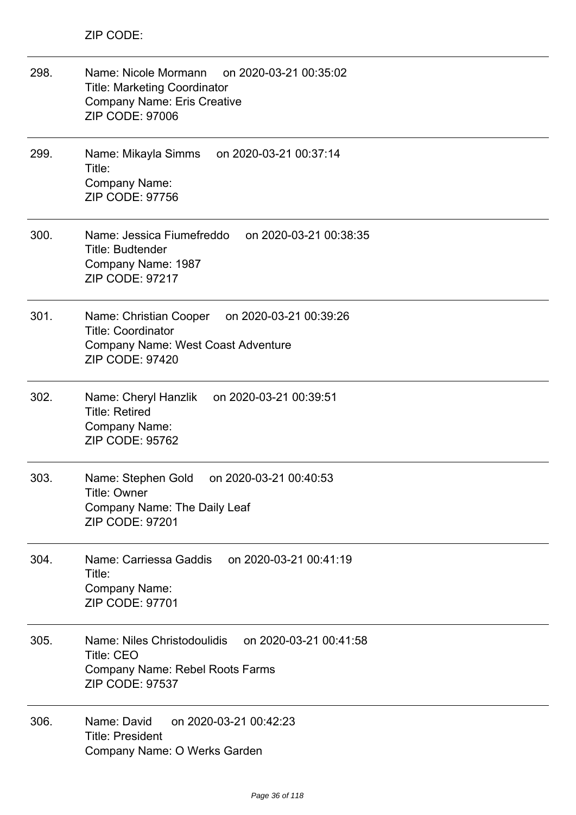| 298. | Name: Nicole Mormann on 2020-03-21 00:35:02<br><b>Title: Marketing Coordinator</b><br><b>Company Name: Eris Creative</b><br><b>ZIP CODE: 97006</b> |
|------|----------------------------------------------------------------------------------------------------------------------------------------------------|
| 299. | Name: Mikayla Simms on 2020-03-21 00:37:14<br>Title:<br><b>Company Name:</b><br>ZIP CODE: 97756                                                    |
| 300. | Name: Jessica Fiumefreddo on 2020-03-21 00:38:35<br>Title: Budtender<br>Company Name: 1987<br><b>ZIP CODE: 97217</b>                               |
| 301. | Name: Christian Cooper on 2020-03-21 00:39:26<br><b>Title: Coordinator</b><br>Company Name: West Coast Adventure<br><b>ZIP CODE: 97420</b>         |
| 302. | Name: Cheryl Hanzlik on 2020-03-21 00:39:51<br><b>Title: Retired</b><br>Company Name:<br>ZIP CODE: 95762                                           |
| 303. | Name: Stephen Gold<br>on 2020-03-21 00:40:53<br>Title: Owner<br>Company Name: The Daily Leaf<br><b>ZIP CODE: 97201</b>                             |
| 304. | on 2020-03-21 00:41:19<br>Name: Carriessa Gaddis<br>Title:<br><b>Company Name:</b><br>ZIP CODE: 97701                                              |
| 305. | Name: Niles Christodoulidis<br>on 2020-03-21 00:41:58<br><b>Title: CEO</b><br>Company Name: Rebel Roots Farms<br><b>ZIP CODE: 97537</b>            |
| 306. | Name: David<br>on 2020-03-21 00:42:23<br><b>Title: President</b><br>Company Name: O Werks Garden                                                   |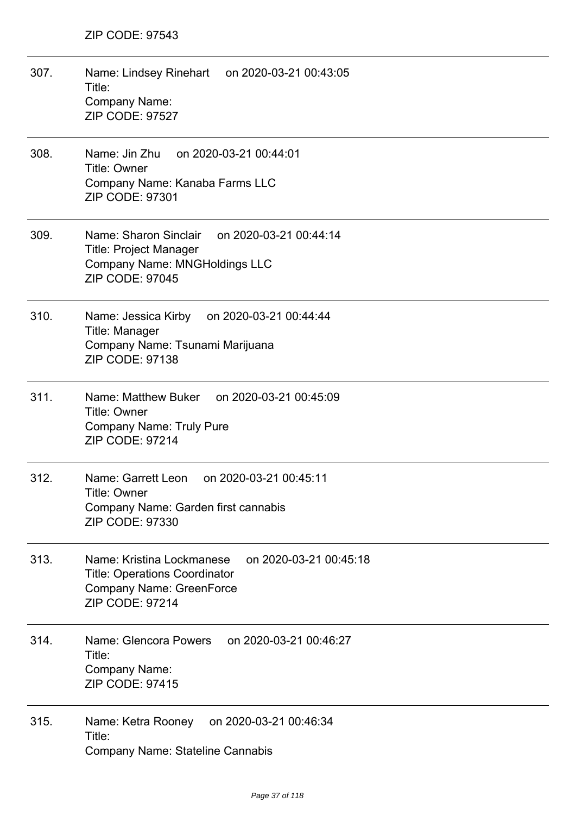| 307. | Name: Lindsey Rinehart on 2020-03-21 00:43:05<br>Title:<br>Company Name:<br>ZIP CODE: 97527                                                              |
|------|----------------------------------------------------------------------------------------------------------------------------------------------------------|
| 308. | Name: Jin Zhu<br>on 2020-03-21 00:44:01<br>Title: Owner<br>Company Name: Kanaba Farms LLC<br>ZIP CODE: 97301                                             |
| 309. | Name: Sharon Sinclair<br>on 2020-03-21 00:44:14<br><b>Title: Project Manager</b><br><b>Company Name: MNGHoldings LLC</b><br><b>ZIP CODE: 97045</b>       |
| 310. | Name: Jessica Kirby on 2020-03-21 00:44:44<br>Title: Manager<br>Company Name: Tsunami Marijuana<br><b>ZIP CODE: 97138</b>                                |
| 311. | Name: Matthew Buker on 2020-03-21 00:45:09<br><b>Title: Owner</b><br><b>Company Name: Truly Pure</b><br><b>ZIP CODE: 97214</b>                           |
| 312. | Name: Garrett Leon<br>on 2020-03-21 00:45:11<br><b>Title: Owner</b><br>Company Name: Garden first cannabis<br>ZIP CODE: 97330                            |
| 313. | Name: Kristina Lockmanese<br>on 2020-03-21 00:45:18<br><b>Title: Operations Coordinator</b><br><b>Company Name: GreenForce</b><br><b>ZIP CODE: 97214</b> |
| 314. | Name: Glencora Powers<br>on 2020-03-21 00:46:27<br>Title:<br>Company Name:<br>ZIP CODE: 97415                                                            |
| 315. | on 2020-03-21 00:46:34<br>Name: Ketra Rooney<br>Title:<br><b>Company Name: Stateline Cannabis</b>                                                        |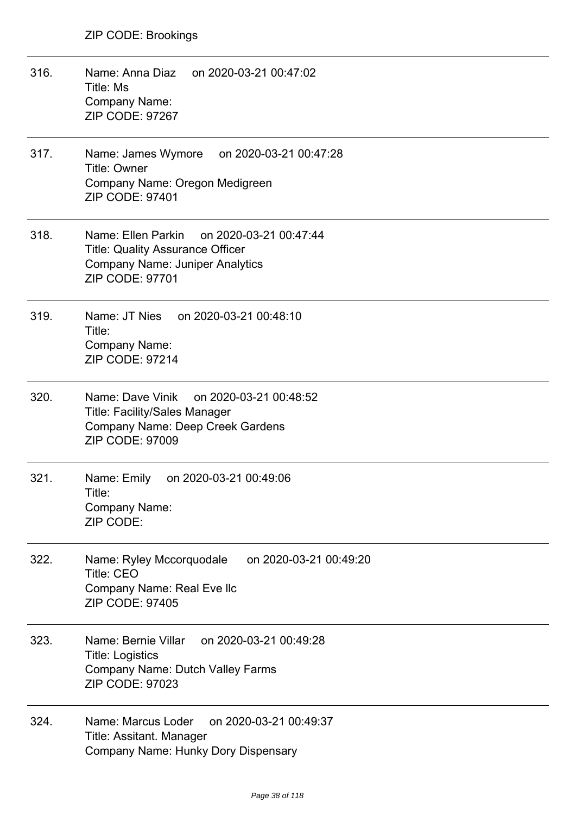- 316. Name: Anna Diaz on 2020-03-21 00:47:02 Title: Ms Company Name: ZIP CODE: 97267
- 317. Name: James Wymore on 2020-03-21 00:47:28 Title: Owner Company Name: Oregon Medigreen ZIP CODE: 97401
- 318. Name: Ellen Parkin on 2020-03-21 00:47:44 Title: Quality Assurance Officer Company Name: Juniper Analytics ZIP CODE: 97701
- 319. Name: JT Nies on 2020-03-21 00:48:10 Title: Company Name: ZIP CODE: 97214
- 320. Name: Dave Vinik on 2020-03-21 00:48:52 Title: Facility/Sales Manager Company Name: Deep Creek Gardens ZIP CODE: 97009
- 321. Name: Emily on 2020-03-21 00:49:06 Title: Company Name: ZIP CODE:
- 322. Name: Ryley Mccorquodale on 2020-03-21 00:49:20 Title: CEO Company Name: Real Eve llc ZIP CODE: 97405
- 323. Name: Bernie Villar on 2020-03-21 00:49:28 Title: Logistics Company Name: Dutch Valley Farms ZIP CODE: 97023
- 324. Name: Marcus Loder on 2020-03-21 00:49:37 Title: Assitant. Manager Company Name: Hunky Dory Dispensary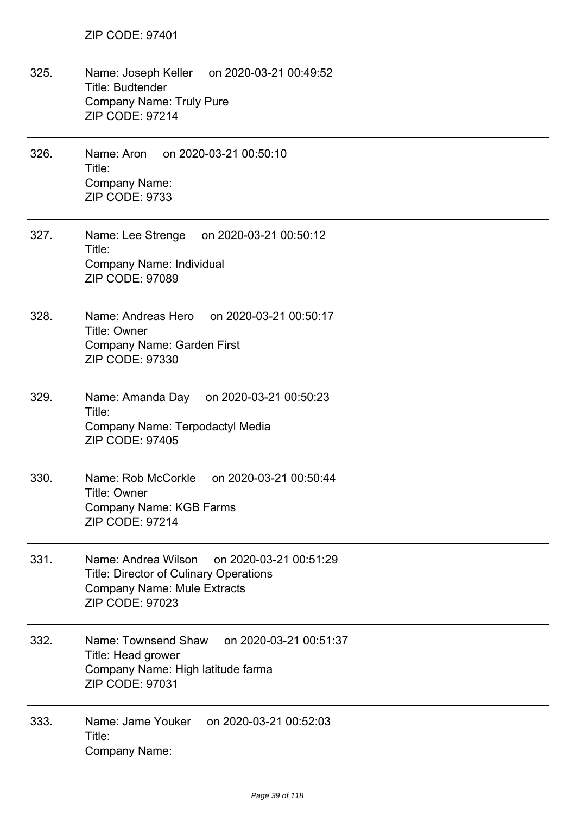| 325. | Name: Joseph Keller on 2020-03-21 00:49:52<br><b>Title: Budtender</b><br><b>Company Name: Truly Pure</b><br><b>ZIP CODE: 97214</b>                             |
|------|----------------------------------------------------------------------------------------------------------------------------------------------------------------|
| 326. | Name: Aron on 2020-03-21 00:50:10<br>Title:<br><b>Company Name:</b><br><b>ZIP CODE: 9733</b>                                                                   |
| 327. | Name: Lee Strenge on 2020-03-21 00:50:12<br>Title:<br>Company Name: Individual<br><b>ZIP CODE: 97089</b>                                                       |
| 328. | Name: Andreas Hero on 2020-03-21 00:50:17<br>Title: Owner<br>Company Name: Garden First<br>ZIP CODE: 97330                                                     |
| 329. | on 2020-03-21 00:50:23<br>Name: Amanda Day<br>Title:<br>Company Name: Terpodactyl Media<br><b>ZIP CODE: 97405</b>                                              |
| 330. | Name: Rob McCorkle<br>on 2020-03-21 00:50:44<br>Title: Owner<br><b>Company Name: KGB Farms</b><br><b>ZIP CODE: 97214</b>                                       |
| 331. | Name: Andrea Wilson<br>on 2020-03-21 00:51:29<br><b>Title: Director of Culinary Operations</b><br><b>Company Name: Mule Extracts</b><br><b>ZIP CODE: 97023</b> |
| 332. | Name: Townsend Shaw<br>on 2020-03-21 00:51:37<br>Title: Head grower<br>Company Name: High latitude farma<br>ZIP CODE: 97031                                    |
| 333. | Name: Jame Youker<br>on 2020-03-21 00:52:03<br>Title:<br>Company Name:                                                                                         |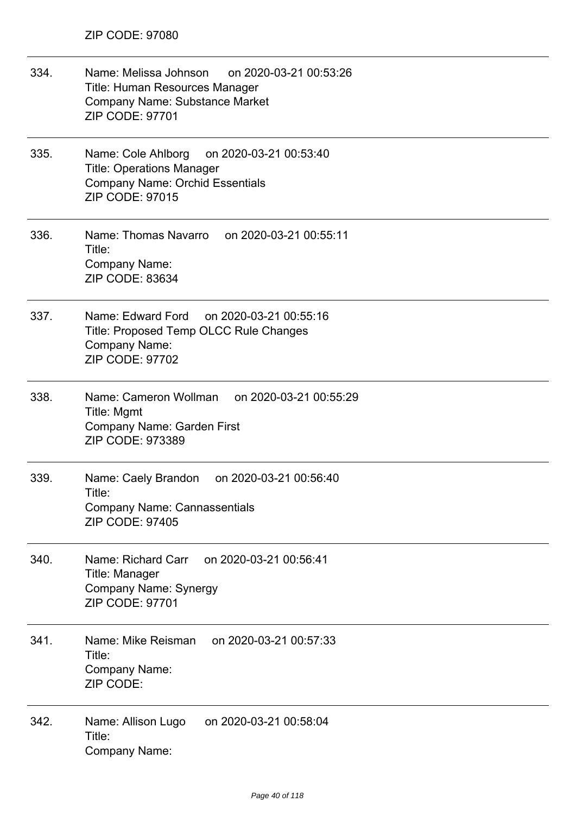| 334. | Name: Melissa Johnson on 2020-03-21 00:53:26<br><b>Title: Human Resources Manager</b><br>Company Name: Substance Market<br><b>ZIP CODE: 97701</b> |
|------|---------------------------------------------------------------------------------------------------------------------------------------------------|
| 335. | Name: Cole Ahlborg<br>on 2020-03-21 00:53:40<br><b>Title: Operations Manager</b><br><b>Company Name: Orchid Essentials</b><br>ZIP CODE: 97015     |
| 336. | Name: Thomas Navarro on 2020-03-21 00:55:11<br>Title:<br><b>Company Name:</b><br>ZIP CODE: 83634                                                  |
| 337. | Name: Edward Ford<br>on 2020-03-21 00:55:16<br>Title: Proposed Temp OLCC Rule Changes<br>Company Name:<br>ZIP CODE: 97702                         |
| 338. | Name: Cameron Wollman<br>on 2020-03-21 00:55:29<br>Title: Mgmt<br>Company Name: Garden First<br>ZIP CODE: 973389                                  |
| 339. | Name: Caely Brandon<br>on 2020-03-21 00:56:40<br>Title:<br><b>Company Name: Cannassentials</b><br><b>ZIP CODE: 97405</b>                          |
| 340. | on 2020-03-21 00:56:41<br>Name: Richard Carr<br>Title: Manager<br><b>Company Name: Synergy</b><br>ZIP CODE: 97701                                 |
| 341. | Name: Mike Reisman<br>on 2020-03-21 00:57:33<br>Title:<br><b>Company Name:</b><br>ZIP CODE:                                                       |
| 342. | on 2020-03-21 00:58:04<br>Name: Allison Lugo<br>Title:<br><b>Company Name:</b>                                                                    |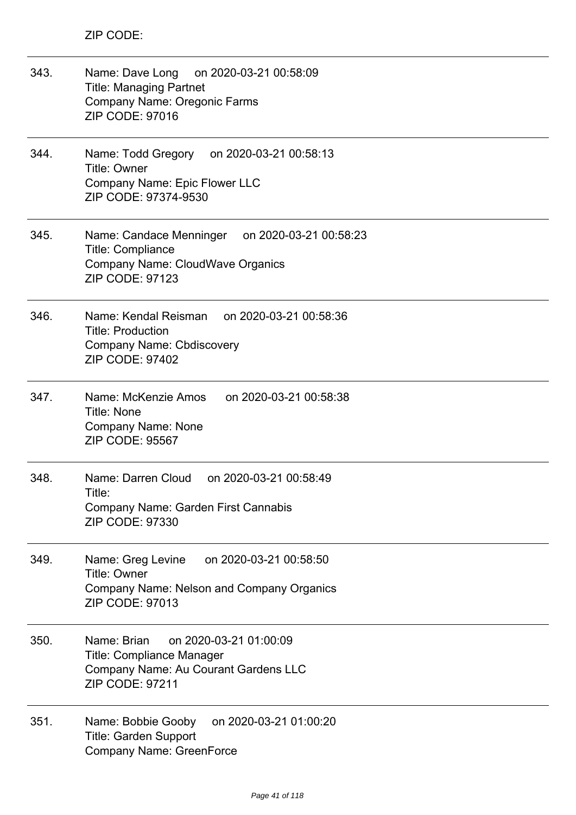| 343. | Name: Dave Long on 2020-03-21 00:58:09<br><b>Title: Managing Partnet</b><br>Company Name: Oregonic Farms<br><b>ZIP CODE: 97016</b>          |
|------|---------------------------------------------------------------------------------------------------------------------------------------------|
| 344. | Name: Todd Gregory on 2020-03-21 00:58:13<br><b>Title: Owner</b><br>Company Name: Epic Flower LLC<br>ZIP CODE: 97374-9530                   |
| 345. | Name: Candace Menninger on 2020-03-21 00:58:23<br><b>Title: Compliance</b><br>Company Name: CloudWave Organics<br><b>ZIP CODE: 97123</b>    |
| 346. | Name: Kendal Reisman on 2020-03-21 00:58:36<br><b>Title: Production</b><br><b>Company Name: Cbdiscovery</b><br><b>ZIP CODE: 97402</b>       |
| 347. | Name: McKenzie Amos<br>on 2020-03-21 00:58:38<br><b>Title: None</b><br><b>Company Name: None</b><br><b>ZIP CODE: 95567</b>                  |
| 348. | Name: Darren Cloud<br>on 2020-03-21 00:58:49<br>Title:<br><b>Company Name: Garden First Cannabis</b><br><b>ZIP CODE: 97330</b>              |
| 349. | on 2020-03-21 00:58:50<br>Name: Greg Levine<br><b>Title: Owner</b><br>Company Name: Nelson and Company Organics<br><b>ZIP CODE: 97013</b>   |
| 350. | Name: Brian<br>on 2020-03-21 01:00:09<br><b>Title: Compliance Manager</b><br>Company Name: Au Courant Gardens LLC<br><b>ZIP CODE: 97211</b> |
| 351. | on 2020-03-21 01:00:20<br>Name: Bobbie Gooby<br><b>Title: Garden Support</b><br>Company Name: GreenForce                                    |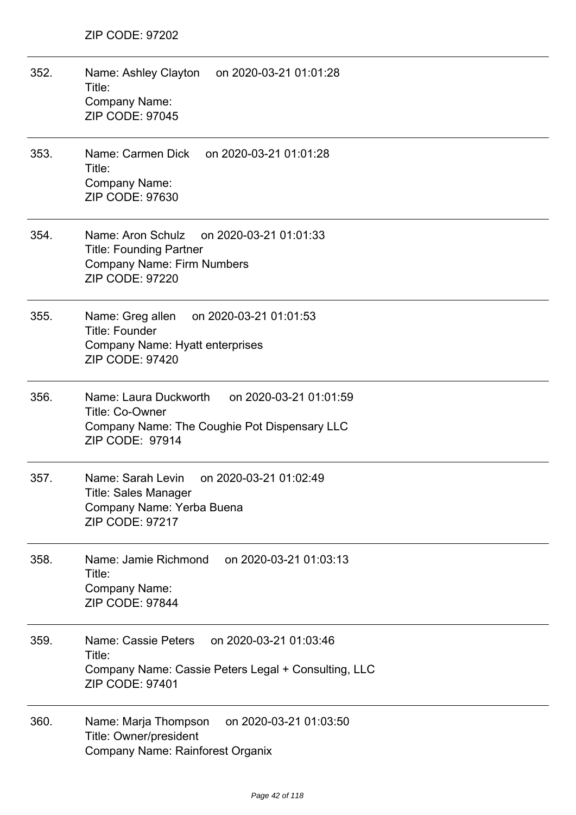| 352. | Name: Ashley Clayton on 2020-03-21 01:01:28<br>Title:<br>Company Name:<br><b>ZIP CODE: 97045</b>                                             |
|------|----------------------------------------------------------------------------------------------------------------------------------------------|
| 353. | Name: Carmen Dick on 2020-03-21 01:01:28<br>Title:<br>Company Name:<br>ZIP CODE: 97630                                                       |
| 354. | Name: Aron Schulz<br>on 2020-03-21 01:01:33<br><b>Title: Founding Partner</b><br><b>Company Name: Firm Numbers</b><br><b>ZIP CODE: 97220</b> |
| 355. | Name: Greg allen<br>on 2020-03-21 01:01:53<br><b>Title: Founder</b><br>Company Name: Hyatt enterprises<br><b>ZIP CODE: 97420</b>             |
| 356. | Name: Laura Duckworth<br>on 2020-03-21 01:01:59<br>Title: Co-Owner<br>Company Name: The Coughie Pot Dispensary LLC<br>ZIP CODE: 97914        |
| 357. | Name: Sarah Levin<br>on 2020-03-21 01:02:49<br>Title: Sales Manager<br>Company Name: Yerba Buena<br><b>ZIP CODE: 97217</b>                   |
| 358. | Name: Jamie Richmond<br>on 2020-03-21 01:03:13<br>Title:<br>Company Name:<br>ZIP CODE: 97844                                                 |
| 359. | on 2020-03-21 01:03:46<br>Name: Cassie Peters<br>Title:<br>Company Name: Cassie Peters Legal + Consulting, LLC<br><b>ZIP CODE: 97401</b>     |
| 360. | on 2020-03-21 01:03:50<br>Name: Marja Thompson<br>Title: Owner/president<br>Company Name: Rainforest Organix                                 |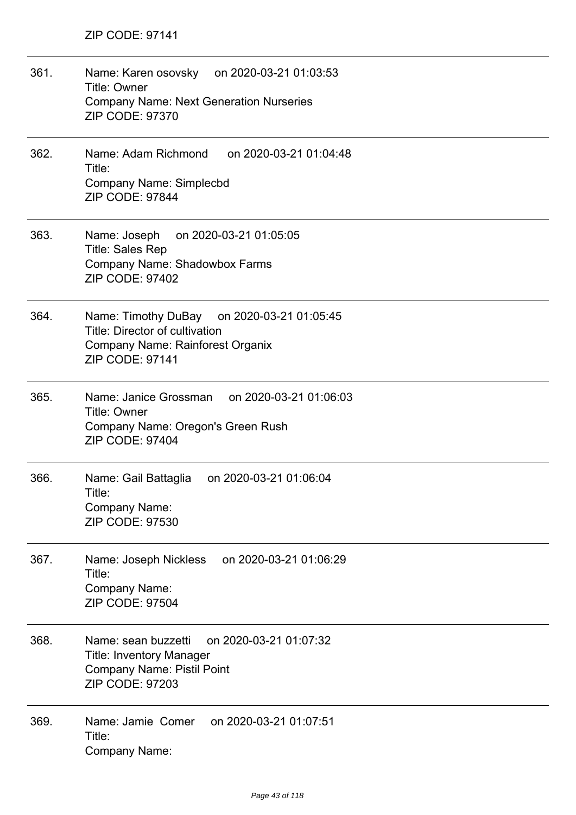| 361. | Name: Karen osovsky on 2020-03-21 01:03:53<br>Title: Owner<br><b>Company Name: Next Generation Nurseries</b><br><b>ZIP CODE: 97370</b>          |
|------|-------------------------------------------------------------------------------------------------------------------------------------------------|
| 362. | Name: Adam Richmond<br>on 2020-03-21 01:04:48<br>Title:<br><b>Company Name: Simplecbd</b><br>ZIP CODE: 97844                                    |
| 363. | Name: Joseph on 2020-03-21 01:05:05<br><b>Title: Sales Rep</b><br>Company Name: Shadowbox Farms<br>ZIP CODE: 97402                              |
| 364. | Name: Timothy DuBay on 2020-03-21 01:05:45<br>Title: Director of cultivation<br>Company Name: Rainforest Organix<br>ZIP CODE: 97141             |
| 365. | Name: Janice Grossman on 2020-03-21 01:06:03<br><b>Title: Owner</b><br>Company Name: Oregon's Green Rush<br><b>ZIP CODE: 97404</b>              |
| 366. | Name: Gail Battaglia<br>on 2020-03-21 01:06:04<br>Title:<br><b>Company Name:</b><br><b>ZIP CODE: 97530</b>                                      |
| 367. | on 2020-03-21 01:06:29<br>Name: Joseph Nickless<br>Title:<br>Company Name:<br><b>ZIP CODE: 97504</b>                                            |
| 368. | on 2020-03-21 01:07:32<br>Name: sean buzzetti<br><b>Title: Inventory Manager</b><br><b>Company Name: Pistil Point</b><br><b>ZIP CODE: 97203</b> |
| 369. | Name: Jamie Comer<br>on 2020-03-21 01:07:51<br>Title:<br><b>Company Name:</b>                                                                   |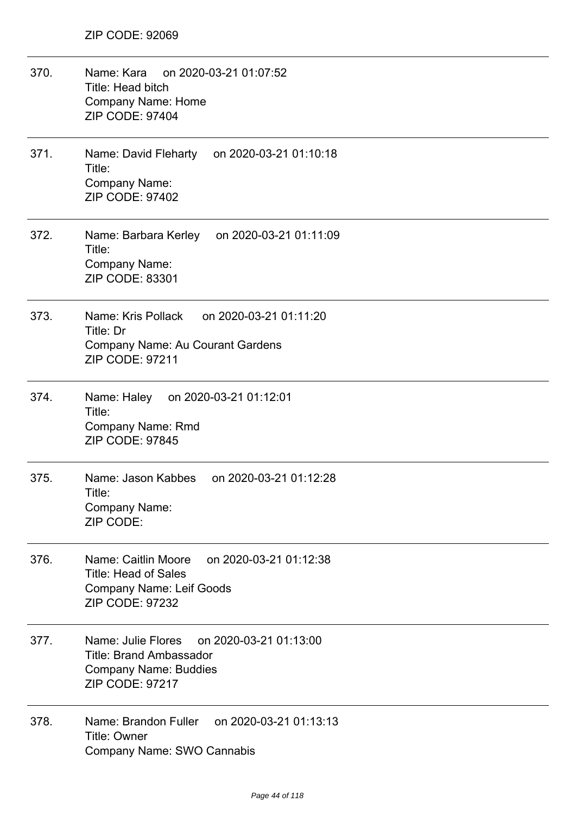| 370. | Name: Kara on 2020-03-21 01:07:52<br>Title: Head bitch<br><b>Company Name: Home</b><br>ZIP CODE: 97404                                    |
|------|-------------------------------------------------------------------------------------------------------------------------------------------|
| 371. | Name: David Fleharty on 2020-03-21 01:10:18<br>Title:<br>Company Name:<br>ZIP CODE: 97402                                                 |
| 372. | Name: Barbara Kerley on 2020-03-21 01:11:09<br>Title:<br>Company Name:<br>ZIP CODE: 83301                                                 |
| 373. | Name: Kris Pollack<br>on 2020-03-21 01:11:20<br>Title: Dr<br><b>Company Name: Au Courant Gardens</b><br><b>ZIP CODE: 97211</b>            |
| 374. | on 2020-03-21 01:12:01<br>Name: Haley<br>Title:<br><b>Company Name: Rmd</b><br><b>ZIP CODE: 97845</b>                                     |
| 375. | Name: Jason Kabbes<br>on 2020-03-21 01:12:28<br>Title:<br>Company Name:<br>ZIP CODE:                                                      |
| 376. | on 2020-03-21 01:12:38<br>Name: Caitlin Moore<br><b>Title: Head of Sales</b><br><b>Company Name: Leif Goods</b><br><b>ZIP CODE: 97232</b> |
| 377. | Name: Julie Flores<br>on 2020-03-21 01:13:00<br><b>Title: Brand Ambassador</b><br><b>Company Name: Buddies</b><br><b>ZIP CODE: 97217</b>  |
| 378. | Name: Brandon Fuller on 2020-03-21 01:13:13<br>Title: Owner<br>Company Name: SWO Cannabis                                                 |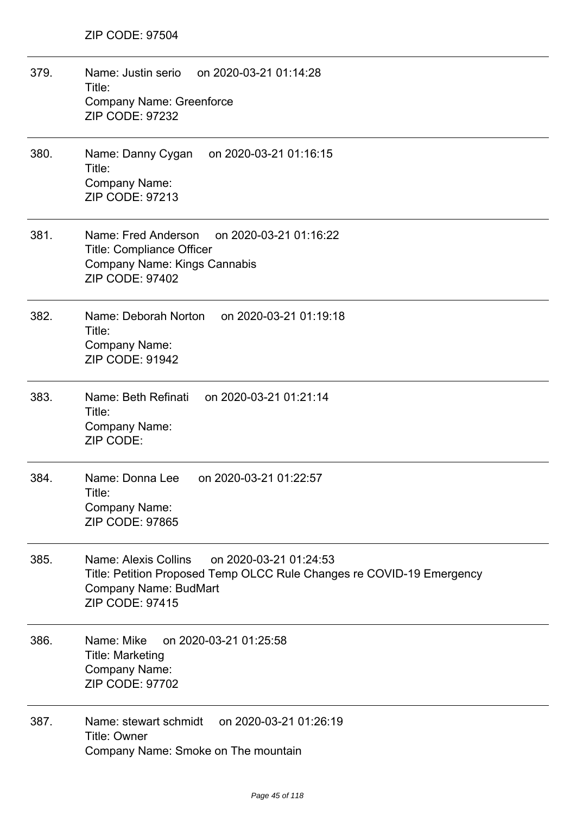| 379. | Name: Justin serio on 2020-03-21 01:14:28<br>Title:<br><b>Company Name: Greenforce</b><br><b>ZIP CODE: 97232</b>                                                           |
|------|----------------------------------------------------------------------------------------------------------------------------------------------------------------------------|
| 380. | Name: Danny Cygan<br>on 2020-03-21 01:16:15<br>Title:<br>Company Name:<br><b>ZIP CODE: 97213</b>                                                                           |
| 381. | Name: Fred Anderson<br>on 2020-03-21 01:16:22<br><b>Title: Compliance Officer</b><br><b>Company Name: Kings Cannabis</b><br><b>ZIP CODE: 97402</b>                         |
| 382. | Name: Deborah Norton<br>on 2020-03-21 01:19:18<br>Title:<br>Company Name:<br><b>ZIP CODE: 91942</b>                                                                        |
| 383. | Name: Beth Refinati on 2020-03-21 01:21:14<br>Title:<br>Company Name:<br>ZIP CODE:                                                                                         |
| 384. | Name: Donna Lee<br>on 2020-03-21 01:22:57<br>Title:<br>Company Name:<br><b>ZIP CODE: 97865</b>                                                                             |
| 385. | Name: Alexis Collins<br>on 2020-03-21 01:24:53<br>Title: Petition Proposed Temp OLCC Rule Changes re COVID-19 Emergency<br>Company Name: BudMart<br><b>ZIP CODE: 97415</b> |
| 386. | Name: Mike<br>on 2020-03-21 01:25:58<br><b>Title: Marketing</b><br>Company Name:<br>ZIP CODE: 97702                                                                        |
| 387. | on 2020-03-21 01:26:19<br>Name: stewart schmidt<br>Title: Owner<br>Company Name: Smoke on The mountain                                                                     |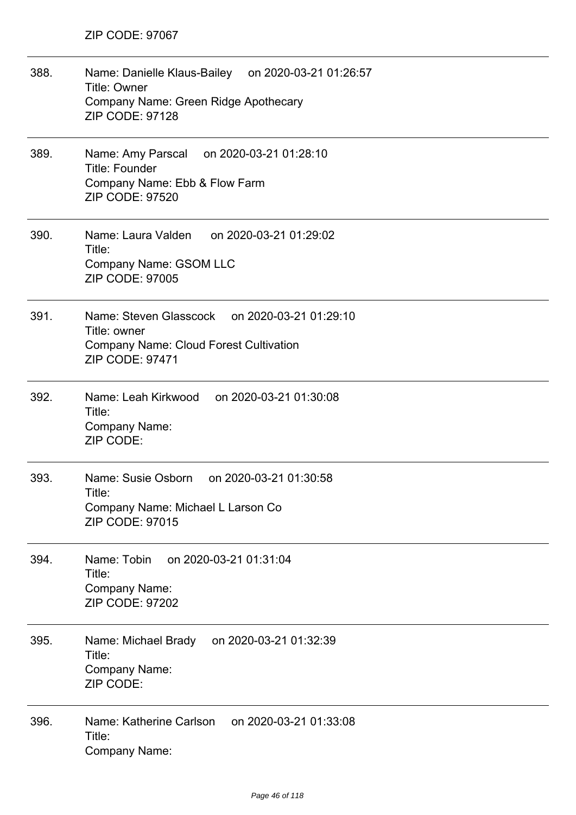| 388. | Name: Danielle Klaus-Bailey on 2020-03-21 01:26:57<br><b>Title: Owner</b><br>Company Name: Green Ridge Apothecary<br><b>ZIP CODE: 97128</b> |
|------|---------------------------------------------------------------------------------------------------------------------------------------------|
| 389. | Name: Amy Parscal on 2020-03-21 01:28:10<br><b>Title: Founder</b><br>Company Name: Ebb & Flow Farm<br><b>ZIP CODE: 97520</b>                |
| 390. | Name: Laura Valden<br>on 2020-03-21 01:29:02<br>Title:<br>Company Name: GSOM LLC<br>ZIP CODE: 97005                                         |
| 391. | Name: Steven Glasscock on 2020-03-21 01:29:10<br>Title: owner<br><b>Company Name: Cloud Forest Cultivation</b><br>ZIP CODE: 97471           |
| 392. | Name: Leah Kirkwood on 2020-03-21 01:30:08<br>Title:<br><b>Company Name:</b><br>ZIP CODE:                                                   |
| 393. | Name: Susie Osborn<br>on 2020-03-21 01:30:58<br>Title:<br>Company Name: Michael L Larson Co<br><b>ZIP CODE: 97015</b>                       |
| 394. | Name: Tobin<br>on 2020-03-21 01:31:04<br>Title:<br><b>Company Name:</b><br><b>ZIP CODE: 97202</b>                                           |
| 395. | Name: Michael Brady<br>on 2020-03-21 01:32:39<br>Title:<br><b>Company Name:</b><br>ZIP CODE:                                                |
| 396. | Name: Katherine Carlson<br>on 2020-03-21 01:33:08<br>Title:<br><b>Company Name:</b>                                                         |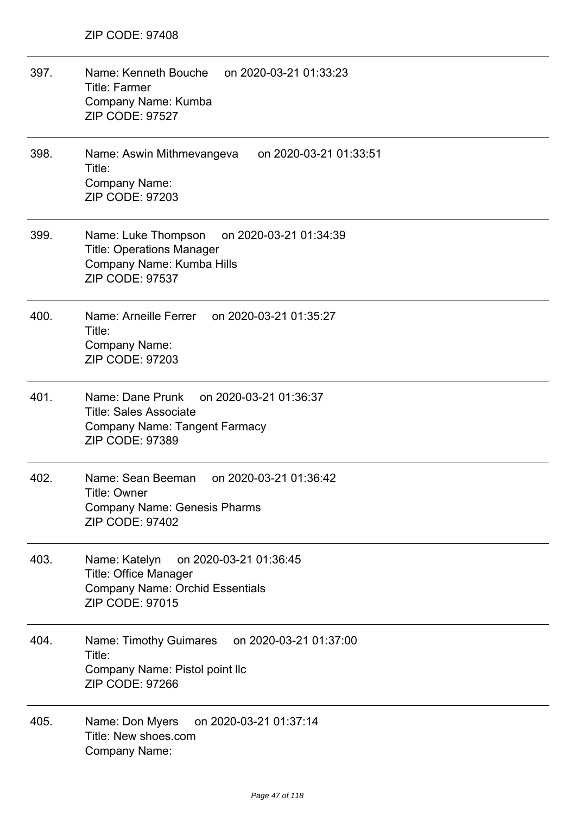| 397. | Name: Kenneth Bouche<br>on 2020-03-21 01:33:23<br><b>Title: Farmer</b><br>Company Name: Kumba<br><b>ZIP CODE: 97527</b>                       |
|------|-----------------------------------------------------------------------------------------------------------------------------------------------|
| 398. | Name: Aswin Mithmevangeva<br>on 2020-03-21 01:33:51<br>Title:<br>Company Name:<br><b>ZIP CODE: 97203</b>                                      |
| 399. | Name: Luke Thompson<br>on 2020-03-21 01:34:39<br><b>Title: Operations Manager</b><br>Company Name: Kumba Hills<br><b>ZIP CODE: 97537</b>      |
| 400. | Name: Arneille Ferrer on 2020-03-21 01:35:27<br>Title:<br>Company Name:<br><b>ZIP CODE: 97203</b>                                             |
| 401. | Name: Dane Prunk<br>on 2020-03-21 01:36:37<br><b>Title: Sales Associate</b><br><b>Company Name: Tangent Farmacy</b><br><b>ZIP CODE: 97389</b> |
| 402. | Name: Sean Beeman<br>on 2020-03-21 01:36:42<br>Title: Owner<br><b>Company Name: Genesis Pharms</b><br><b>ZIP CODE: 97402</b>                  |
| 403. | on 2020-03-21 01:36:45<br>Name: Katelyn<br><b>Title: Office Manager</b><br><b>Company Name: Orchid Essentials</b><br><b>ZIP CODE: 97015</b>   |
| 404. | Name: Timothy Guimares on 2020-03-21 01:37:00<br>Title:<br>Company Name: Pistol point llc<br>ZIP CODE: 97266                                  |
| 405. | on 2020-03-21 01:37:14<br>Name: Don Myers<br>Title: New shoes.com<br>Company Name:                                                            |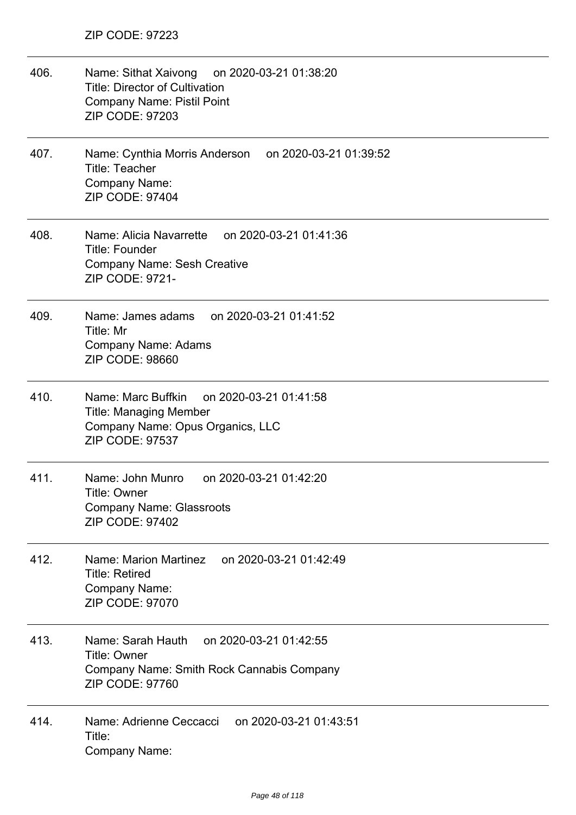| 406. | Name: Sithat Xaivong on 2020-03-21 01:38:20<br><b>Title: Director of Cultivation</b><br><b>Company Name: Pistil Point</b><br>ZIP CODE: 97203 |
|------|----------------------------------------------------------------------------------------------------------------------------------------------|
| 407. | Name: Cynthia Morris Anderson<br>on 2020-03-21 01:39:52<br><b>Title: Teacher</b><br>Company Name:<br><b>ZIP CODE: 97404</b>                  |
| 408. | Name: Alicia Navarrette<br>on 2020-03-21 01:41:36<br><b>Title: Founder</b><br><b>Company Name: Sesh Creative</b><br>ZIP CODE: 9721-          |
| 409. | Name: James adams<br>on 2020-03-21 01:41:52<br>Title: Mr<br><b>Company Name: Adams</b><br>ZIP CODE: 98660                                    |
| 410. | Name: Marc Buffkin<br>on 2020-03-21 01:41:58<br><b>Title: Managing Member</b><br>Company Name: Opus Organics, LLC<br>ZIP CODE: 97537         |
| 411. | Name: John Munro<br>on 2020-03-21 01:42:20<br>Title: Owner<br><b>Company Name: Glassroots</b><br>ZIP CODE: 97402                             |
| 412. | on 2020-03-21 01:42:49<br>Name: Marion Martinez<br><b>Title: Retired</b><br>Company Name:<br><b>ZIP CODE: 97070</b>                          |
| 413. | Name: Sarah Hauth<br>on 2020-03-21 01:42:55<br>Title: Owner<br>Company Name: Smith Rock Cannabis Company<br>ZIP CODE: 97760                  |
| 414. | on 2020-03-21 01:43:51<br>Name: Adrienne Ceccacci<br>Title:<br>Company Name:                                                                 |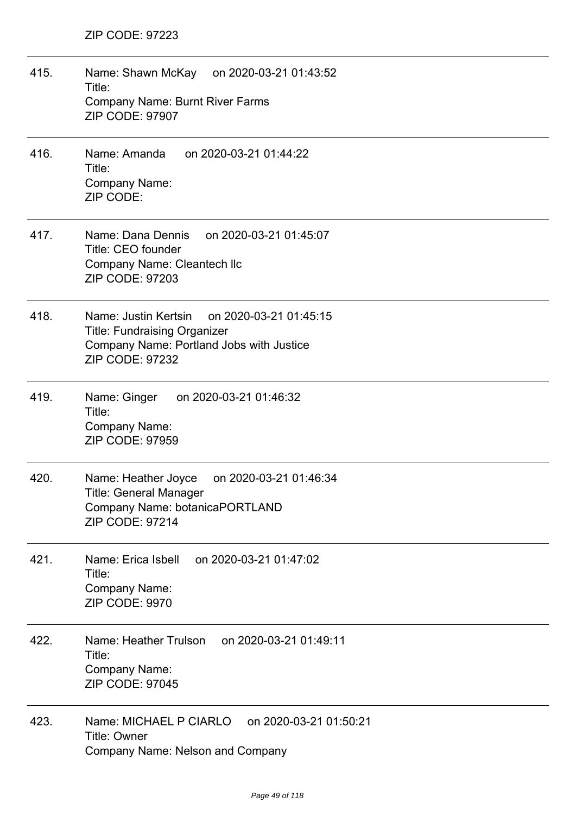415. Name: Shawn McKay on 2020-03-21 01:43:52 Title: Company Name: Burnt River Farms ZIP CODE: 97907 416. Name: Amanda on 2020-03-21 01:44:22 Title: Company Name: ZIP CODE: 417. Name: Dana Dennis on 2020-03-21 01:45:07 Title: CEO founder Company Name: Cleantech llc ZIP CODE: 97203 418. Name: Justin Kertsin on 2020-03-21 01:45:15 Title: Fundraising Organizer Company Name: Portland Jobs with Justice ZIP CODE: 97232 419. Name: Ginger on 2020-03-21 01:46:32 Title: Company Name: ZIP CODE: 97959 420. Name: Heather Joyce on 2020-03-21 01:46:34 Title: General Manager Company Name: botanicaPORTLAND ZIP CODE: 97214 421. Name: Erica Isbell on 2020-03-21 01:47:02 Title: Company Name: ZIP CODE: 9970 422. Name: Heather Trulson on 2020-03-21 01:49:11 Title: Company Name: ZIP CODE: 97045 423. Name: MICHAEL P CIARLO on 2020-03-21 01:50:21 Title: Owner Company Name: Nelson and Company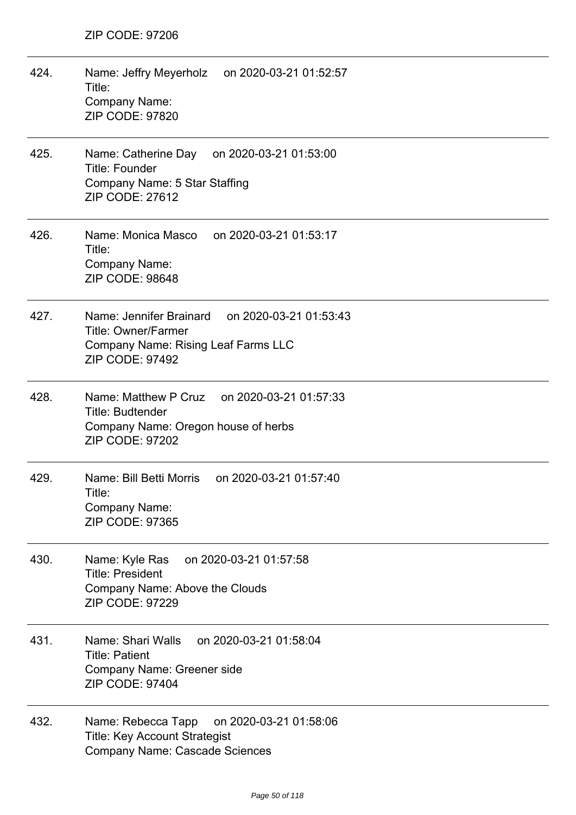| 424. | Name: Jeffry Meyerholz on 2020-03-21 01:52:57<br>Title:<br>Company Name:<br><b>ZIP CODE: 97820</b>                                                   |
|------|------------------------------------------------------------------------------------------------------------------------------------------------------|
| 425. | Name: Catherine Day on 2020-03-21 01:53:00<br><b>Title: Founder</b><br>Company Name: 5 Star Staffing<br>ZIP CODE: 27612                              |
| 426. | Name: Monica Masco on 2020-03-21 01:53:17<br>Title:<br>Company Name:<br><b>ZIP CODE: 98648</b>                                                       |
| 427. | Name: Jennifer Brainard on 2020-03-21 01:53:43<br><b>Title: Owner/Farmer</b><br><b>Company Name: Rising Leaf Farms LLC</b><br><b>ZIP CODE: 97492</b> |
| 428. | Name: Matthew P Cruz on 2020-03-21 01:57:33<br>Title: Budtender<br>Company Name: Oregon house of herbs<br><b>ZIP CODE: 97202</b>                     |
| 429. | on 2020-03-21 01:57:40<br>Name: Bill Betti Morris<br>Title:<br>Company Name:<br>ZIP CODE: 97365                                                      |
| 430. | on 2020-03-21 01:57:58<br>Name: Kyle Ras<br><b>Title: President</b><br>Company Name: Above the Clouds<br>ZIP CODE: 97229                             |
| 431. | Name: Shari Walls<br>on 2020-03-21 01:58:04<br><b>Title: Patient</b><br>Company Name: Greener side<br><b>ZIP CODE: 97404</b>                         |
| 432. | Name: Rebecca Tapp<br>on 2020-03-21 01:58:06<br><b>Title: Key Account Strategist</b><br><b>Company Name: Cascade Sciences</b>                        |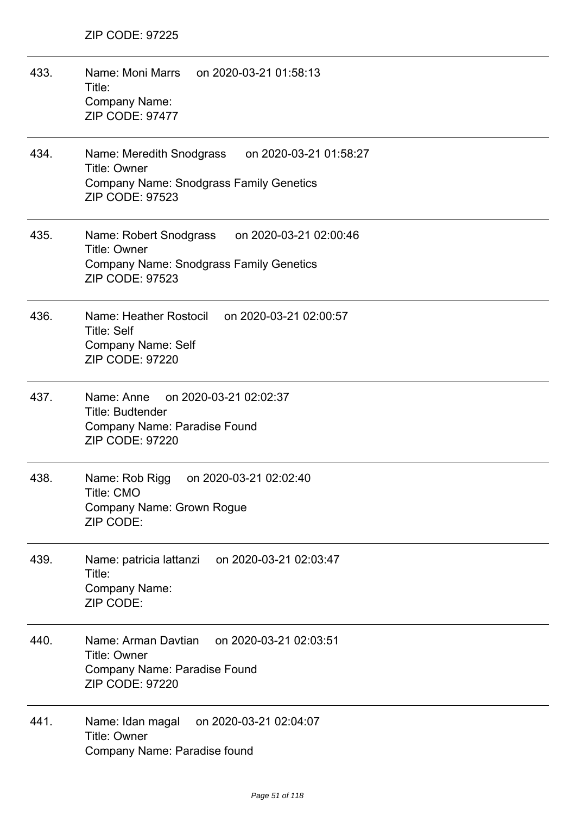| 433. | Name: Moni Marrs on 2020-03-21 01:58:13<br>Title:<br>Company Name:<br><b>ZIP CODE: 97477</b>                                                          |
|------|-------------------------------------------------------------------------------------------------------------------------------------------------------|
| 434. | Name: Meredith Snodgrass<br>on 2020-03-21 01:58:27<br><b>Title: Owner</b><br><b>Company Name: Snodgrass Family Genetics</b><br><b>ZIP CODE: 97523</b> |
| 435. | Name: Robert Snodgrass on 2020-03-21 02:00:46<br><b>Title: Owner</b><br><b>Company Name: Snodgrass Family Genetics</b><br><b>ZIP CODE: 97523</b>      |
| 436. | Name: Heather Rostocil on 2020-03-21 02:00:57<br><b>Title: Self</b><br><b>Company Name: Self</b><br><b>ZIP CODE: 97220</b>                            |
| 437. | Name: Anne on 2020-03-21 02:02:37<br><b>Title: Budtender</b><br>Company Name: Paradise Found<br><b>ZIP CODE: 97220</b>                                |
| 438. | on 2020-03-21 02:02:40<br>Name: Rob Rigg<br>Title: CMO<br>Company Name: Grown Rogue<br>ZIP CODE:                                                      |
| 439. | on 2020-03-21 02:03:47<br>Name: patricia lattanzi<br>Title:<br>Company Name:<br>ZIP CODE:                                                             |
| 440. | Name: Arman Davtian<br>on 2020-03-21 02:03:51<br><b>Title: Owner</b><br>Company Name: Paradise Found<br><b>ZIP CODE: 97220</b>                        |
| 441. | Name: Idan magal<br>on 2020-03-21 02:04:07<br><b>Title: Owner</b><br>Company Name: Paradise found                                                     |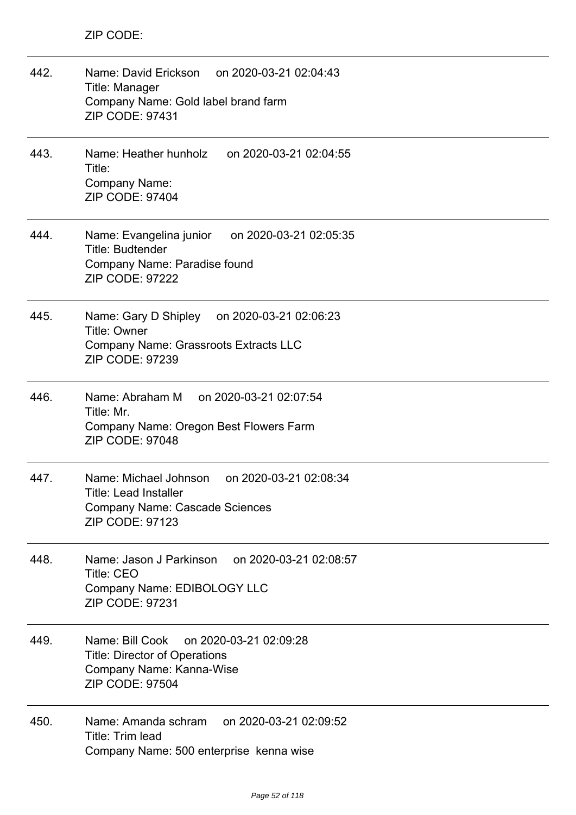| 442. | Name: David Erickson on 2020-03-21 02:04:43<br>Title: Manager<br>Company Name: Gold label brand farm<br>ZIP CODE: 97431                     |
|------|---------------------------------------------------------------------------------------------------------------------------------------------|
| 443. | Name: Heather hunholz on 2020-03-21 02:04:55<br>Title:<br><b>Company Name:</b><br><b>ZIP CODE: 97404</b>                                    |
| 444. | Name: Evangelina junior<br>on 2020-03-21 02:05:35<br><b>Title: Budtender</b><br>Company Name: Paradise found<br><b>ZIP CODE: 97222</b>      |
| 445. | Name: Gary D Shipley on 2020-03-21 02:06:23<br><b>Title: Owner</b><br>Company Name: Grassroots Extracts LLC<br>ZIP CODE: 97239              |
| 446. | Name: Abraham M<br>on 2020-03-21 02:07:54<br>Title: Mr.<br>Company Name: Oregon Best Flowers Farm<br><b>ZIP CODE: 97048</b>                 |
| 447. | Name: Michael Johnson<br>on 2020-03-21 02:08:34<br>Title: Lead Installer<br><b>Company Name: Cascade Sciences</b><br><b>ZIP CODE: 97123</b> |
| 448. | Name: Jason J Parkinson on 2020-03-21 02:08:57<br><b>Title: CEO</b><br>Company Name: EDIBOLOGY LLC<br><b>ZIP CODE: 97231</b>                |
| 449. | Name: Bill Cook<br>on 2020-03-21 02:09:28<br><b>Title: Director of Operations</b><br>Company Name: Kanna-Wise<br><b>ZIP CODE: 97504</b>     |
| 450. | Name: Amanda schram<br>on 2020-03-21 02:09:52<br>Title: Trim lead<br>Company Name: 500 enterprise kenna wise                                |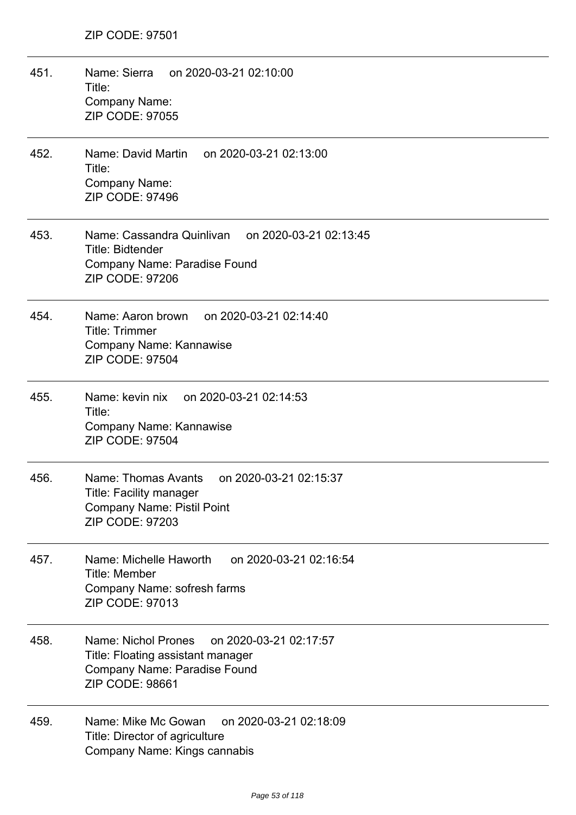| 451. | Name: Sierra on 2020-03-21 02:10:00<br>Title:<br><b>Company Name:</b><br><b>ZIP CODE: 97055</b>                                              |
|------|----------------------------------------------------------------------------------------------------------------------------------------------|
| 452. | Name: David Martin on 2020-03-21 02:13:00<br>Title:<br><b>Company Name:</b><br><b>ZIP CODE: 97496</b>                                        |
| 453. | Name: Cassandra Quinlivan on 2020-03-21 02:13:45<br>Title: Bidtender<br>Company Name: Paradise Found<br><b>ZIP CODE: 97206</b>               |
| 454. | Name: Aaron brown on 2020-03-21 02:14:40<br><b>Title: Trimmer</b><br>Company Name: Kannawise<br><b>ZIP CODE: 97504</b>                       |
| 455. | Name: kevin nix on 2020-03-21 02:14:53<br>Title:<br>Company Name: Kannawise<br><b>ZIP CODE: 97504</b>                                        |
| 456. | Name: Thomas Avants<br>on 2020-03-21 02:15:37<br>Title: Facility manager<br><b>Company Name: Pistil Point</b><br><b>ZIP CODE: 97203</b>      |
| 457. | on 2020-03-21 02:16:54<br>Name: Michelle Haworth<br>Title: Member<br>Company Name: sofresh farms<br><b>ZIP CODE: 97013</b>                   |
| 458. | on 2020-03-21 02:17:57<br>Name: Nichol Prones<br>Title: Floating assistant manager<br>Company Name: Paradise Found<br><b>ZIP CODE: 98661</b> |
| 459. | Name: Mike Mc Gowan<br>on 2020-03-21 02:18:09<br>Title: Director of agriculture<br>Company Name: Kings cannabis                              |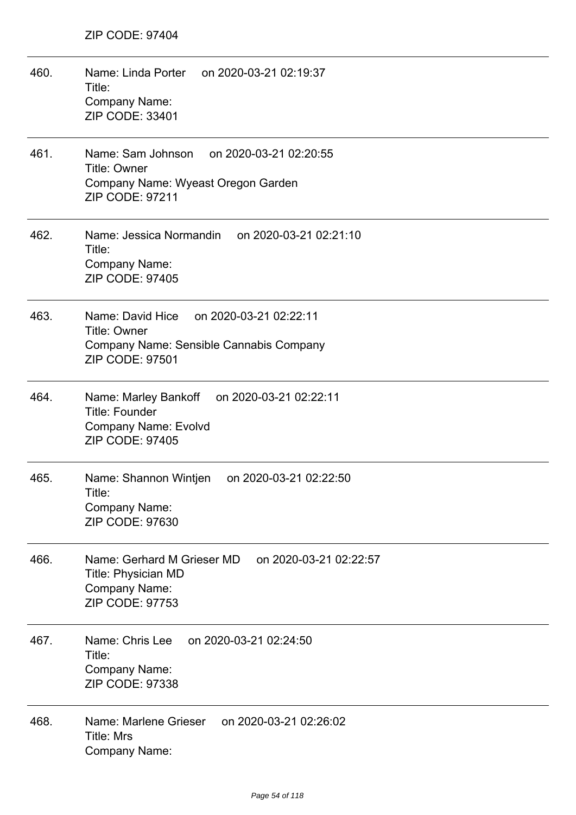| 460. | Name: Linda Porter on 2020-03-21 02:19:37<br>Title:<br>Company Name:<br>ZIP CODE: 33401                                                |
|------|----------------------------------------------------------------------------------------------------------------------------------------|
| 461. | Name: Sam Johnson<br>on 2020-03-21 02:20:55<br><b>Title: Owner</b><br>Company Name: Wyeast Oregon Garden<br>ZIP CODE: 97211            |
| 462. | Name: Jessica Normandin<br>on 2020-03-21 02:21:10<br>Title:<br>Company Name:<br>ZIP CODE: 97405                                        |
| 463. | Name: David Hice<br>on 2020-03-21 02:22:11<br><b>Title: Owner</b><br>Company Name: Sensible Cannabis Company<br><b>ZIP CODE: 97501</b> |
| 464. | Name: Marley Bankoff on 2020-03-21 02:22:11<br>Title: Founder<br><b>Company Name: Evolvd</b><br>ZIP CODE: 97405                        |
| 465. | Name: Shannon Wintjen<br>on 2020-03-21 02:22:50<br>Title:<br>Company Name:<br>ZIP CODE: 97630                                          |
| 466. | Name: Gerhard M Grieser MD<br>on 2020-03-21 02:22:57<br><b>Title: Physician MD</b><br>Company Name:<br>ZIP CODE: 97753                 |
| 467. | Name: Chris Lee<br>on 2020-03-21 02:24:50<br>Title:<br><b>Company Name:</b><br>ZIP CODE: 97338                                         |
| 468. | Name: Marlene Grieser<br>on 2020-03-21 02:26:02<br><b>Title: Mrs</b><br>Company Name:                                                  |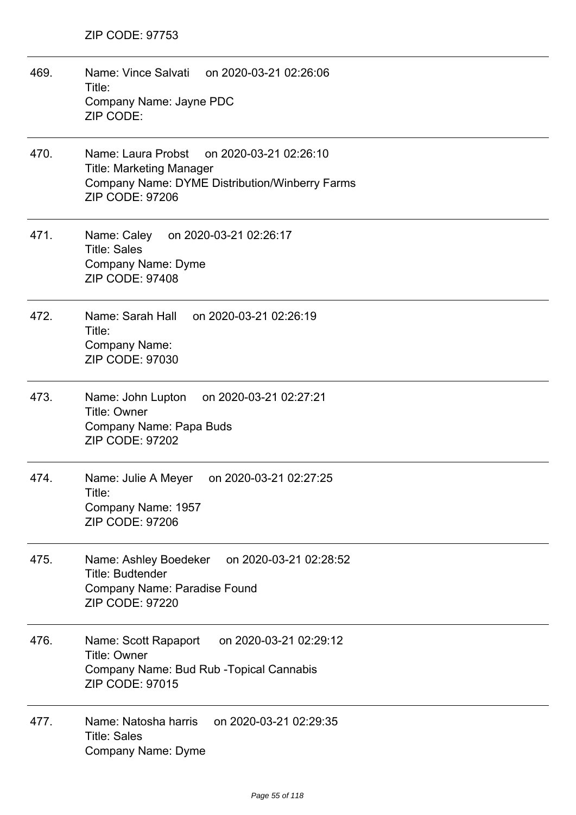469. Name: Vince Salvati on 2020-03-21 02:26:06 Title: Company Name: Jayne PDC ZIP CODE: 470. Name: Laura Probst on 2020-03-21 02:26:10 Title: Marketing Manager Company Name: DYME Distribution/Winberry Farms ZIP CODE: 97206 471. Name: Caley on 2020-03-21 02:26:17 Title: Sales Company Name: Dyme ZIP CODE: 97408 472. Name: Sarah Hall on 2020-03-21 02:26:19 Title: Company Name: ZIP CODE: 97030 473. Name: John Lupton on 2020-03-21 02:27:21 Title: Owner Company Name: Papa Buds ZIP CODE: 97202 474. Name: Julie A Meyer on 2020-03-21 02:27:25 Title: Company Name: 1957 ZIP CODE: 97206 475. Name: Ashley Boedeker on 2020-03-21 02:28:52 Title: Budtender Company Name: Paradise Found ZIP CODE: 97220 476. Name: Scott Rapaport on 2020-03-21 02:29:12 Title: Owner Company Name: Bud Rub -Topical Cannabis ZIP CODE: 97015 477. Name: Natosha harris on 2020-03-21 02:29:35 Title: Sales Company Name: Dyme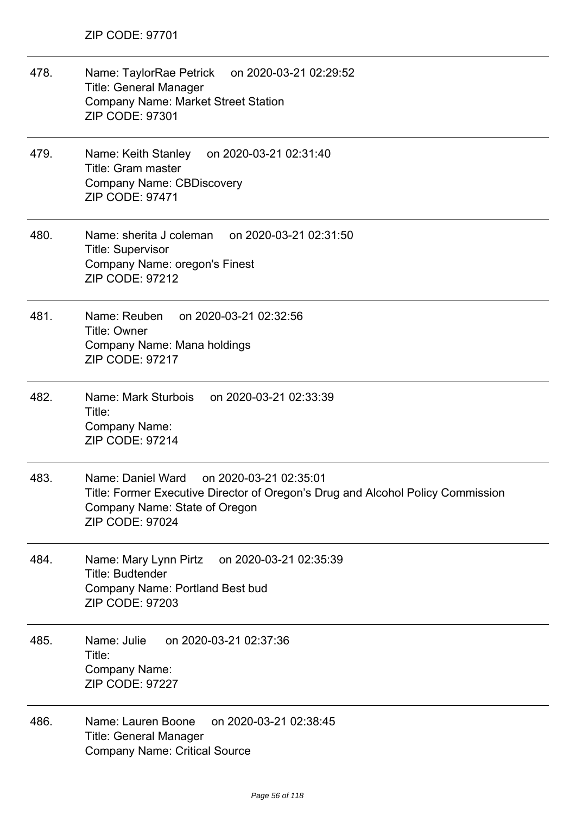| 478. | Name: TaylorRae Petrick on 2020-03-21 02:29:52<br><b>Title: General Manager</b><br>Company Name: Market Street Station<br><b>ZIP CODE: 97301</b>                                          |
|------|-------------------------------------------------------------------------------------------------------------------------------------------------------------------------------------------|
| 479. | Name: Keith Stanley<br>on 2020-03-21 02:31:40<br>Title: Gram master<br><b>Company Name: CBDiscovery</b><br>ZIP CODE: 97471                                                                |
| 480. | Name: sherita J coleman<br>on 2020-03-21 02:31:50<br><b>Title: Supervisor</b><br>Company Name: oregon's Finest<br><b>ZIP CODE: 97212</b>                                                  |
| 481. | Name: Reuben<br>on 2020-03-21 02:32:56<br>Title: Owner<br>Company Name: Mana holdings<br><b>ZIP CODE: 97217</b>                                                                           |
| 482. | Name: Mark Sturbois<br>on 2020-03-21 02:33:39<br>Title:<br>Company Name:<br><b>ZIP CODE: 97214</b>                                                                                        |
| 483. | Name: Daniel Ward<br>on 2020-03-21 02:35:01<br>Title: Former Executive Director of Oregon's Drug and Alcohol Policy Commission<br>Company Name: State of Oregon<br><b>ZIP CODE: 97024</b> |
| 484. | on 2020-03-21 02:35:39<br>Name: Mary Lynn Pirtz<br>Title: Budtender<br>Company Name: Portland Best bud<br><b>ZIP CODE: 97203</b>                                                          |
| 485. | Name: Julie<br>on 2020-03-21 02:37:36<br>Title:<br><b>Company Name:</b><br><b>ZIP CODE: 97227</b>                                                                                         |
| 486. | on 2020-03-21 02:38:45<br>Name: Lauren Boone<br><b>Title: General Manager</b><br><b>Company Name: Critical Source</b>                                                                     |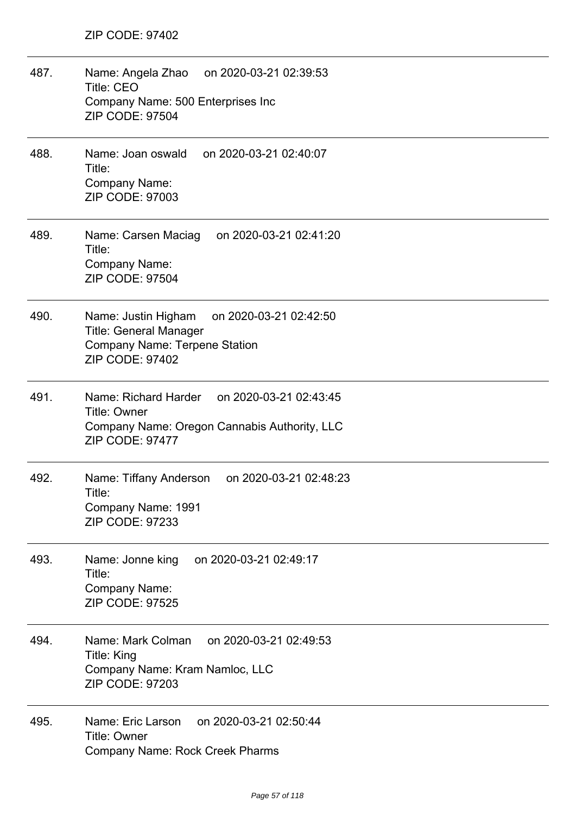| 487. | Name: Angela Zhao on 2020-03-21 02:39:53<br><b>Title: CEO</b><br>Company Name: 500 Enterprises Inc<br><b>ZIP CODE: 97504</b>                     |
|------|--------------------------------------------------------------------------------------------------------------------------------------------------|
| 488. | Name: Joan oswald on 2020-03-21 02:40:07<br>Title:<br>Company Name:<br><b>ZIP CODE: 97003</b>                                                    |
| 489. | Name: Carsen Maciag<br>on 2020-03-21 02:41:20<br>Title:<br>Company Name:<br><b>ZIP CODE: 97504</b>                                               |
| 490. | Name: Justin Higham<br>on 2020-03-21 02:42:50<br><b>Title: General Manager</b><br><b>Company Name: Terpene Station</b><br><b>ZIP CODE: 97402</b> |
| 491. | Name: Richard Harder on 2020-03-21 02:43:45<br>Title: Owner<br>Company Name: Oregon Cannabis Authority, LLC<br><b>ZIP CODE: 97477</b>            |
| 492. | on 2020-03-21 02:48:23<br>Name: Tiffany Anderson<br>Title:<br>Company Name: 1991<br><b>ZIP CODE: 97233</b>                                       |
| 493. | on 2020-03-21 02:49:17<br>Name: Jonne king<br>Title:<br><b>Company Name:</b><br><b>ZIP CODE: 97525</b>                                           |
| 494. | Name: Mark Colman<br>on 2020-03-21 02:49:53<br>Title: King<br>Company Name: Kram Namloc, LLC<br><b>ZIP CODE: 97203</b>                           |
| 495. | Name: Eric Larson<br>on 2020-03-21 02:50:44<br>Title: Owner<br><b>Company Name: Rock Creek Pharms</b>                                            |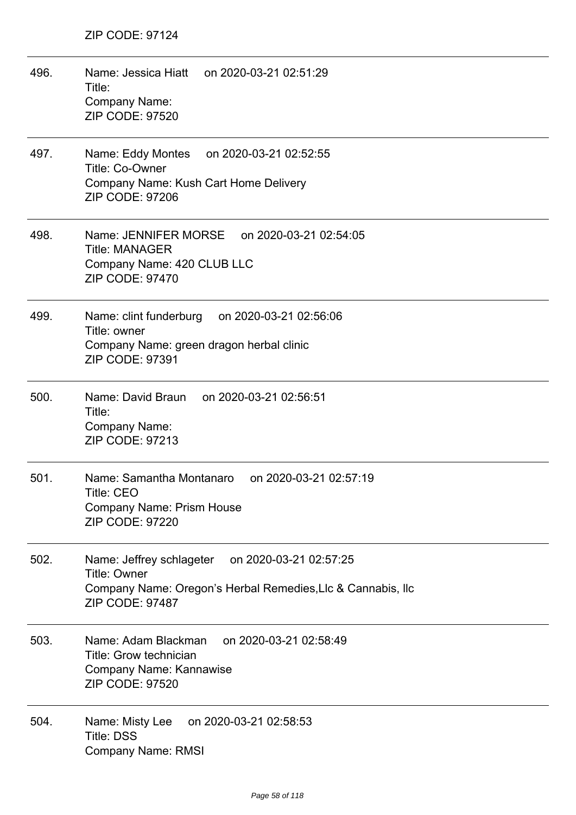| 496. | Name: Jessica Hiatt on 2020-03-21 02:51:29<br>Title:<br>Company Name:<br><b>ZIP CODE: 97520</b>                                                          |
|------|----------------------------------------------------------------------------------------------------------------------------------------------------------|
| 497. | Name: Eddy Montes<br>on 2020-03-21 02:52:55<br>Title: Co-Owner<br>Company Name: Kush Cart Home Delivery<br><b>ZIP CODE: 97206</b>                        |
| 498. | Name: JENNIFER MORSE on 2020-03-21 02:54:05<br><b>Title: MANAGER</b><br>Company Name: 420 CLUB LLC<br>ZIP CODE: 97470                                    |
| 499. | Name: clint funderburg on 2020-03-21 02:56:06<br>Title: owner<br>Company Name: green dragon herbal clinic<br>ZIP CODE: 97391                             |
| 500. | Name: David Braun on 2020-03-21 02:56:51<br>Title:<br>Company Name:<br><b>ZIP CODE: 97213</b>                                                            |
| 501. | Name: Samantha Montanaro<br>on 2020-03-21 02:57:19<br><b>Title: CEO</b><br><b>Company Name: Prism House</b><br><b>ZIP CODE: 97220</b>                    |
| 502. | Name: Jeffrey schlageter on 2020-03-21 02:57:25<br><b>Title: Owner</b><br>Company Name: Oregon's Herbal Remedies, Llc & Cannabis, Ilc<br>ZIP CODE: 97487 |
| 503. | Name: Adam Blackman<br>on 2020-03-21 02:58:49<br>Title: Grow technician<br>Company Name: Kannawise<br><b>ZIP CODE: 97520</b>                             |
| 504. | Name: Misty Lee<br>on 2020-03-21 02:58:53<br><b>Title: DSS</b><br><b>Company Name: RMSI</b>                                                              |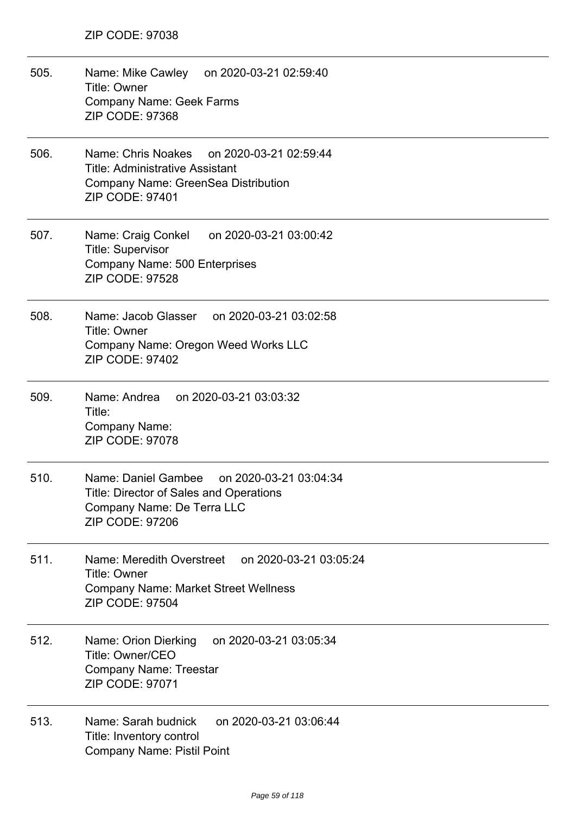505. Name: Mike Cawley on 2020-03-21 02:59:40 Title: Owner Company Name: Geek Farms ZIP CODE: 97368 506. Name: Chris Noakes on 2020-03-21 02:59:44 Title: Administrative Assistant Company Name: GreenSea Distribution ZIP CODE: 97401 507. Name: Craig Conkel on 2020-03-21 03:00:42 Title: Supervisor Company Name: 500 Enterprises ZIP CODE: 97528 508. Name: Jacob Glasser on 2020-03-21 03:02:58 Title: Owner Company Name: Oregon Weed Works LLC ZIP CODE: 97402 509. Name: Andrea on 2020-03-21 03:03:32 Title: Company Name: ZIP CODE: 97078 510. Name: Daniel Gambee on 2020-03-21 03:04:34 Title: Director of Sales and Operations Company Name: De Terra LLC ZIP CODE: 97206 511. Name: Meredith Overstreet on 2020-03-21 03:05:24 Title: Owner Company Name: Market Street Wellness ZIP CODE: 97504 512. Name: Orion Dierking on 2020-03-21 03:05:34 Title: Owner/CEO Company Name: Treestar ZIP CODE: 97071 513. Name: Sarah budnick on 2020-03-21 03:06:44 Title: Inventory control Company Name: Pistil Point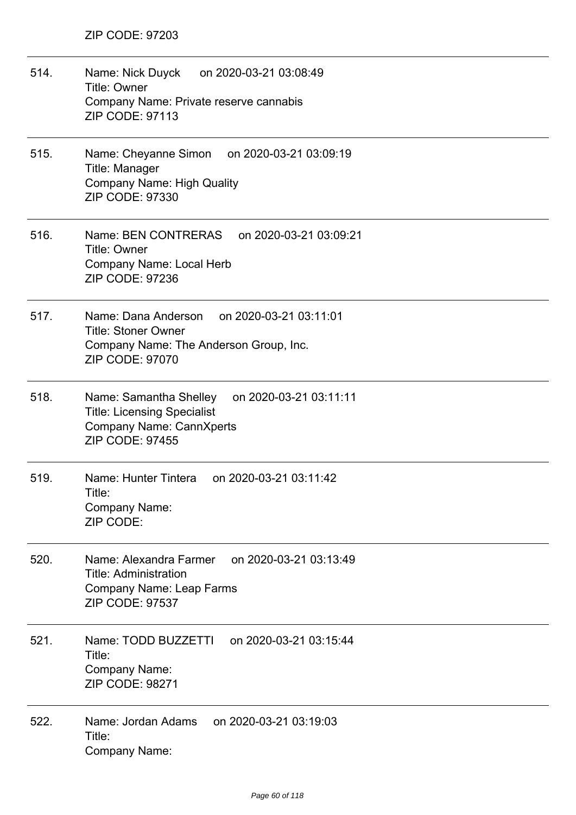| 514. | Name: Nick Duyck on 2020-03-21 03:08:49<br>Title: Owner<br>Company Name: Private reserve cannabis<br><b>ZIP CODE: 97113</b>                         |
|------|-----------------------------------------------------------------------------------------------------------------------------------------------------|
| 515. | Name: Cheyanne Simon on 2020-03-21 03:09:19<br>Title: Manager<br><b>Company Name: High Quality</b><br>ZIP CODE: 97330                               |
| 516. | Name: BEN CONTRERAS<br>on 2020-03-21 03:09:21<br><b>Title: Owner</b><br>Company Name: Local Herb<br>ZIP CODE: 97236                                 |
| 517. | Name: Dana Anderson on 2020-03-21 03:11:01<br><b>Title: Stoner Owner</b><br>Company Name: The Anderson Group, Inc.<br><b>ZIP CODE: 97070</b>        |
| 518. | Name: Samantha Shelley<br>on 2020-03-21 03:11:11<br><b>Title: Licensing Specialist</b><br><b>Company Name: CannXperts</b><br><b>ZIP CODE: 97455</b> |
| 519. | Name: Hunter Tintera<br>on 2020-03-21 03:11:42<br>Title:<br>Company Name:<br>ZIP CODE:                                                              |
| 520. | on 2020-03-21 03:13:49<br>Name: Alexandra Farmer<br><b>Title: Administration</b><br>Company Name: Leap Farms<br><b>ZIP CODE: 97537</b>              |
| 521. | Name: TODD BUZZETTI on 2020-03-21 03:15:44<br>Title:<br>Company Name:<br><b>ZIP CODE: 98271</b>                                                     |
| 522. | on 2020-03-21 03:19:03<br>Name: Jordan Adams<br>Title:<br>Company Name:                                                                             |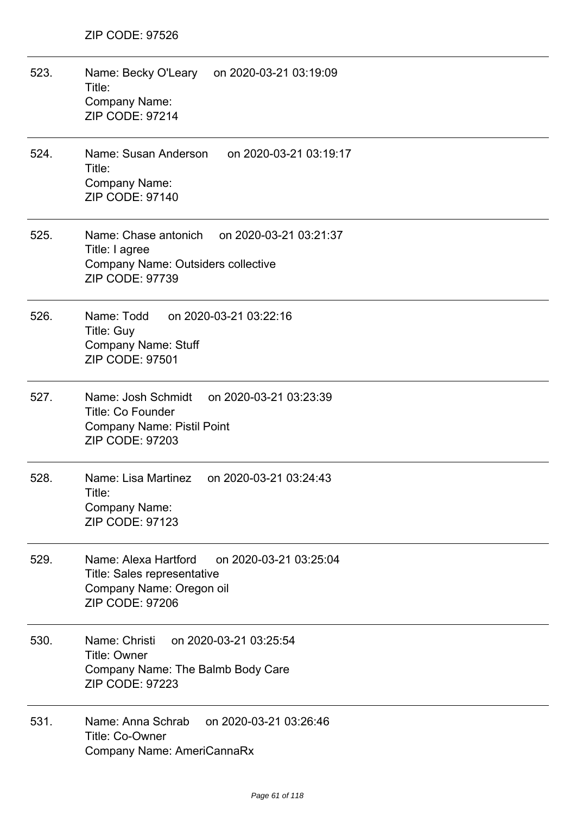| 523. | Name: Becky O'Leary on 2020-03-21 03:19:09<br>Title:<br>Company Name:<br><b>ZIP CODE: 97214</b>                                         |
|------|-----------------------------------------------------------------------------------------------------------------------------------------|
| 524. | Name: Susan Anderson on 2020-03-21 03:19:17<br>Title:<br>Company Name:<br>ZIP CODE: 97140                                               |
| 525. | Name: Chase antonich on 2020-03-21 03:21:37<br>Title: I agree<br>Company Name: Outsiders collective<br>ZIP CODE: 97739                  |
| 526. | Name: Todd<br>on 2020-03-21 03:22:16<br><b>Title: Guy</b><br><b>Company Name: Stuff</b><br><b>ZIP CODE: 97501</b>                       |
| 527. | Name: Josh Schmidt<br>on 2020-03-21 03:23:39<br><b>Title: Co Founder</b><br><b>Company Name: Pistil Point</b><br><b>ZIP CODE: 97203</b> |
| 528. | Name: Lisa Martinez<br>on 2020-03-21 03:24:43<br>Title:<br>Company Name:<br><b>ZIP CODE: 97123</b>                                      |
| 529. | Name: Alexa Hartford<br>on 2020-03-21 03:25:04<br><b>Title: Sales representative</b><br>Company Name: Oregon oil<br>ZIP CODE: 97206     |
| 530. | Name: Christi<br>on 2020-03-21 03:25:54<br>Title: Owner<br>Company Name: The Balmb Body Care<br><b>ZIP CODE: 97223</b>                  |
| 531. | on 2020-03-21 03:26:46<br>Name: Anna Schrab<br>Title: Co-Owner<br>Company Name: AmeriCannaRx                                            |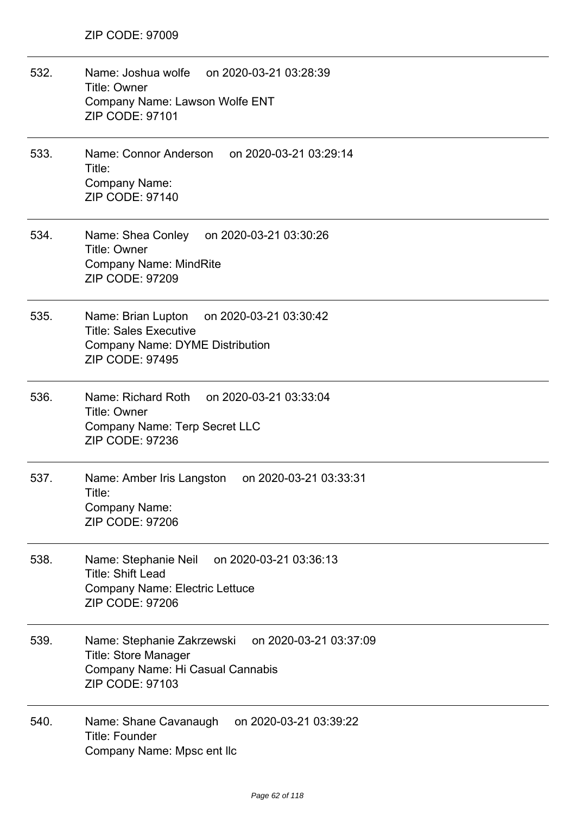| 532. | Name: Joshua wolfe on 2020-03-21 03:28:39<br>Title: Owner<br>Company Name: Lawson Wolfe ENT<br><b>ZIP CODE: 97101</b>                             |
|------|---------------------------------------------------------------------------------------------------------------------------------------------------|
| 533. | Name: Connor Anderson on 2020-03-21 03:29:14<br>Title:<br>Company Name:<br><b>ZIP CODE: 97140</b>                                                 |
| 534. | Name: Shea Conley on 2020-03-21 03:30:26<br>Title: Owner<br><b>Company Name: MindRite</b><br><b>ZIP CODE: 97209</b>                               |
| 535. | Name: Brian Lupton on 2020-03-21 03:30:42<br><b>Title: Sales Executive</b><br><b>Company Name: DYME Distribution</b><br><b>ZIP CODE: 97495</b>    |
| 536. | Name: Richard Roth on 2020-03-21 03:33:04<br><b>Title: Owner</b><br><b>Company Name: Terp Secret LLC</b><br><b>ZIP CODE: 97236</b>                |
| 537. | Name: Amber Iris Langston<br>on 2020-03-21 03:33:31<br>Title:<br>Company Name:<br><b>ZIP CODE: 97206</b>                                          |
| 538. | on 2020-03-21 03:36:13<br>Name: Stephanie Neil<br><b>Title: Shift Lead</b><br><b>Company Name: Electric Lettuce</b><br><b>ZIP CODE: 97206</b>     |
| 539. | on 2020-03-21 03:37:09<br>Name: Stephanie Zakrzewski<br><b>Title: Store Manager</b><br>Company Name: Hi Casual Cannabis<br><b>ZIP CODE: 97103</b> |
| 540. | on 2020-03-21 03:39:22<br>Name: Shane Cavanaugh<br>Title: Founder<br>Company Name: Mpsc ent Ilc                                                   |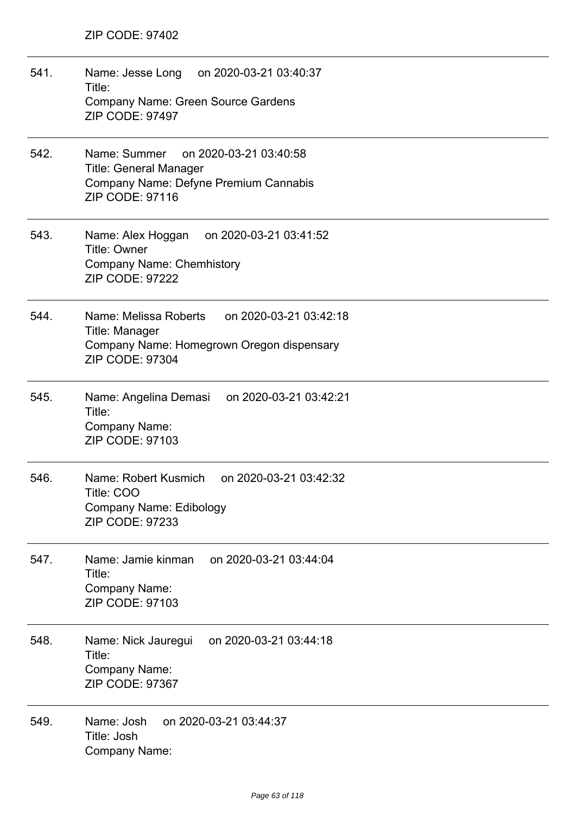| 541. | Name: Jesse Long on 2020-03-21 03:40:37<br>Title:<br><b>Company Name: Green Source Gardens</b><br><b>ZIP CODE: 97497</b>                 |
|------|------------------------------------------------------------------------------------------------------------------------------------------|
| 542. | Name: Summer<br>on 2020-03-21 03:40:58<br><b>Title: General Manager</b><br>Company Name: Defyne Premium Cannabis<br>ZIP CODE: 97116      |
| 543. | Name: Alex Hoggan on 2020-03-21 03:41:52<br>Title: Owner<br><b>Company Name: Chemhistory</b><br>ZIP CODE: 97222                          |
| 544. | Name: Melissa Roberts<br>on 2020-03-21 03:42:18<br>Title: Manager<br>Company Name: Homegrown Oregon dispensary<br><b>ZIP CODE: 97304</b> |
| 545. | Name: Angelina Demasi on 2020-03-21 03:42:21<br>Title:<br>Company Name:<br><b>ZIP CODE: 97103</b>                                        |
| 546. | Name: Robert Kusmich<br>on 2020-03-21 03:42:32<br>Title: COO<br>Company Name: Edibology<br><b>ZIP CODE: 97233</b>                        |
| 547. | on 2020-03-21 03:44:04<br>Name: Jamie kinman<br>Title:<br>Company Name:<br><b>ZIP CODE: 97103</b>                                        |
| 548. | on 2020-03-21 03:44:18<br>Name: Nick Jauregui<br>Title:<br>Company Name:<br>ZIP CODE: 97367                                              |
| 549. | Name: Josh<br>on 2020-03-21 03:44:37<br>Title: Josh<br>Company Name:                                                                     |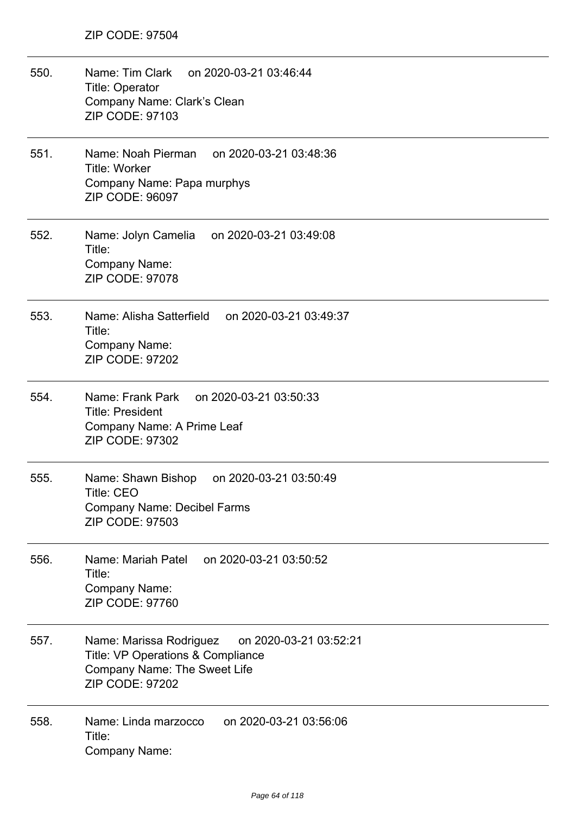| 550. | Name: Tim Clark<br>on 2020-03-21 03:46:44<br><b>Title: Operator</b><br>Company Name: Clark's Clean<br><b>ZIP CODE: 97103</b>                            |
|------|---------------------------------------------------------------------------------------------------------------------------------------------------------|
| 551. | Name: Noah Pierman<br>on 2020-03-21 03:48:36<br>Title: Worker<br>Company Name: Papa murphys<br><b>ZIP CODE: 96097</b>                                   |
| 552. | Name: Jolyn Camelia<br>on 2020-03-21 03:49:08<br>Title:<br>Company Name:<br><b>ZIP CODE: 97078</b>                                                      |
| 553. | Name: Alisha Satterfield<br>on 2020-03-21 03:49:37<br>Title:<br>Company Name:<br>ZIP CODE: 97202                                                        |
| 554. | Name: Frank Park<br>on 2020-03-21 03:50:33<br><b>Title: President</b><br>Company Name: A Prime Leaf<br>ZIP CODE: 97302                                  |
| 555. | Name: Shawn Bishop<br>on 2020-03-21 03:50:49<br><b>Title: CEO</b><br><b>Company Name: Decibel Farms</b><br>ZIP CODE: 97503                              |
| 556. | Name: Mariah Patel on 2020-03-21 03:50:52<br>Title:<br><b>Company Name:</b><br>ZIP CODE: 97760                                                          |
| 557. | on 2020-03-21 03:52:21<br>Name: Marissa Rodriguez<br>Title: VP Operations & Compliance<br><b>Company Name: The Sweet Life</b><br><b>ZIP CODE: 97202</b> |
| 558. | Name: Linda marzocco<br>on 2020-03-21 03:56:06<br>Title:<br><b>Company Name:</b>                                                                        |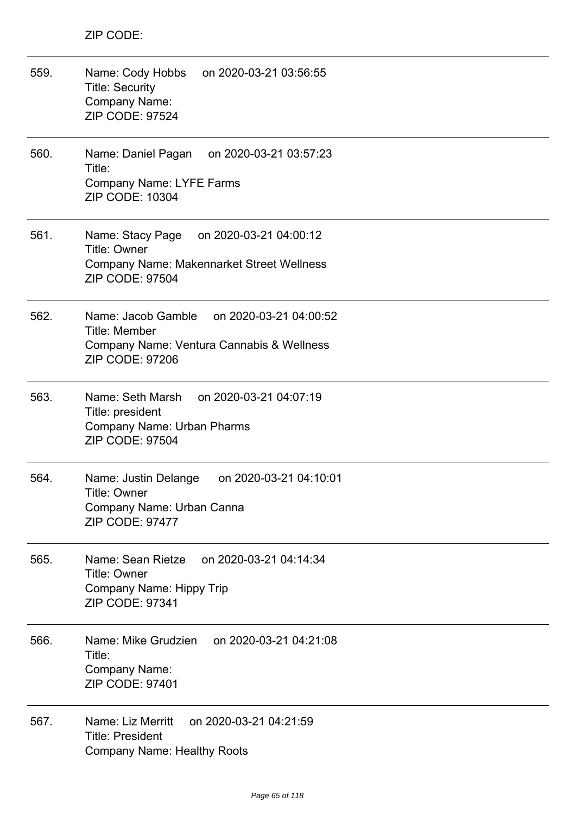| 559. | Name: Cody Hobbs<br>on 2020-03-21 03:56:55<br><b>Title: Security</b><br>Company Name:<br>ZIP CODE: 97524                                        |
|------|-------------------------------------------------------------------------------------------------------------------------------------------------|
| 560. | Name: Daniel Pagan<br>on 2020-03-21 03:57:23<br>Title:<br><b>Company Name: LYFE Farms</b><br>ZIP CODE: 10304                                    |
| 561. | Name: Stacy Page<br>on 2020-03-21 04:00:12<br><b>Title: Owner</b><br><b>Company Name: Makennarket Street Wellness</b><br><b>ZIP CODE: 97504</b> |
| 562. | Name: Jacob Gamble<br>on 2020-03-21 04:00:52<br><b>Title: Member</b><br>Company Name: Ventura Cannabis & Wellness<br><b>ZIP CODE: 97206</b>     |
| 563. | Name: Seth Marsh<br>on 2020-03-21 04:07:19<br>Title: president<br>Company Name: Urban Pharms<br><b>ZIP CODE: 97504</b>                          |
| 564. | on 2020-03-21 04:10:01<br>Name: Justin Delange<br>Title: Owner<br>Company Name: Urban Canna<br><b>ZIP CODE: 97477</b>                           |
| 565. | on 2020-03-21 04:14:34<br>Name: Sean Rietze<br><b>Title: Owner</b><br>Company Name: Hippy Trip<br>ZIP CODE: 97341                               |
| 566. | on 2020-03-21 04:21:08<br>Name: Mike Grudzien<br>Title:<br>Company Name:<br>ZIP CODE: 97401                                                     |
| 567. | Name: Liz Merritt<br>on 2020-03-21 04:21:59<br><b>Title: President</b><br><b>Company Name: Healthy Roots</b>                                    |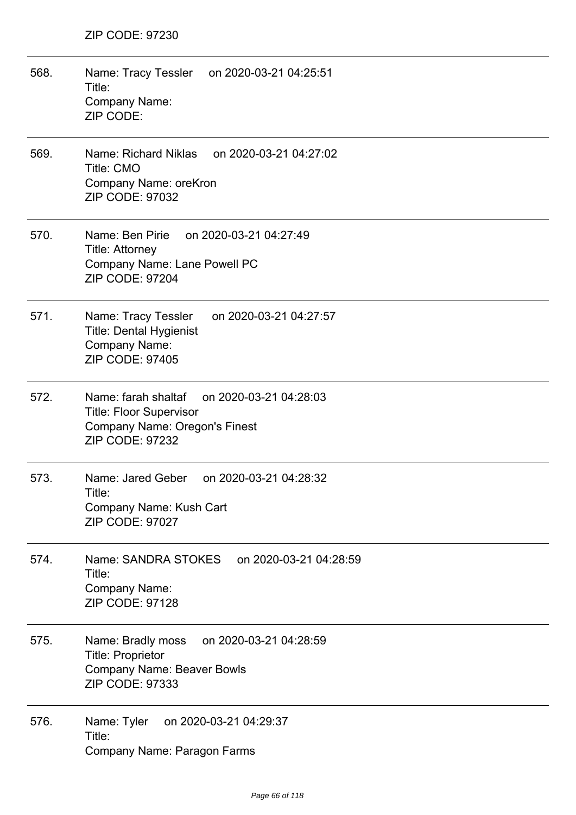568. Name: Tracy Tessler on 2020-03-21 04:25:51 Title: Company Name: ZIP CODE: 569. Name: Richard Niklas on 2020-03-21 04:27:02 Title: CMO Company Name: oreKron ZIP CODE: 97032 570. Name: Ben Pirie on 2020-03-21 04:27:49 Title: Attorney Company Name: Lane Powell PC ZIP CODE: 97204 571. Name: Tracy Tessler on 2020-03-21 04:27:57 Title: Dental Hygienist Company Name: ZIP CODE: 97405 572. Name: farah shaltaf on 2020-03-21 04:28:03 Title: Floor Supervisor Company Name: Oregon's Finest ZIP CODE: 97232 573. Name: Jared Geber on 2020-03-21 04:28:32 Title: Company Name: Kush Cart ZIP CODE: 97027 574. Name: SANDRA STOKES on 2020-03-21 04:28:59 Title: Company Name: ZIP CODE: 97128 575. Name: Bradly moss on 2020-03-21 04:28:59 Title: Proprietor Company Name: Beaver Bowls ZIP CODE: 97333 576. Name: Tyler on 2020-03-21 04:29:37 Title: Company Name: Paragon Farms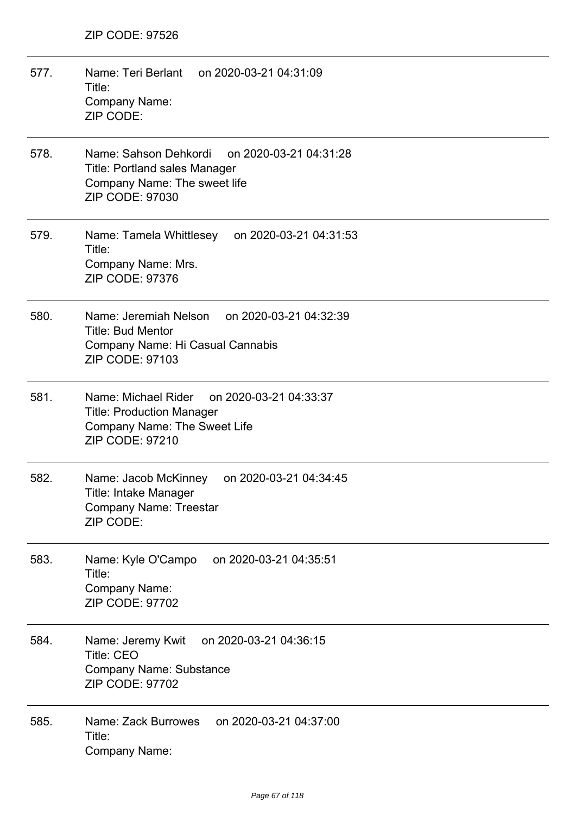- 577. Name: Teri Berlant on 2020-03-21 04:31:09 Title: Company Name: ZIP CODE:
- 578. Name: Sahson Dehkordi on 2020-03-21 04:31:28 Title: Portland sales Manager Company Name: The sweet life ZIP CODE: 97030
- 579. Name: Tamela Whittlesey on 2020-03-21 04:31:53 Title: Company Name: Mrs. ZIP CODE: 97376
- 580. Name: Jeremiah Nelson on 2020-03-21 04:32:39 Title: Bud Mentor Company Name: Hi Casual Cannabis ZIP CODE: 97103
- 581. Name: Michael Rider on 2020-03-21 04:33:37 Title: Production Manager Company Name: The Sweet Life ZIP CODE: 97210
- 582. Name: Jacob McKinney on 2020-03-21 04:34:45 Title: Intake Manager Company Name: Treestar ZIP CODE:
- 583. Name: Kyle O'Campo on 2020-03-21 04:35:51 Title: Company Name: ZIP CODE: 97702
- 584. Name: Jeremy Kwit on 2020-03-21 04:36:15 Title: CEO Company Name: Substance ZIP CODE: 97702
- 585. Name: Zack Burrowes on 2020-03-21 04:37:00 Title: Company Name: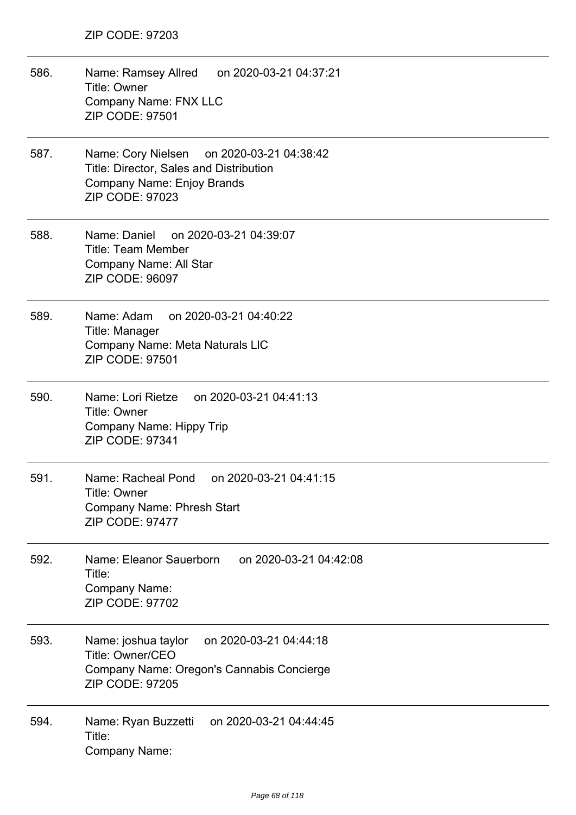- 586. Name: Ramsey Allred on 2020-03-21 04:37:21 Title: Owner Company Name: FNX LLC ZIP CODE: 97501
- 587. Name: Cory Nielsen on 2020-03-21 04:38:42 Title: Director, Sales and Distribution Company Name: Enjoy Brands ZIP CODE: 97023
- 588. Name: Daniel on 2020-03-21 04:39:07 Title: Team Member Company Name: All Star ZIP CODE: 96097
- 589. Name: Adam on 2020-03-21 04:40:22 Title: Manager Company Name: Meta Naturals LlC ZIP CODE: 97501
- 590. Name: Lori Rietze on 2020-03-21 04:41:13 Title: Owner Company Name: Hippy Trip ZIP CODE: 97341
- 591. Name: Racheal Pond on 2020-03-21 04:41:15 Title: Owner Company Name: Phresh Start ZIP CODE: 97477
- 592. Name: Eleanor Sauerborn on 2020-03-21 04:42:08 Title: Company Name: ZIP CODE: 97702
- 593. Name: joshua taylor on 2020-03-21 04:44:18 Title: Owner/CEO Company Name: Oregon's Cannabis Concierge ZIP CODE: 97205
- 594. Name: Ryan Buzzetti on 2020-03-21 04:44:45 Title: Company Name: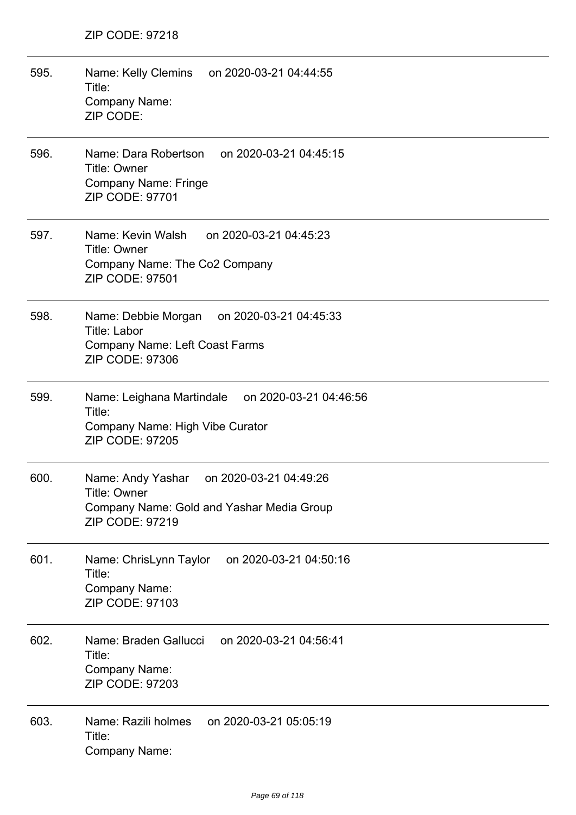| 595. | Name: Kelly Clemins<br>on 2020-03-21 04:44:55<br>Title:<br>Company Name:<br>ZIP CODE:                                         |
|------|-------------------------------------------------------------------------------------------------------------------------------|
| 596. | Name: Dara Robertson<br>on 2020-03-21 04:45:15<br><b>Title: Owner</b><br><b>Company Name: Fringe</b><br>ZIP CODE: 97701       |
| 597. | Name: Kevin Walsh<br>on 2020-03-21 04:45:23<br><b>Title: Owner</b><br>Company Name: The Co2 Company<br><b>ZIP CODE: 97501</b> |
| 598. | Name: Debbie Morgan on 2020-03-21 04:45:33<br>Title: Labor<br><b>Company Name: Left Coast Farms</b><br>ZIP CODE: 97306        |
| 599. | Name: Leighana Martindale on 2020-03-21 04:46:56<br>Title:<br>Company Name: High Vibe Curator<br><b>ZIP CODE: 97205</b>       |
| 600. | Name: Andy Yashar<br>on 2020-03-21 04:49:26<br>Title: Owner<br>Company Name: Gold and Yashar Media Group<br>ZIP CODE: 97219   |
| 601. | Name: ChrisLynn Taylor<br>on 2020-03-21 04:50:16<br>Title:<br>Company Name:<br><b>ZIP CODE: 97103</b>                         |
| 602. | on 2020-03-21 04:56:41<br>Name: Braden Gallucci<br>Title:<br>Company Name:<br><b>ZIP CODE: 97203</b>                          |
| 603. | on 2020-03-21 05:05:19<br>Name: Razili holmes<br>Title:<br>Company Name:                                                      |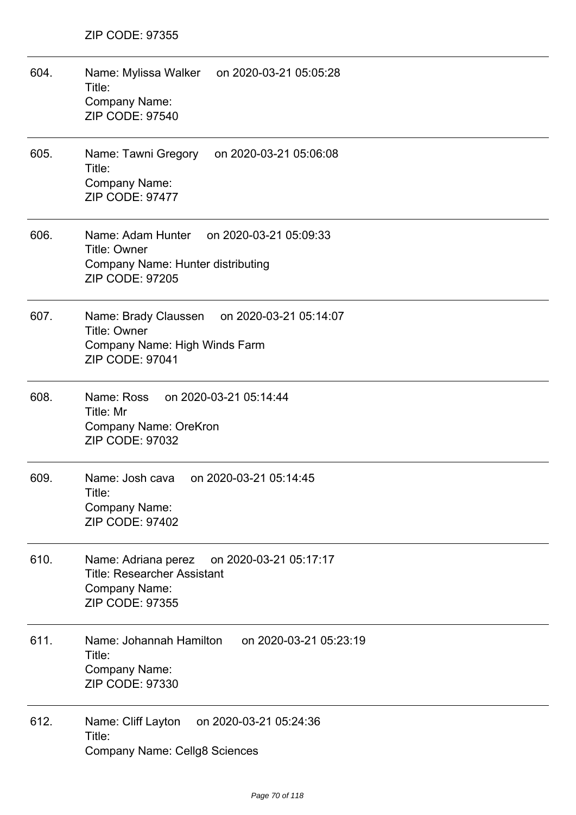| 604. | Name: Mylissa Walker on 2020-03-21 05:05:28<br>Title:<br>Company Name:<br><b>ZIP CODE: 97540</b>                                  |
|------|-----------------------------------------------------------------------------------------------------------------------------------|
| 605. | Name: Tawni Gregory<br>on 2020-03-21 05:06:08<br>Title:<br>Company Name:<br><b>ZIP CODE: 97477</b>                                |
| 606. | Name: Adam Hunter<br>on 2020-03-21 05:09:33<br><b>Title: Owner</b><br>Company Name: Hunter distributing<br><b>ZIP CODE: 97205</b> |
| 607. | on 2020-03-21 05:14:07<br>Name: Brady Claussen<br>Title: Owner<br>Company Name: High Winds Farm<br><b>ZIP CODE: 97041</b>         |
| 608. | Name: Ross<br>on 2020-03-21 05:14:44<br>Title: Mr<br>Company Name: OreKron<br>ZIP CODE: 97032                                     |
| 609. | Name: Josh cava<br>on 2020-03-21 05:14:45<br>Title:<br>Company Name:<br>ZIP CODE: 97402                                           |
| 610. | Name: Adriana perez<br>on 2020-03-21 05:17:17<br><b>Title: Researcher Assistant</b><br>Company Name:<br>ZIP CODE: 97355           |
| 611. | Name: Johannah Hamilton<br>on 2020-03-21 05:23:19<br>Title:<br>Company Name:<br>ZIP CODE: 97330                                   |
| 612. | Name: Cliff Layton<br>on 2020-03-21 05:24:36<br>Title:<br><b>Company Name: Cellg8 Sciences</b>                                    |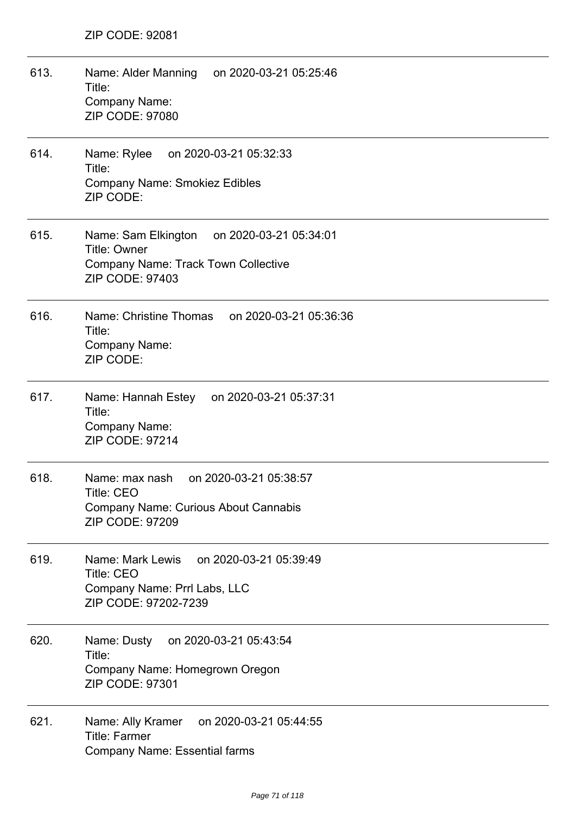| 613. | Name: Alder Manning on 2020-03-21 05:25:46<br>Title:<br>Company Name:<br><b>ZIP CODE: 97080</b>                                    |
|------|------------------------------------------------------------------------------------------------------------------------------------|
| 614. | Name: Rylee<br>on 2020-03-21 05:32:33<br>Title:<br><b>Company Name: Smokiez Edibles</b><br>ZIP CODE:                               |
| 615. | Name: Sam Elkington on 2020-03-21 05:34:01<br><b>Title: Owner</b><br><b>Company Name: Track Town Collective</b><br>ZIP CODE: 97403 |
| 616. | Name: Christine Thomas<br>on 2020-03-21 05:36:36<br>Title:<br>Company Name:<br>ZIP CODE:                                           |
| 617. | Name: Hannah Estey on 2020-03-21 05:37:31<br>Title:<br>Company Name:<br>ZIP CODE: 97214                                            |
| 618. | Name: max nash<br>on 2020-03-21 05:38:57<br>Title: CEO<br><b>Company Name: Curious About Cannabis</b><br><b>ZIP CODE: 97209</b>    |
| 619. | on 2020-03-21 05:39:49<br>Name: Mark Lewis<br>Title: CEO<br>Company Name: Prrl Labs, LLC<br>ZIP CODE: 97202-7239                   |
| 620. | on 2020-03-21 05:43:54<br>Name: Dusty<br>Title:<br>Company Name: Homegrown Oregon<br><b>ZIP CODE: 97301</b>                        |
| 621. | on 2020-03-21 05:44:55<br>Name: Ally Kramer<br><b>Title: Farmer</b><br><b>Company Name: Essential farms</b>                        |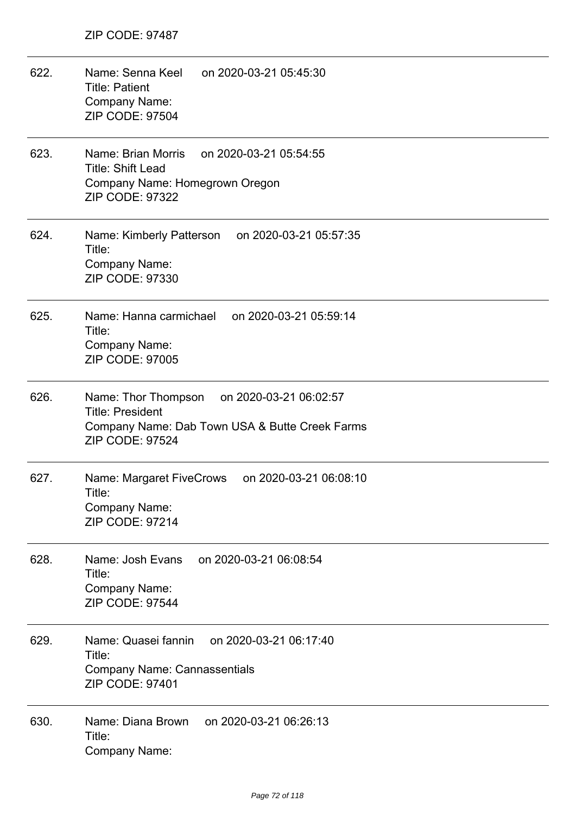622. Name: Senna Keel on 2020-03-21 05:45:30 Title: Patient Company Name: ZIP CODE: 97504 623. Name: Brian Morris on 2020-03-21 05:54:55 Title: Shift Lead Company Name: Homegrown Oregon ZIP CODE: 97322 624. Name: Kimberly Patterson on 2020-03-21 05:57:35 Title: Company Name: ZIP CODE: 97330 625. Name: Hanna carmichael on 2020-03-21 05:59:14 Title: Company Name: ZIP CODE: 97005 626. Name: Thor Thompson on 2020-03-21 06:02:57 Title: President Company Name: Dab Town USA & Butte Creek Farms ZIP CODE: 97524 627. Name: Margaret FiveCrows on 2020-03-21 06:08:10 Title: Company Name: ZIP CODE: 97214 628. Name: Josh Evans on 2020-03-21 06:08:54 Title: Company Name: ZIP CODE: 97544 629. Name: Quasei fannin on 2020-03-21 06:17:40 Title: Company Name: Cannassentials ZIP CODE: 97401 630. Name: Diana Brown on 2020-03-21 06:26:13 Title: Company Name: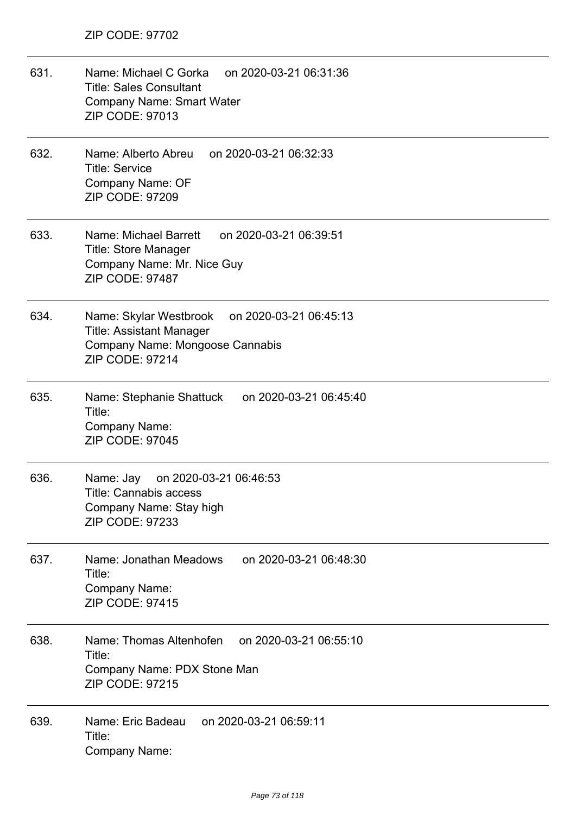- 631. Name: Michael C Gorka on 2020-03-21 06:31:36 Title: Sales Consultant Company Name: Smart Water ZIP CODE: 97013
- 632. Name: Alberto Abreu on 2020-03-21 06:32:33 Title: Service Company Name: OF ZIP CODE: 97209
- 633. Name: Michael Barrett on 2020-03-21 06:39:51 Title: Store Manager Company Name: Mr. Nice Guy ZIP CODE: 97487
- 634. Name: Skylar Westbrook on 2020-03-21 06:45:13 Title: Assistant Manager Company Name: Mongoose Cannabis ZIP CODE: 97214
- 635. Name: Stephanie Shattuck on 2020-03-21 06:45:40 Title: Company Name: ZIP CODE: 97045
- 636. Name: Jay on 2020-03-21 06:46:53 Title: Cannabis access Company Name: Stay high ZIP CODE: 97233
- 637. Name: Jonathan Meadows on 2020-03-21 06:48:30 Title: Company Name: ZIP CODE: 97415
- 638. Name: Thomas Altenhofen on 2020-03-21 06:55:10 Title: Company Name: PDX Stone Man ZIP CODE: 97215
- 639. Name: Eric Badeau on 2020-03-21 06:59:11 Title: Company Name: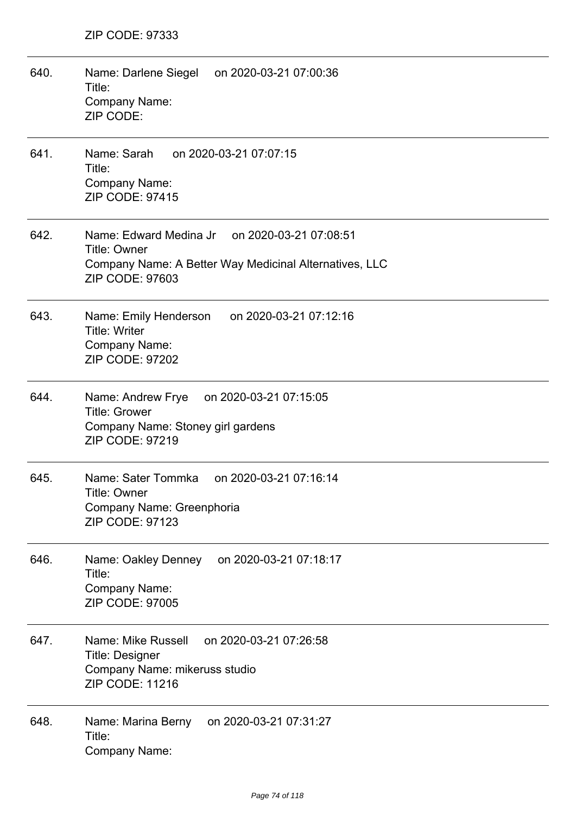| 640. | Name: Darlene Siegel on 2020-03-21 07:00:36<br>Title:<br>Company Name:<br>ZIP CODE:                                                        |
|------|--------------------------------------------------------------------------------------------------------------------------------------------|
| 641. | Name: Sarah<br>on 2020-03-21 07:07:15<br>Title:<br>Company Name:<br>ZIP CODE: 97415                                                        |
| 642. | Name: Edward Medina Jr on 2020-03-21 07:08:51<br>Title: Owner<br>Company Name: A Better Way Medicinal Alternatives, LLC<br>ZIP CODE: 97603 |
| 643. | Name: Emily Henderson on 2020-03-21 07:12:16<br><b>Title: Writer</b><br>Company Name:<br><b>ZIP CODE: 97202</b>                            |
| 644. | Name: Andrew Frye on 2020-03-21 07:15:05<br><b>Title: Grower</b><br>Company Name: Stoney girl gardens<br><b>ZIP CODE: 97219</b>            |
| 645. | Name: Sater Tommka<br>on 2020-03-21 07:16:14<br>Title: Owner<br>Company Name: Greenphoria<br><b>ZIP CODE: 97123</b>                        |
| 646. | Name: Oakley Denney<br>on 2020-03-21 07:18:17<br>Title:<br>Company Name:<br><b>ZIP CODE: 97005</b>                                         |
| 647. | Name: Mike Russell<br>on 2020-03-21 07:26:58<br><b>Title: Designer</b><br>Company Name: mikeruss studio<br><b>ZIP CODE: 11216</b>          |
| 648. | on 2020-03-21 07:31:27<br>Name: Marina Berny<br>Title:<br>Company Name:                                                                    |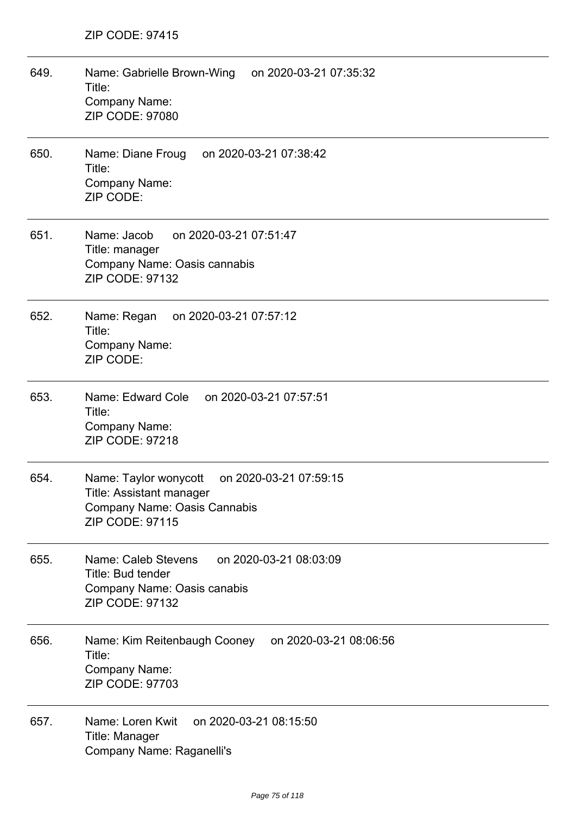| 649. | Name: Gabrielle Brown-Wing<br>on 2020-03-21 07:35:32<br>Title:<br><b>Company Name:</b><br><b>ZIP CODE: 97080</b>                             |
|------|----------------------------------------------------------------------------------------------------------------------------------------------|
| 650. | Name: Diane Froug<br>on 2020-03-21 07:38:42<br>Title:<br>Company Name:<br>ZIP CODE:                                                          |
| 651. | Name: Jacob<br>on 2020-03-21 07:51:47<br>Title: manager<br>Company Name: Oasis cannabis<br><b>ZIP CODE: 97132</b>                            |
| 652. | on 2020-03-21 07:57:12<br>Name: Regan<br>Title:<br><b>Company Name:</b><br>ZIP CODE:                                                         |
| 653. | Name: Edward Cole on 2020-03-21 07:57:51<br>Title:<br><b>Company Name:</b><br><b>ZIP CODE: 97218</b>                                         |
| 654. | Name: Taylor wonycott<br>on 2020-03-21 07:59:15<br><b>Title: Assistant manager</b><br>Company Name: Oasis Cannabis<br><b>ZIP CODE: 97115</b> |
| 655. | Name: Caleb Stevens<br>on 2020-03-21 08:03:09<br>Title: Bud tender<br>Company Name: Oasis canabis<br><b>ZIP CODE: 97132</b>                  |
| 656. | on 2020-03-21 08:06:56<br>Name: Kim Reitenbaugh Cooney<br>Title:<br>Company Name:<br><b>ZIP CODE: 97703</b>                                  |
| 657. | Name: Loren Kwit<br>on 2020-03-21 08:15:50<br>Title: Manager<br>Company Name: Raganelli's                                                    |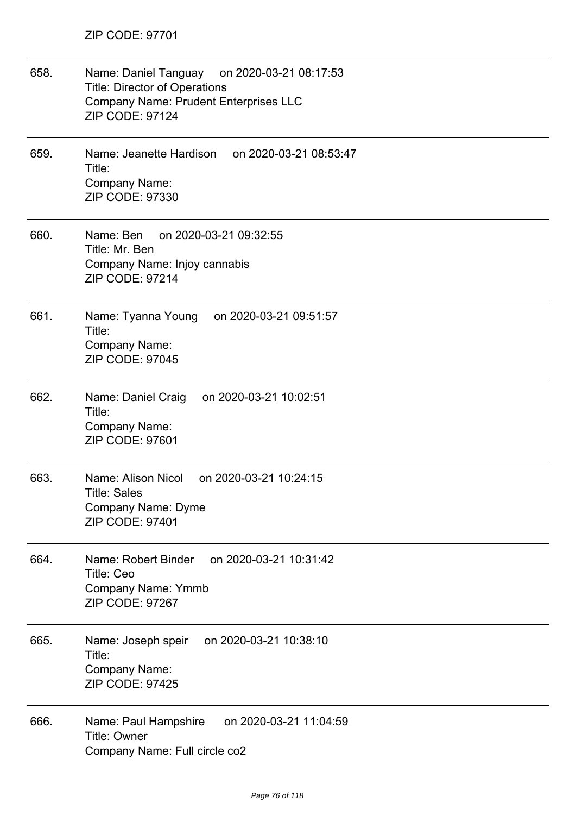| 658. | Name: Daniel Tanguay on 2020-03-21 08:17:53<br><b>Title: Director of Operations</b><br><b>Company Name: Prudent Enterprises LLC</b><br><b>ZIP CODE: 97124</b> |
|------|---------------------------------------------------------------------------------------------------------------------------------------------------------------|
| 659. | Name: Jeanette Hardison on 2020-03-21 08:53:47<br>Title:<br>Company Name:<br>ZIP CODE: 97330                                                                  |
| 660. | on 2020-03-21 09:32:55<br>Name: Ben<br>Title: Mr. Ben<br>Company Name: Injoy cannabis<br><b>ZIP CODE: 97214</b>                                               |
| 661. | Name: Tyanna Young<br>on 2020-03-21 09:51:57<br>Title:<br>Company Name:<br>ZIP CODE: 97045                                                                    |
| 662. | Name: Daniel Craig<br>on 2020-03-21 10:02:51<br>Title:<br>Company Name:<br>ZIP CODE: 97601                                                                    |
| 663. | Name: Alison Nicol<br>on 2020-03-21 10:24:15<br><b>Title: Sales</b><br><b>Company Name: Dyme</b><br>ZIP CODE: 97401                                           |
| 664. | on 2020-03-21 10:31:42<br>Name: Robert Binder<br><b>Title: Ceo</b><br><b>Company Name: Ymmb</b><br>ZIP CODE: 97267                                            |
| 665. | on 2020-03-21 10:38:10<br>Name: Joseph speir<br>Title:<br>Company Name:<br><b>ZIP CODE: 97425</b>                                                             |
| 666. | on 2020-03-21 11:04:59<br>Name: Paul Hampshire<br><b>Title: Owner</b><br>Company Name: Full circle co2                                                        |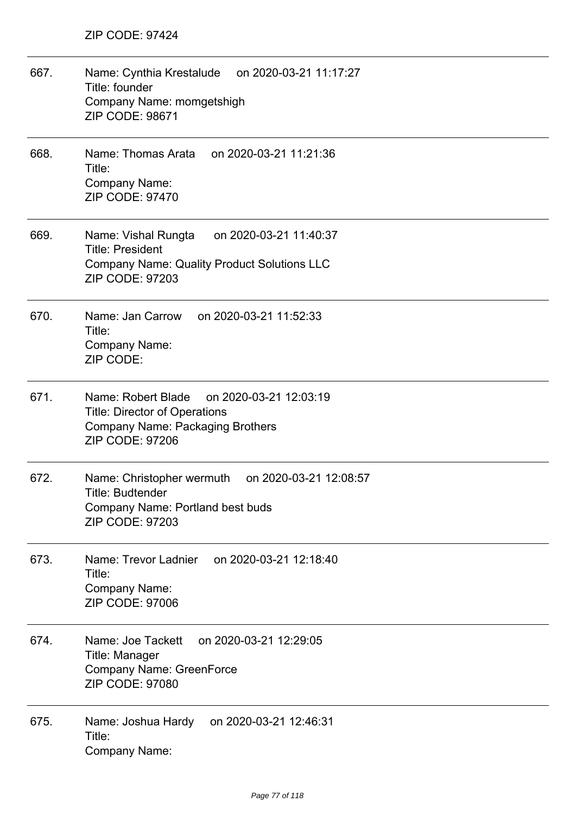| 667. | Name: Cynthia Krestalude<br>on 2020-03-21 11:17:27<br>Title: founder<br>Company Name: momgetshigh<br><b>ZIP CODE: 98671</b>                              |
|------|----------------------------------------------------------------------------------------------------------------------------------------------------------|
| 668. | Name: Thomas Arata<br>on 2020-03-21 11:21:36<br>Title:<br><b>Company Name:</b><br><b>ZIP CODE: 97470</b>                                                 |
| 669. | Name: Vishal Rungta<br>on 2020-03-21 11:40:37<br><b>Title: President</b><br><b>Company Name: Quality Product Solutions LLC</b><br><b>ZIP CODE: 97203</b> |
| 670. | Name: Jan Carrow on 2020-03-21 11:52:33<br>Title:<br><b>Company Name:</b><br>ZIP CODE:                                                                   |
| 671. | Name: Robert Blade on 2020-03-21 12:03:19<br><b>Title: Director of Operations</b><br><b>Company Name: Packaging Brothers</b><br><b>ZIP CODE: 97206</b>   |
| 672. | Name: Christopher wermuth<br>on 2020-03-21 12:08:57<br>Title: Budtender<br>Company Name: Portland best buds<br><b>ZIP CODE: 97203</b>                    |
| 673. | on 2020-03-21 12:18:40<br>Name: Trevor Ladnier<br>Title:<br>Company Name:<br><b>ZIP CODE: 97006</b>                                                      |
| 674. | Name: Joe Tackett<br>on 2020-03-21 12:29:05<br>Title: Manager<br><b>Company Name: GreenForce</b><br><b>ZIP CODE: 97080</b>                               |
| 675. | on 2020-03-21 12:46:31<br>Name: Joshua Hardy<br>Title:<br>Company Name:                                                                                  |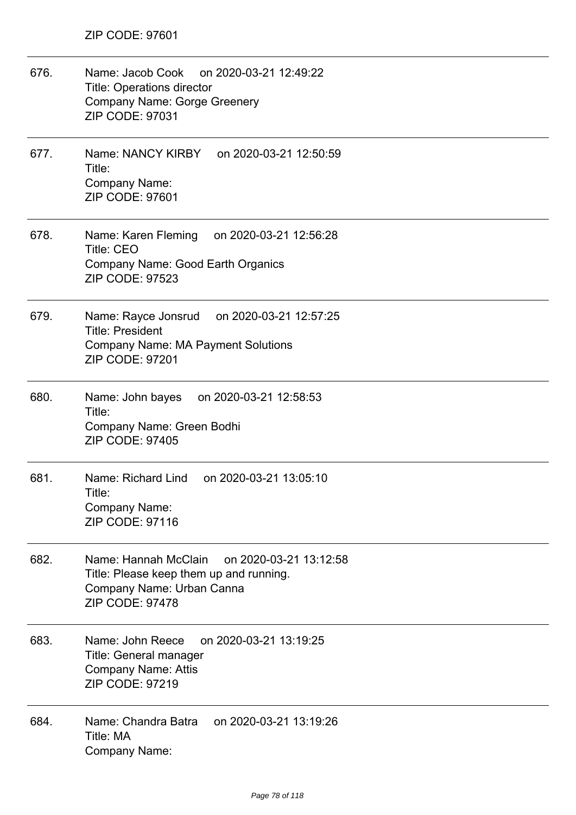| 676. | Name: Jacob Cook on 2020-03-21 12:49:22<br><b>Title: Operations director</b><br><b>Company Name: Gorge Greenery</b><br>ZIP CODE: 97031           |
|------|--------------------------------------------------------------------------------------------------------------------------------------------------|
| 677. | Name: NANCY KIRBY on 2020-03-21 12:50:59<br>Title:<br>Company Name:<br><b>ZIP CODE: 97601</b>                                                    |
| 678. | Name: Karen Fleming<br>on 2020-03-21 12:56:28<br><b>Title: CEO</b><br><b>Company Name: Good Earth Organics</b><br><b>ZIP CODE: 97523</b>         |
| 679. | Name: Rayce Jonsrud on 2020-03-21 12:57:25<br><b>Title: President</b><br><b>Company Name: MA Payment Solutions</b><br><b>ZIP CODE: 97201</b>     |
| 680. | Name: John bayes on 2020-03-21 12:58:53<br>Title:<br>Company Name: Green Bodhi<br><b>ZIP CODE: 97405</b>                                         |
| 681. | Name: Richard Lind on 2020-03-21 13:05:10<br>Title:<br>Company Name:<br>ZIP CODE: 97116                                                          |
| 682. | Name: Hannah McClain<br>on 2020-03-21 13:12:58<br>Title: Please keep them up and running.<br>Company Name: Urban Canna<br><b>ZIP CODE: 97478</b> |
| 683. | Name: John Reece<br>on 2020-03-21 13:19:25<br>Title: General manager<br><b>Company Name: Attis</b><br><b>ZIP CODE: 97219</b>                     |
| 684. | Name: Chandra Batra<br>on 2020-03-21 13:19:26<br>Title: MA<br>Company Name:                                                                      |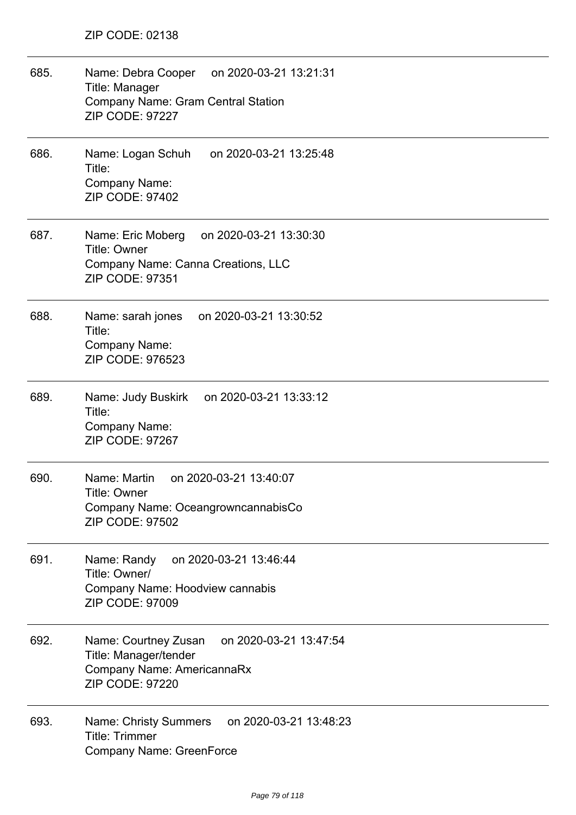| 685. | Name: Debra Cooper on 2020-03-21 13:21:31<br>Title: Manager<br>Company Name: Gram Central Station<br><b>ZIP CODE: 97227</b>     |
|------|---------------------------------------------------------------------------------------------------------------------------------|
| 686. | Name: Logan Schuh<br>on 2020-03-21 13:25:48<br>Title:<br>Company Name:<br><b>ZIP CODE: 97402</b>                                |
| 687. | Name: Eric Moberg<br>on 2020-03-21 13:30:30<br>Title: Owner<br>Company Name: Canna Creations, LLC<br>ZIP CODE: 97351            |
| 688. | Name: sarah jones<br>on 2020-03-21 13:30:52<br>Title:<br>Company Name:<br>ZIP CODE: 976523                                      |
| 689. | Name: Judy Buskirk on 2020-03-21 13:33:12<br>Title:<br>Company Name:<br><b>ZIP CODE: 97267</b>                                  |
| 690. | Name: Martin<br>on 2020-03-21 13:40:07<br>Title: Owner<br>Company Name: OceangrowncannabisCo<br><b>ZIP CODE: 97502</b>          |
| 691. | on 2020-03-21 13:46:44<br>Name: Randy<br>Title: Owner/<br>Company Name: Hoodview cannabis<br><b>ZIP CODE: 97009</b>             |
| 692. | on 2020-03-21 13:47:54<br>Name: Courtney Zusan<br>Title: Manager/tender<br>Company Name: AmericannaRx<br><b>ZIP CODE: 97220</b> |
| 693. | on 2020-03-21 13:48:23<br>Name: Christy Summers<br><b>Title: Trimmer</b><br>Company Name: GreenForce                            |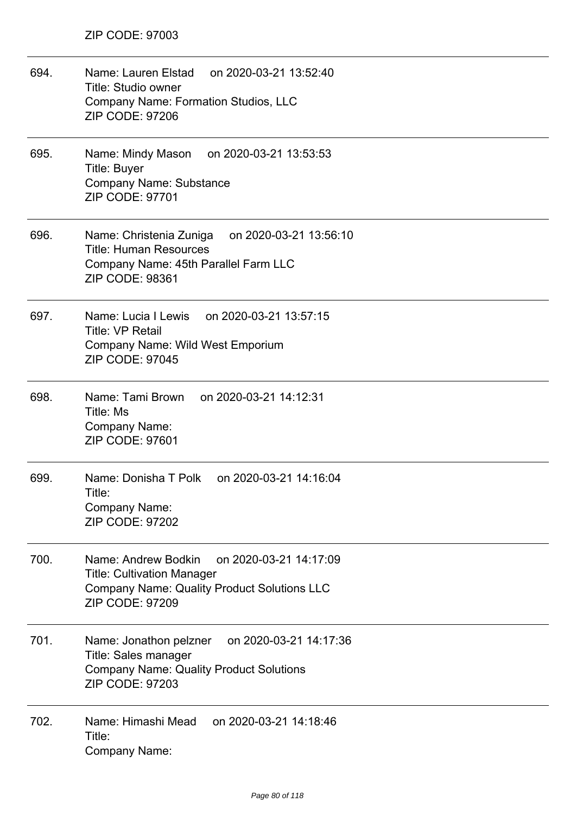| 694. | Name: Lauren Elstad<br>on 2020-03-21 13:52:40<br>Title: Studio owner<br><b>Company Name: Formation Studios, LLC</b><br><b>ZIP CODE: 97206</b>                      |
|------|--------------------------------------------------------------------------------------------------------------------------------------------------------------------|
| 695. | Name: Mindy Mason on 2020-03-21 13:53:53<br><b>Title: Buyer</b><br>Company Name: Substance<br>ZIP CODE: 97701                                                      |
| 696. | Name: Christenia Zuniga<br>on 2020-03-21 13:56:10<br><b>Title: Human Resources</b><br>Company Name: 45th Parallel Farm LLC<br><b>ZIP CODE: 98361</b>               |
| 697. | Name: Lucia I Lewis on 2020-03-21 13:57:15<br><b>Title: VP Retail</b><br>Company Name: Wild West Emporium<br><b>ZIP CODE: 97045</b>                                |
| 698. | Name: Tami Brown on 2020-03-21 14:12:31<br>Title: Ms<br>Company Name:<br>ZIP CODE: 97601                                                                           |
| 699. | Name: Donisha T Polk<br>on 2020-03-21 14:16:04<br>Title:<br>Company Name:<br><b>ZIP CODE: 97202</b>                                                                |
| 700. | Name: Andrew Bodkin<br>on 2020-03-21 14:17:09<br><b>Title: Cultivation Manager</b><br><b>Company Name: Quality Product Solutions LLC</b><br><b>ZIP CODE: 97209</b> |
| 701. | on 2020-03-21 14:17:36<br>Name: Jonathon pelzner<br>Title: Sales manager<br><b>Company Name: Quality Product Solutions</b><br><b>ZIP CODE: 97203</b>               |
| 702. | Name: Himashi Mead<br>on 2020-03-21 14:18:46<br>Title:<br>Company Name:                                                                                            |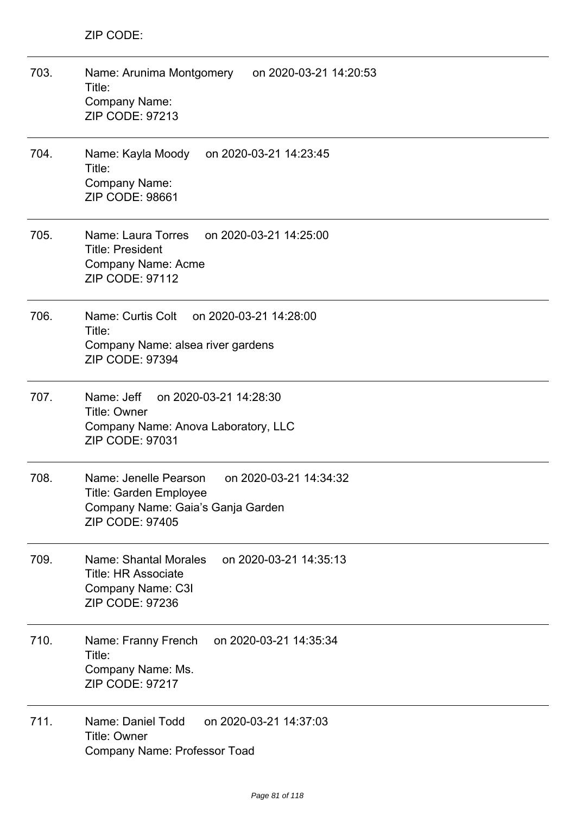| 703. | Name: Arunima Montgomery<br>on 2020-03-21 14:20:53<br>Title:<br>Company Name:<br>ZIP CODE: 97213                                         |
|------|------------------------------------------------------------------------------------------------------------------------------------------|
| 704. | Name: Kayla Moody<br>on 2020-03-21 14:23:45<br>Title:<br>Company Name:<br><b>ZIP CODE: 98661</b>                                         |
| 705. | Name: Laura Torres<br>on 2020-03-21 14:25:00<br><b>Title: President</b><br>Company Name: Acme<br><b>ZIP CODE: 97112</b>                  |
| 706. | Name: Curtis Colt<br>on 2020-03-21 14:28:00<br>Title:<br>Company Name: alsea river gardens<br>ZIP CODE: 97394                            |
| 707. | Name: Jeff<br>on 2020-03-21 14:28:30<br><b>Title: Owner</b><br>Company Name: Anova Laboratory, LLC<br><b>ZIP CODE: 97031</b>             |
| 708. | Name: Jenelle Pearson<br>on 2020-03-21 14:34:32<br>Title: Garden Employee<br>Company Name: Gaia's Ganja Garden<br><b>ZIP CODE: 97405</b> |
| 709. | Name: Shantal Morales<br>on 2020-03-21 14:35:13<br><b>Title: HR Associate</b><br>Company Name: C3I<br>ZIP CODE: 97236                    |
| 710. | on 2020-03-21 14:35:34<br>Name: Franny French<br>Title:<br>Company Name: Ms.<br><b>ZIP CODE: 97217</b>                                   |
| 711. | Name: Daniel Todd<br>on 2020-03-21 14:37:03<br><b>Title: Owner</b><br>Company Name: Professor Toad                                       |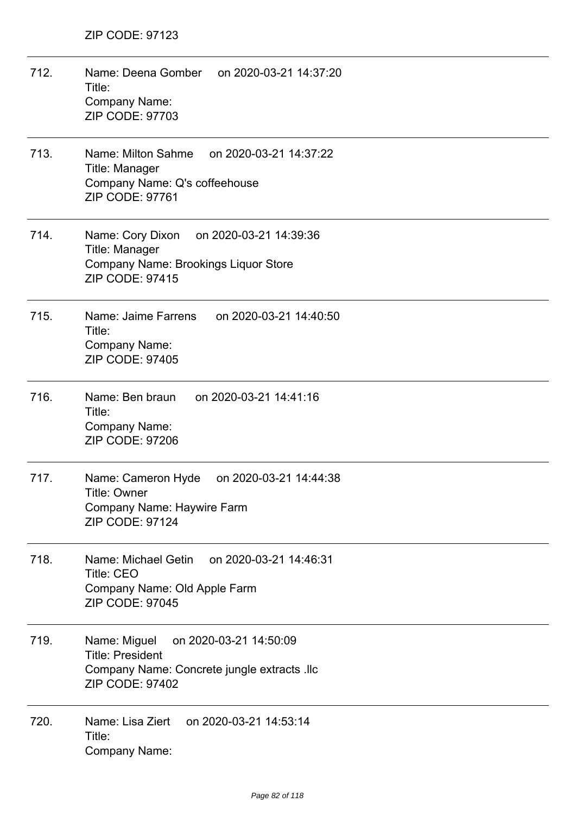- 712. Name: Deena Gomber on 2020-03-21 14:37:20 Title: Company Name: ZIP CODE: 97703 713. Name: Milton Sahme on 2020-03-21 14:37:22 Title: Manager Company Name: Q's coffeehouse ZIP CODE: 97761 714. Name: Cory Dixon on 2020-03-21 14:39:36 Title: Manager Company Name: Brookings Liquor Store ZIP CODE: 97415
- 715. Name: Jaime Farrens on 2020-03-21 14:40:50 Title: Company Name: ZIP CODE: 97405
- 716. Name: Ben braun on 2020-03-21 14:41:16 Title: Company Name: ZIP CODE: 97206
- 717. Name: Cameron Hyde on 2020-03-21 14:44:38 Title: Owner Company Name: Haywire Farm ZIP CODE: 97124
- 718. Name: Michael Getin on 2020-03-21 14:46:31 Title: CEO Company Name: Old Apple Farm ZIP CODE: 97045
- 719. Name: Miguel on 2020-03-21 14:50:09 Title: President Company Name: Concrete jungle extracts .llc ZIP CODE: 97402
- 720. Name: Lisa Ziert on 2020-03-21 14:53:14 Title: Company Name: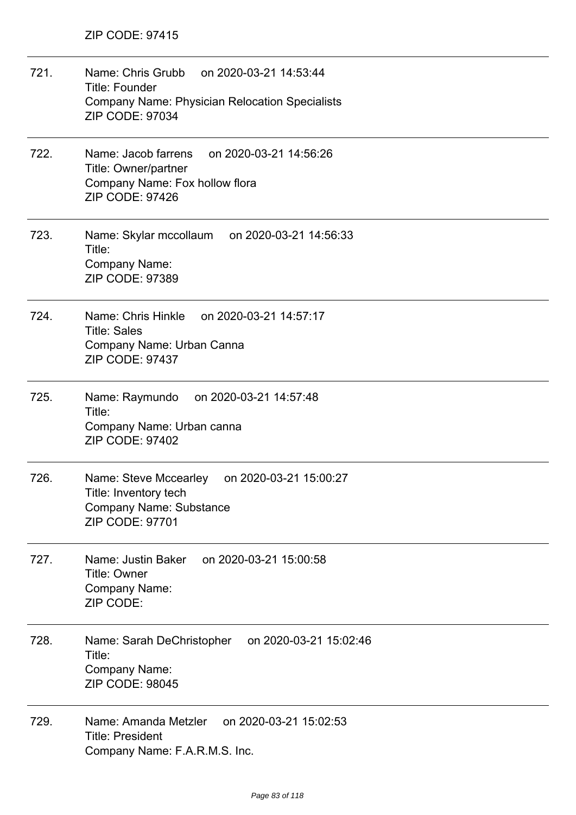| 721. | Name: Chris Grubb on 2020-03-21 14:53:44<br><b>Title: Founder</b><br><b>Company Name: Physician Relocation Specialists</b><br>ZIP CODE: 97034 |
|------|-----------------------------------------------------------------------------------------------------------------------------------------------|
| 722. | Name: Jacob farrens<br>on 2020-03-21 14:56:26<br>Title: Owner/partner<br>Company Name: Fox hollow flora<br><b>ZIP CODE: 97426</b>             |
| 723. | Name: Skylar mccollaum<br>on 2020-03-21 14:56:33<br>Title:<br>Company Name:<br>ZIP CODE: 97389                                                |
| 724. | Name: Chris Hinkle<br>on 2020-03-21 14:57:17<br><b>Title: Sales</b><br>Company Name: Urban Canna<br><b>ZIP CODE: 97437</b>                    |
| 725. | Name: Raymundo<br>on 2020-03-21 14:57:48<br>Title:<br>Company Name: Urban canna<br><b>ZIP CODE: 97402</b>                                     |
| 726. | Name: Steve Mccearley<br>on 2020-03-21 15:00:27<br>Title: Inventory tech<br><b>Company Name: Substance</b><br><b>ZIP CODE: 97701</b>          |
| 727. | on 2020-03-21 15:00:58<br>Name: Justin Baker<br>Title: Owner<br><b>Company Name:</b><br>ZIP CODE:                                             |
| 728. | on 2020-03-21 15:02:46<br>Name: Sarah DeChristopher<br>Title:<br><b>Company Name:</b><br>ZIP CODE: 98045                                      |
| 729. | on 2020-03-21 15:02:53<br>Name: Amanda Metzler<br><b>Title: President</b><br>Company Name: F.A.R.M.S. Inc.                                    |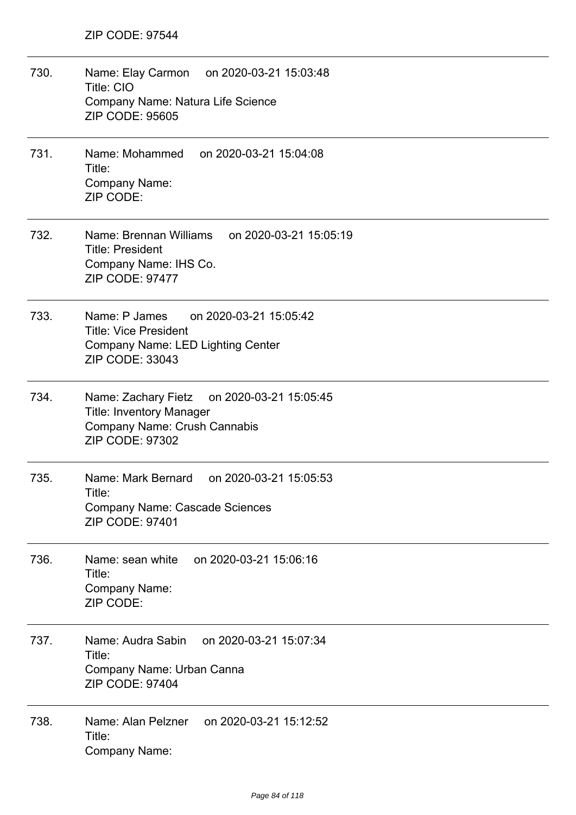730. Name: Elay Carmon on 2020-03-21 15:03:48 Title: CIO Company Name: Natura Life Science ZIP CODE: 95605 731. Name: Mohammed on 2020-03-21 15:04:08 Title: Company Name: ZIP CODE: 732. Name: Brennan Williams on 2020-03-21 15:05:19 Title: President Company Name: IHS Co. ZIP CODE: 97477 733. Name: P James on 2020-03-21 15:05:42 Title: Vice President Company Name: LED Lighting Center ZIP CODE: 33043 734. Name: Zachary Fietz on 2020-03-21 15:05:45 Title: Inventory Manager Company Name: Crush Cannabis ZIP CODE: 97302 735. Name: Mark Bernard on 2020-03-21 15:05:53 Title: Company Name: Cascade Sciences ZIP CODE: 97401 736. Name: sean white on 2020-03-21 15:06:16 Title: Company Name: ZIP CODE: 737. Name: Audra Sabin on 2020-03-21 15:07:34 Title: Company Name: Urban Canna ZIP CODE: 97404 738. Name: Alan Pelzner on 2020-03-21 15:12:52 Title: Company Name: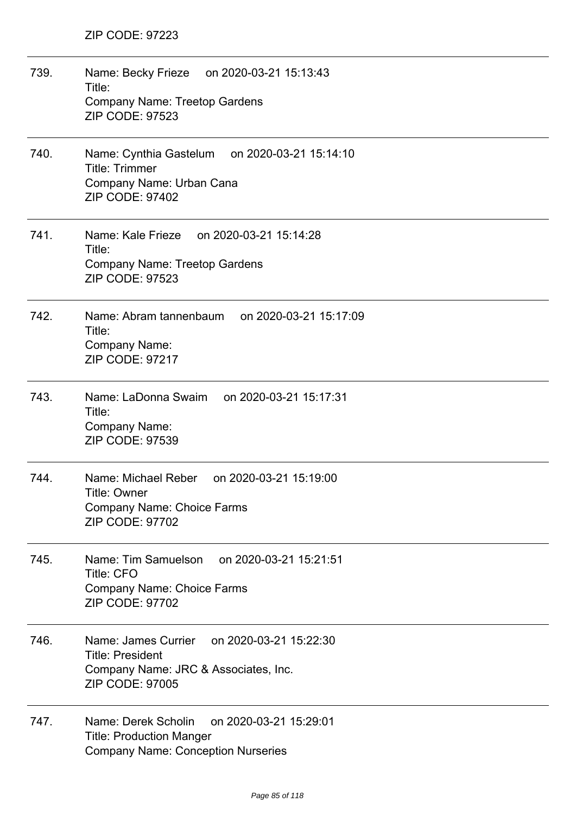| 739. | Name: Becky Frieze on 2020-03-21 15:13:43<br>Title:<br><b>Company Name: Treetop Gardens</b><br><b>ZIP CODE: 97523</b>                      |
|------|--------------------------------------------------------------------------------------------------------------------------------------------|
| 740. | Name: Cynthia Gastelum on 2020-03-21 15:14:10<br><b>Title: Trimmer</b><br>Company Name: Urban Cana<br><b>ZIP CODE: 97402</b>               |
| 741. | Name: Kale Frieze on 2020-03-21 15:14:28<br>Title:<br><b>Company Name: Treetop Gardens</b><br><b>ZIP CODE: 97523</b>                       |
| 742. | Name: Abram tannenbaum on 2020-03-21 15:17:09<br>Title:<br>Company Name:<br><b>ZIP CODE: 97217</b>                                         |
| 743. | Name: LaDonna Swaim<br>on 2020-03-21 15:17:31<br>Title:<br>Company Name:<br>ZIP CODE: 97539                                                |
| 744. | Name: Michael Reber<br>on 2020-03-21 15:19:00<br>Title: Owner<br>Company Name: Choice Farms<br>ZIP CODE: 97702                             |
| 745. | on 2020-03-21 15:21:51<br>Name: Tim Samuelson<br><b>Title: CFO</b><br>Company Name: Choice Farms<br><b>ZIP CODE: 97702</b>                 |
| 746. | Name: James Currier<br>on 2020-03-21 15:22:30<br><b>Title: President</b><br>Company Name: JRC & Associates, Inc.<br><b>ZIP CODE: 97005</b> |
| 747. | Name: Derek Scholin<br>on 2020-03-21 15:29:01<br><b>Title: Production Manger</b><br><b>Company Name: Conception Nurseries</b>              |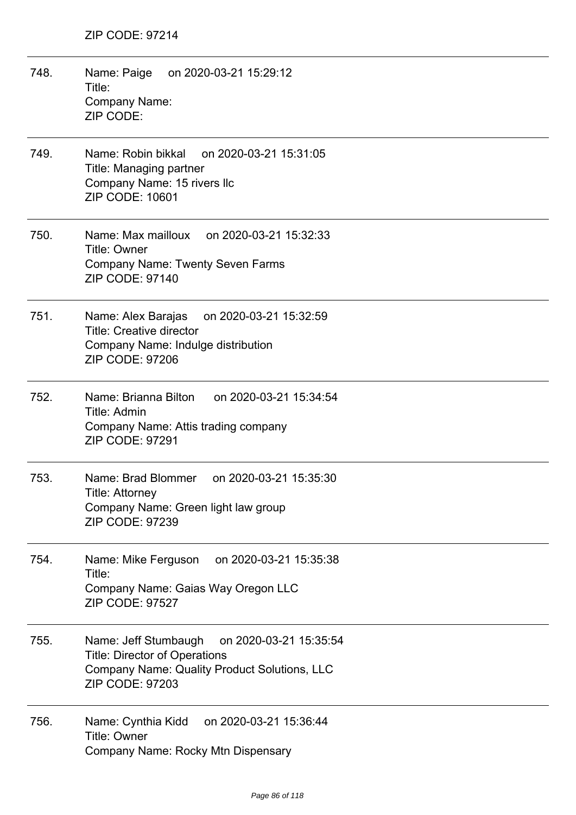- 748. Name: Paige on 2020-03-21 15:29:12 Title: Company Name: ZIP CODE:
- 749. Name: Robin bikkal on 2020-03-21 15:31:05 Title: Managing partner Company Name: 15 rivers llc ZIP CODE: 10601
- 750. Name: Max mailloux on 2020-03-21 15:32:33 Title: Owner Company Name: Twenty Seven Farms ZIP CODE: 97140
- 751. Name: Alex Barajas on 2020-03-21 15:32:59 Title: Creative director Company Name: Indulge distribution ZIP CODE: 97206
- 752. Name: Brianna Bilton on 2020-03-21 15:34:54 Title: Admin Company Name: Attis trading company ZIP CODE: 97291
- 753. Name: Brad Blommer on 2020-03-21 15:35:30 Title: Attorney Company Name: Green light law group ZIP CODE: 97239
- 754. Name: Mike Ferguson on 2020-03-21 15:35:38 Title: Company Name: Gaias Way Oregon LLC ZIP CODE: 97527
- 755. Name: Jeff Stumbaugh on 2020-03-21 15:35:54 Title: Director of Operations Company Name: Quality Product Solutions, LLC ZIP CODE: 97203
- 756. Name: Cynthia Kidd on 2020-03-21 15:36:44 Title: Owner Company Name: Rocky Mtn Dispensary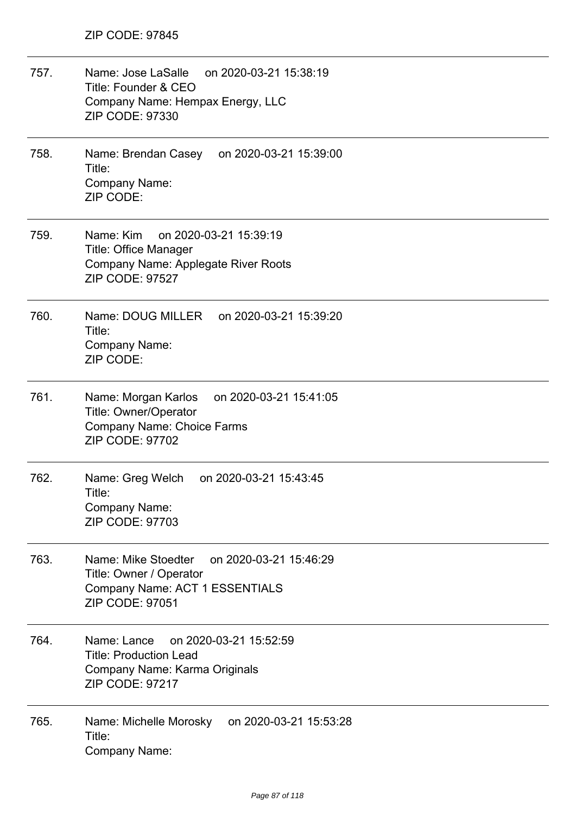757. Name: Jose LaSalle on 2020-03-21 15:38:19 Title: Founder & CEO Company Name: Hempax Energy, LLC ZIP CODE: 97330 758. Name: Brendan Casey on 2020-03-21 15:39:00 Title: Company Name: ZIP CODE: 759. Name: Kim on 2020-03-21 15:39:19 Title: Office Manager Company Name: Applegate River Roots ZIP CODE: 97527 760. Name: DOUG MILLER on 2020-03-21 15:39:20 Title: Company Name: ZIP CODE: 761. Name: Morgan Karlos on 2020-03-21 15:41:05 Title: Owner/Operator Company Name: Choice Farms ZIP CODE: 97702 762. Name: Greg Welch on 2020-03-21 15:43:45 Title: Company Name: ZIP CODE: 97703 763. Name: Mike Stoedter on 2020-03-21 15:46:29 Title: Owner / Operator Company Name: ACT 1 ESSENTIALS ZIP CODE: 97051 764. Name: Lance on 2020-03-21 15:52:59 Title: Production Lead Company Name: Karma Originals ZIP CODE: 97217 765. Name: Michelle Morosky on 2020-03-21 15:53:28 Title: Company Name: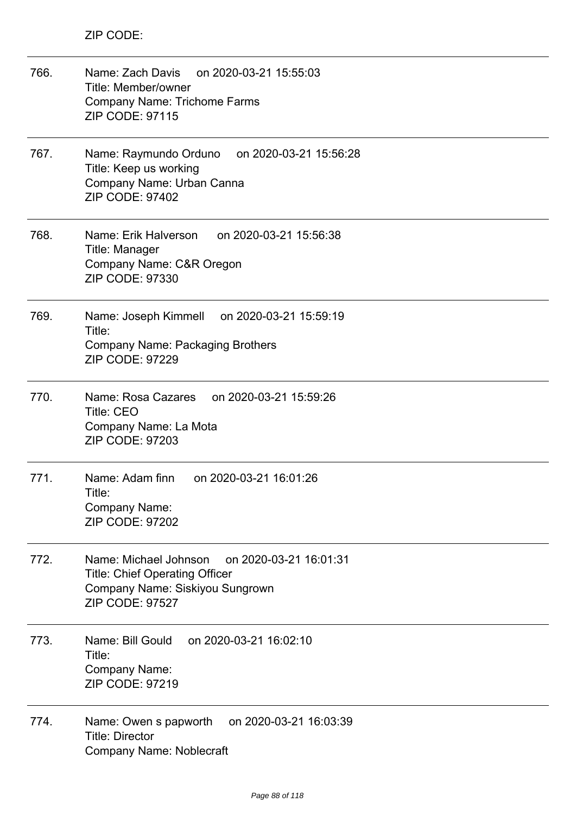| 766. | on 2020-03-21 15:55:03<br>Name: Zach Davis<br>Title: Member/owner<br><b>Company Name: Trichome Farms</b><br><b>ZIP CODE: 97115</b>                 |
|------|----------------------------------------------------------------------------------------------------------------------------------------------------|
| 767. | Name: Raymundo Orduno<br>on 2020-03-21 15:56:28<br>Title: Keep us working<br>Company Name: Urban Canna<br><b>ZIP CODE: 97402</b>                   |
| 768. | Name: Erik Halverson<br>on 2020-03-21 15:56:38<br>Title: Manager<br>Company Name: C&R Oregon<br>ZIP CODE: 97330                                    |
| 769. | Name: Joseph Kimmell on 2020-03-21 15:59:19<br>Title:<br><b>Company Name: Packaging Brothers</b><br><b>ZIP CODE: 97229</b>                         |
| 770. | Name: Rosa Cazares on 2020-03-21 15:59:26<br><b>Title: CEO</b><br>Company Name: La Mota<br><b>ZIP CODE: 97203</b>                                  |
| 771. | Name: Adam finn<br>on 2020-03-21 16:01:26<br>Title:<br>Company Name:<br><b>ZIP CODE: 97202</b>                                                     |
| 772. | Name: Michael Johnson on 2020-03-21 16:01:31<br><b>Title: Chief Operating Officer</b><br>Company Name: Siskiyou Sungrown<br><b>ZIP CODE: 97527</b> |
| 773. | Name: Bill Gould<br>on 2020-03-21 16:02:10<br>Title:<br><b>Company Name:</b><br>ZIP CODE: 97219                                                    |
| 774. | Name: Owen s papworth<br>on 2020-03-21 16:03:39<br><b>Title: Director</b><br><b>Company Name: Noblecraft</b>                                       |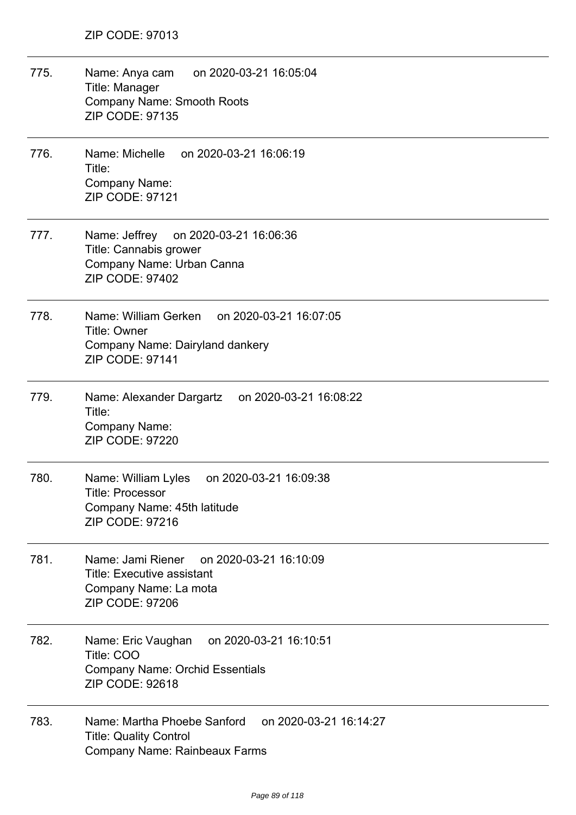775. Name: Anya cam on 2020-03-21 16:05:04 Title: Manager Company Name: Smooth Roots ZIP CODE: 97135 776. Name: Michelle on 2020-03-21 16:06:19 Title: Company Name: ZIP CODE: 97121 777. Name: Jeffrey on 2020-03-21 16:06:36 Title: Cannabis grower Company Name: Urban Canna ZIP CODE: 97402 778. Name: William Gerken on 2020-03-21 16:07:05 Title: Owner Company Name: Dairyland dankery ZIP CODE: 97141 779. Name: Alexander Dargartz on 2020-03-21 16:08:22 Title: Company Name: ZIP CODE: 97220 780. Name: William Lyles on 2020-03-21 16:09:38 Title: Processor Company Name: 45th latitude ZIP CODE: 97216 781. Name: Jami Riener on 2020-03-21 16:10:09 Title: Executive assistant Company Name: La mota ZIP CODE: 97206 782. Name: Eric Vaughan on 2020-03-21 16:10:51 Title: COO Company Name: Orchid Essentials ZIP CODE: 92618 783. Name: Martha Phoebe Sanford on 2020-03-21 16:14:27 Title: Quality Control Company Name: Rainbeaux Farms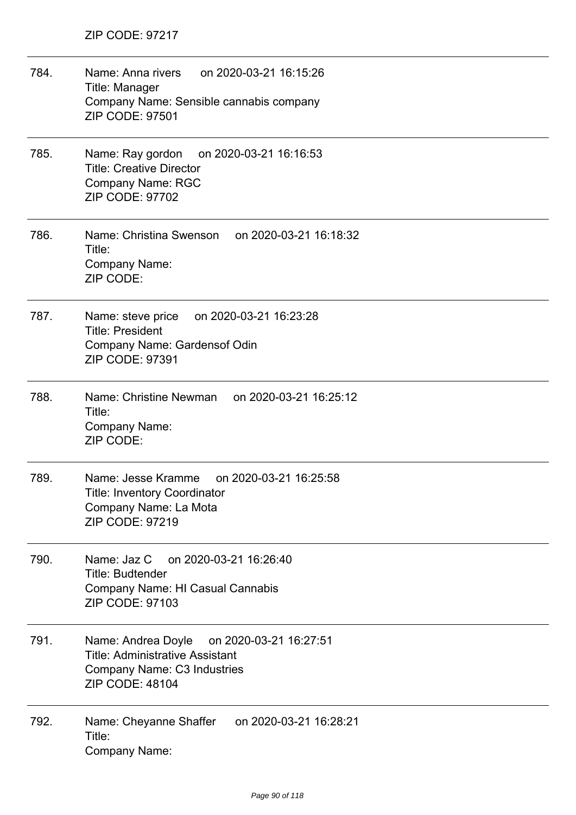784. Name: Anna rivers on 2020-03-21 16:15:26 Title: Manager Company Name: Sensible cannabis company ZIP CODE: 97501 785. Name: Ray gordon on 2020-03-21 16:16:53 Title: Creative Director Company Name: RGC ZIP CODE: 97702 786. Name: Christina Swenson on 2020-03-21 16:18:32 Title: Company Name: ZIP CODE: 787. Name: steve price on 2020-03-21 16:23:28 Title: President Company Name: Gardensof Odin ZIP CODE: 97391 788. Name: Christine Newman on 2020-03-21 16:25:12 Title: Company Name: ZIP CODE: 789. Name: Jesse Kramme on 2020-03-21 16:25:58 Title: Inventory Coordinator Company Name: La Mota ZIP CODE: 97219 790. Name: Jaz C on 2020-03-21 16:26:40 Title: Budtender Company Name: HI Casual Cannabis ZIP CODE: 97103 791. Name: Andrea Doyle on 2020-03-21 16:27:51 Title: Administrative Assistant Company Name: C3 Industries ZIP CODE: 48104 792. Name: Cheyanne Shaffer on 2020-03-21 16:28:21 Title: Company Name: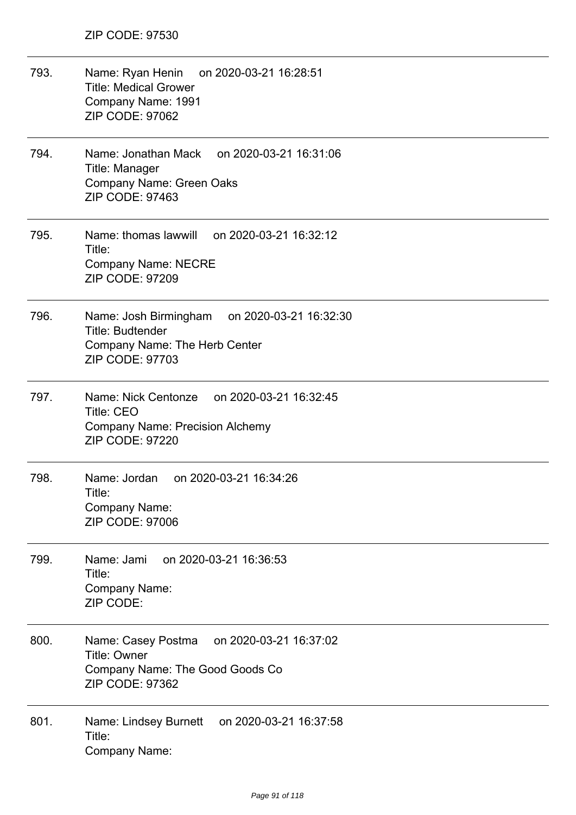793. Name: Ryan Henin on 2020-03-21 16:28:51 Title: Medical Grower Company Name: 1991 ZIP CODE: 97062 794. Name: Jonathan Mack on 2020-03-21 16:31:06 Title: Manager Company Name: Green Oaks ZIP CODE: 97463 795. Name: thomas lawwill on 2020-03-21 16:32:12 Title: Company Name: NECRE ZIP CODE: 97209 796. Name: Josh Birmingham on 2020-03-21 16:32:30 Title: Budtender Company Name: The Herb Center ZIP CODE: 97703 797. Name: Nick Centonze on 2020-03-21 16:32:45 Title: CEO Company Name: Precision Alchemy ZIP CODE: 97220 798. Name: Jordan on 2020-03-21 16:34:26 Title: Company Name: ZIP CODE: 97006 799. Name: Jami on 2020-03-21 16:36:53 Title: Company Name: ZIP CODE: 800. Name: Casey Postma on 2020-03-21 16:37:02 Title: Owner Company Name: The Good Goods Co ZIP CODE: 97362 801. Name: Lindsey Burnett on 2020-03-21 16:37:58 Title: Company Name: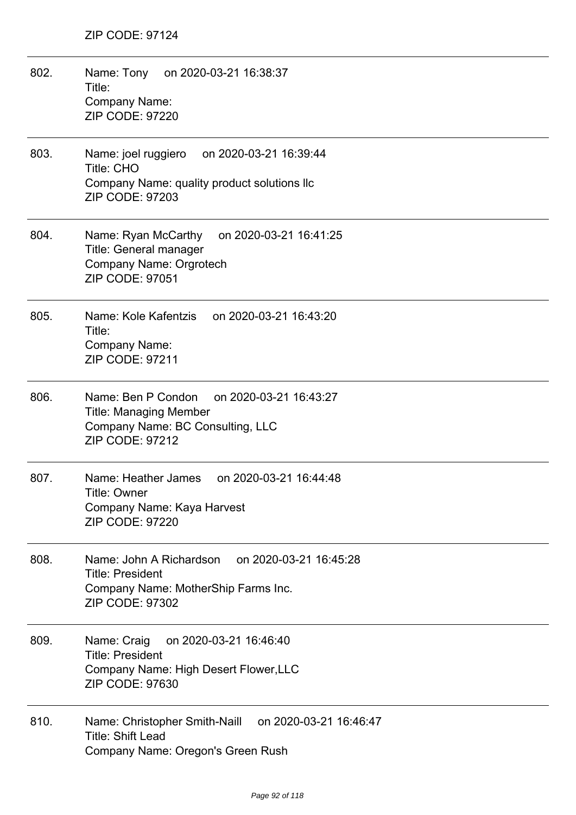802. Name: Tony on 2020-03-21 16:38:37 Title: Company Name: ZIP CODE: 97220 803. Name: joel ruggiero on 2020-03-21 16:39:44 Title: CHO Company Name: quality product solutions llc ZIP CODE: 97203 804. Name: Ryan McCarthy on 2020-03-21 16:41:25 Title: General manager Company Name: Orgrotech ZIP CODE: 97051 805. Name: Kole Kafentzis on 2020-03-21 16:43:20 Title: Company Name: ZIP CODE: 97211 806. Name: Ben P Condon on 2020-03-21 16:43:27 Title: Managing Member Company Name: BC Consulting, LLC ZIP CODE: 97212 807. Name: Heather James on 2020-03-21 16:44:48 Title: Owner Company Name: Kaya Harvest ZIP CODE: 97220 808. Name: John A Richardson on 2020-03-21 16:45:28 Title: President Company Name: MotherShip Farms Inc. ZIP CODE: 97302 809. Name: Craig on 2020-03-21 16:46:40 Title: President Company Name: High Desert Flower,LLC ZIP CODE: 97630 810. Name: Christopher Smith-Naill on 2020-03-21 16:46:47 Title: Shift Lead Company Name: Oregon's Green Rush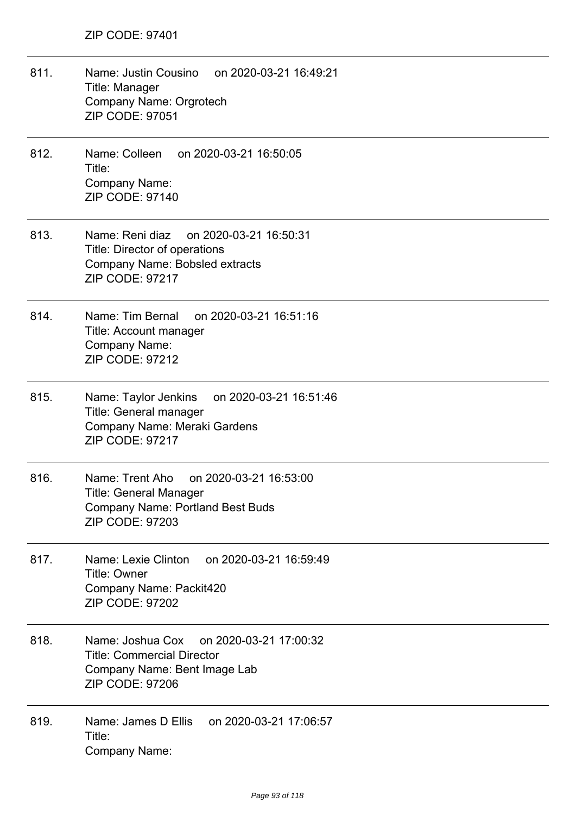- 811. Name: Justin Cousino on 2020-03-21 16:49:21 Title: Manager Company Name: Orgrotech ZIP CODE: 97051
- 812. Name: Colleen on 2020-03-21 16:50:05 Title: Company Name: ZIP CODE: 97140
- 813. Name: Reni diaz on 2020-03-21 16:50:31 Title: Director of operations Company Name: Bobsled extracts ZIP CODE: 97217
- 814. Name: Tim Bernal on 2020-03-21 16:51:16 Title: Account manager Company Name: ZIP CODE: 97212
- 815. Name: Taylor Jenkins on 2020-03-21 16:51:46 Title: General manager Company Name: Meraki Gardens ZIP CODE: 97217
- 816. Name: Trent Aho on 2020-03-21 16:53:00 Title: General Manager Company Name: Portland Best Buds ZIP CODE: 97203
- 817. Name: Lexie Clinton on 2020-03-21 16:59:49 Title: Owner Company Name: Packit420 ZIP CODE: 97202
- 818. Name: Joshua Cox on 2020-03-21 17:00:32 Title: Commercial Director Company Name: Bent Image Lab ZIP CODE: 97206
- 819. Name: James D Ellis on 2020-03-21 17:06:57 Title: Company Name: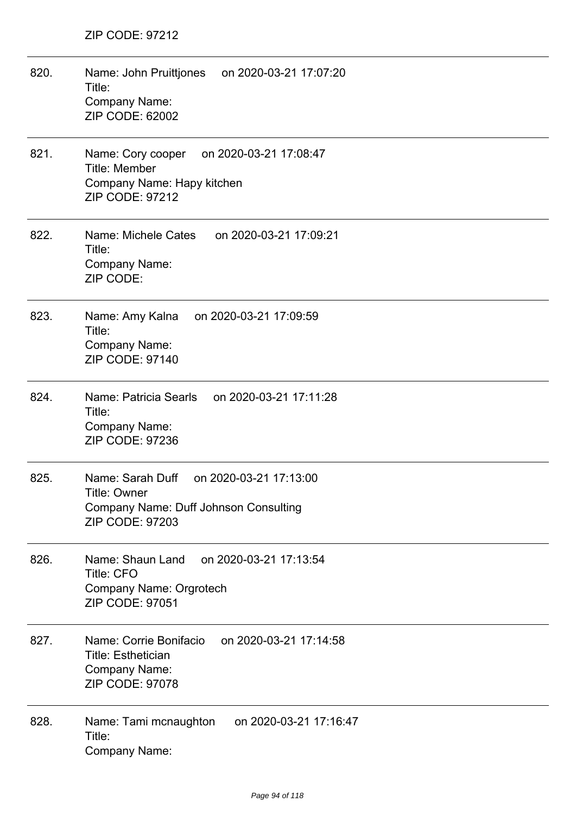| 820. | Name: John Pruittjones<br>on 2020-03-21 17:07:20<br>Title:<br>Company Name:<br>ZIP CODE: 62002                                       |
|------|--------------------------------------------------------------------------------------------------------------------------------------|
| 821. | Name: Cory cooper on 2020-03-21 17:08:47<br>Title: Member<br>Company Name: Hapy kitchen<br><b>ZIP CODE: 97212</b>                    |
| 822. | Name: Michele Cates<br>on 2020-03-21 17:09:21<br>Title:<br><b>Company Name:</b><br>ZIP CODE:                                         |
| 823. | Name: Amy Kalna<br>on 2020-03-21 17:09:59<br>Title:<br>Company Name:<br>ZIP CODE: 97140                                              |
| 824. | Name: Patricia Searls<br>on 2020-03-21 17:11:28<br>Title:<br>Company Name:<br>ZIP CODE: 97236                                        |
| 825. | Name: Sarah Duff<br>on 2020-03-21 17:13:00<br>Title: Owner<br><b>Company Name: Duff Johnson Consulting</b><br><b>ZIP CODE: 97203</b> |
| 826. | Name: Shaun Land<br>on 2020-03-21 17:13:54<br><b>Title: CFO</b><br>Company Name: Orgrotech<br>ZIP CODE: 97051                        |
| 827. | Name: Corrie Bonifacio<br>on 2020-03-21 17:14:58<br><b>Title: Esthetician</b><br><b>Company Name:</b><br><b>ZIP CODE: 97078</b>      |
| 828. | on 2020-03-21 17:16:47<br>Name: Tami mcnaughton<br>Title:<br><b>Company Name:</b>                                                    |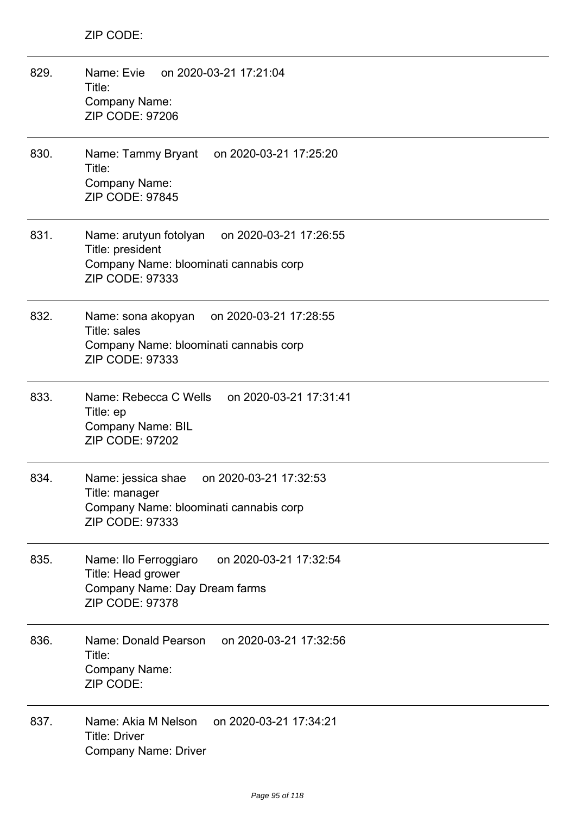| 829. | Name: Evie<br>on 2020-03-21 17:21:04<br>Title:<br><b>Company Name:</b><br><b>ZIP CODE: 97206</b>                                         |
|------|------------------------------------------------------------------------------------------------------------------------------------------|
| 830. | Name: Tammy Bryant<br>on 2020-03-21 17:25:20<br>Title:<br>Company Name:<br><b>ZIP CODE: 97845</b>                                        |
| 831. | Name: arutyun fotolyan<br>on 2020-03-21 17:26:55<br>Title: president<br>Company Name: bloominati cannabis corp<br><b>ZIP CODE: 97333</b> |
| 832. | on 2020-03-21 17:28:55<br>Name: sona akopyan<br>Title: sales<br>Company Name: bloominati cannabis corp<br>ZIP CODE: 97333                |
| 833. | Name: Rebecca C Wells on 2020-03-21 17:31:41<br>Title: ep<br><b>Company Name: BIL</b><br><b>ZIP CODE: 97202</b>                          |
| 834. | Name: jessica shae<br>on 2020-03-21 17:32:53<br>Title: manager<br>Company Name: bloominati cannabis corp<br><b>ZIP CODE: 97333</b>       |
| 835. | on 2020-03-21 17:32:54<br>Name: Ilo Ferroggiaro<br>Title: Head grower<br>Company Name: Day Dream farms<br><b>ZIP CODE: 97378</b>         |
| 836. | Name: Donald Pearson<br>on 2020-03-21 17:32:56<br>Title:<br>Company Name:<br>ZIP CODE:                                                   |
| 837. | on 2020-03-21 17:34:21<br>Name: Akia M Nelson<br><b>Title: Driver</b><br><b>Company Name: Driver</b>                                     |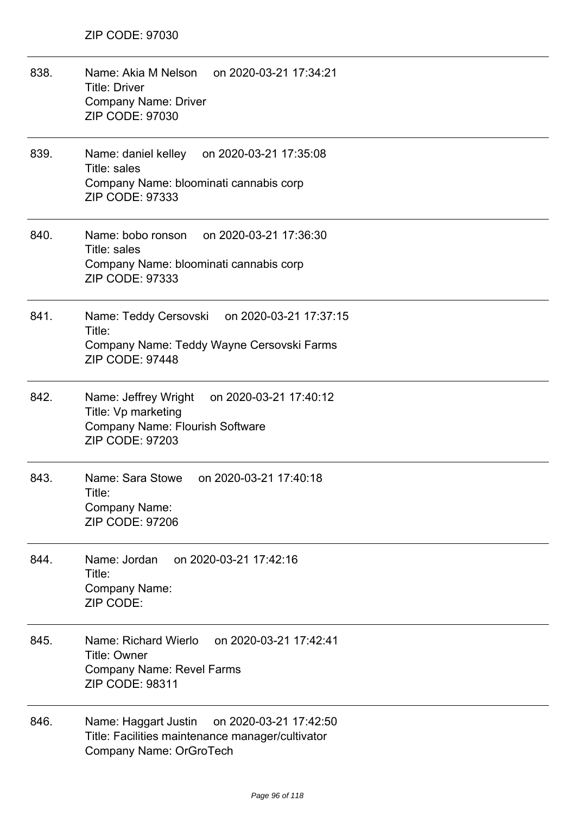| 838. | Name: Akia M Nelson on 2020-03-21 17:34:21<br><b>Title: Driver</b><br><b>Company Name: Driver</b><br>ZIP CODE: 97030                   |
|------|----------------------------------------------------------------------------------------------------------------------------------------|
| 839. | Name: daniel kelley on 2020-03-21 17:35:08<br>Title: sales<br>Company Name: bloominati cannabis corp<br>ZIP CODE: 97333                |
| 840. | Name: bobo ronson on 2020-03-21 17:36:30<br>Title: sales<br>Company Name: bloominati cannabis corp<br>ZIP CODE: 97333                  |
| 841. | Name: Teddy Cersovski on 2020-03-21 17:37:15<br>Title:<br>Company Name: Teddy Wayne Cersovski Farms<br><b>ZIP CODE: 97448</b>          |
| 842. | Name: Jeffrey Wright on 2020-03-21 17:40:12<br>Title: Vp marketing<br><b>Company Name: Flourish Software</b><br><b>ZIP CODE: 97203</b> |
| 843. | Name: Sara Stowe<br>on 2020-03-21 17:40:18<br>Title:<br>Company Name:<br><b>ZIP CODE: 97206</b>                                        |
| 844. | on 2020-03-21 17:42:16<br>Name: Jordan<br>Title:<br><b>Company Name:</b><br>ZIP CODE:                                                  |
| 845. | on 2020-03-21 17:42:41<br>Name: Richard Wierlo<br><b>Title: Owner</b><br>Company Name: Revel Farms<br><b>ZIP CODE: 98311</b>           |
| 846. | on 2020-03-21 17:42:50<br>Name: Haggart Justin<br>Title: Facilities maintenance manager/cultivator<br>Company Name: OrGroTech          |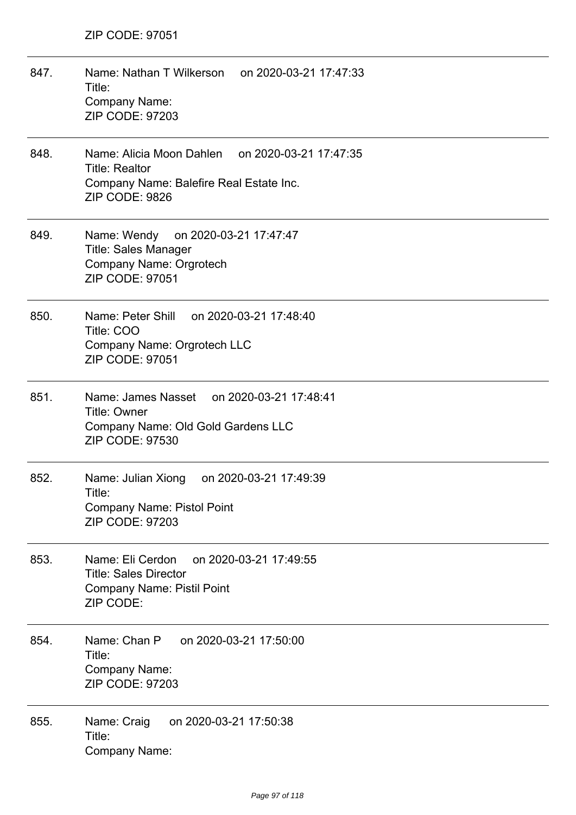| 847. | Name: Nathan T Wilkerson on 2020-03-21 17:47:33<br>Title:<br><b>Company Name:</b><br><b>ZIP CODE: 97203</b>                              |
|------|------------------------------------------------------------------------------------------------------------------------------------------|
| 848. | Name: Alicia Moon Dahlen<br>on 2020-03-21 17:47:35<br><b>Title: Realtor</b><br>Company Name: Balefire Real Estate Inc.<br>ZIP CODE: 9826 |
| 849. | Name: Wendy on 2020-03-21 17:47:47<br><b>Title: Sales Manager</b><br>Company Name: Orgrotech<br><b>ZIP CODE: 97051</b>                   |
| 850. | Name: Peter Shill on 2020-03-21 17:48:40<br>Title: COO<br>Company Name: Orgrotech LLC<br>ZIP CODE: 97051                                 |
| 851. | Name: James Nasset on 2020-03-21 17:48:41<br><b>Title: Owner</b><br>Company Name: Old Gold Gardens LLC<br>ZIP CODE: 97530                |
| 852. | on 2020-03-21 17:49:39<br>Name: Julian Xiong<br>Title:<br><b>Company Name: Pistol Point</b><br><b>ZIP CODE: 97203</b>                    |
| 853. | on 2020-03-21 17:49:55<br>Name: Eli Cerdon<br><b>Title: Sales Director</b><br><b>Company Name: Pistil Point</b><br>ZIP CODE:             |
| 854. | Name: Chan P<br>on 2020-03-21 17:50:00<br>Title:<br>Company Name:<br><b>ZIP CODE: 97203</b>                                              |
| 855. | on 2020-03-21 17:50:38<br>Name: Craig<br>Title:<br><b>Company Name:</b>                                                                  |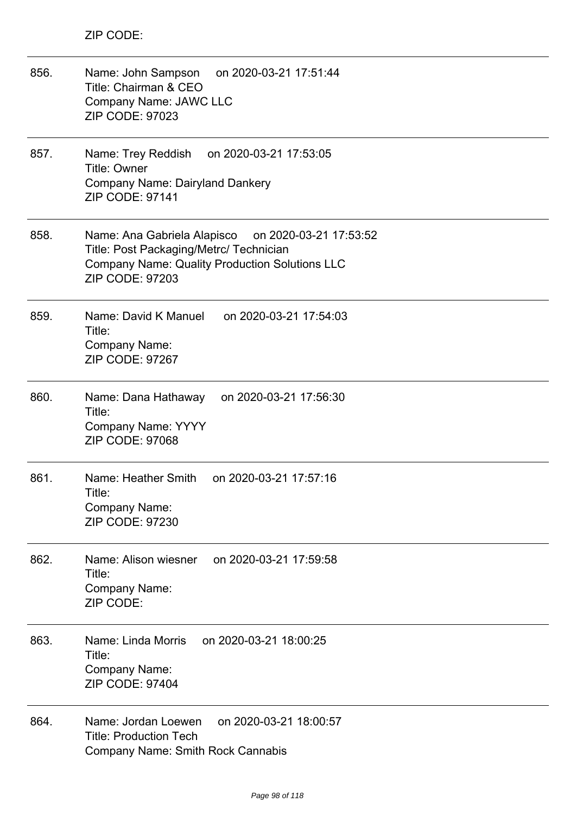| 856. | Name: John Sampson<br>on 2020-03-21 17:51:44<br>Title: Chairman & CEO<br>Company Name: JAWC LLC<br><b>ZIP CODE: 97023</b>                                                           |
|------|-------------------------------------------------------------------------------------------------------------------------------------------------------------------------------------|
| 857. | Name: Trey Reddish<br>on 2020-03-21 17:53:05<br>Title: Owner<br>Company Name: Dairyland Dankery<br>ZIP CODE: 97141                                                                  |
| 858. | Name: Ana Gabriela Alapisco<br>on 2020-03-21 17:53:52<br>Title: Post Packaging/Metrc/ Technician<br><b>Company Name: Quality Production Solutions LLC</b><br><b>ZIP CODE: 97203</b> |
| 859. | Name: David K Manuel<br>on 2020-03-21 17:54:03<br>Title:<br>Company Name:<br><b>ZIP CODE: 97267</b>                                                                                 |
| 860. | Name: Dana Hathaway<br>on 2020-03-21 17:56:30<br>Title:<br><b>Company Name: YYYY</b><br><b>ZIP CODE: 97068</b>                                                                      |
| 861. | Name: Heather Smith<br>on 2020-03-21 17:57:16<br>Title:<br>Company Name:<br>ZIP CODE: 97230                                                                                         |
| 862. | on 2020-03-21 17:59:58<br>Name: Alison wiesner<br>Title:<br><b>Company Name:</b><br>ZIP CODE:                                                                                       |
| 863. | on 2020-03-21 18:00:25<br>Name: Linda Morris<br>Title:<br>Company Name:<br><b>ZIP CODE: 97404</b>                                                                                   |
| 864. | Name: Jordan Loewen<br>on 2020-03-21 18:00:57<br><b>Title: Production Tech</b><br><b>Company Name: Smith Rock Cannabis</b>                                                          |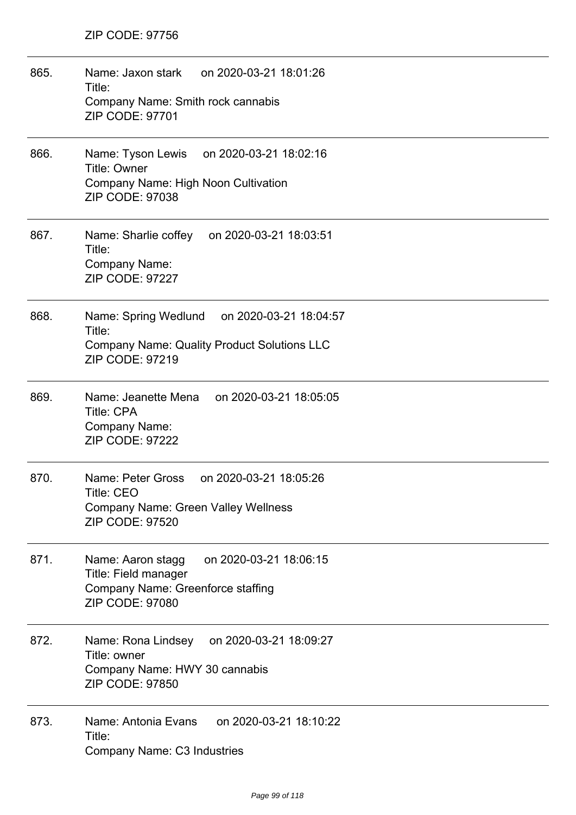| 865. | Name: Jaxon stark on 2020-03-21 18:01:26<br>Title:<br>Company Name: Smith rock cannabis<br>ZIP CODE: 97701                         |
|------|------------------------------------------------------------------------------------------------------------------------------------|
| 866. | Name: Tyson Lewis on 2020-03-21 18:02:16<br>Title: Owner<br>Company Name: High Noon Cultivation<br>ZIP CODE: 97038                 |
| 867. | Name: Sharlie coffey on 2020-03-21 18:03:51<br>Title:<br>Company Name:<br><b>ZIP CODE: 97227</b>                                   |
| 868. | Name: Spring Wedlund on 2020-03-21 18:04:57<br>Title:<br><b>Company Name: Quality Product Solutions LLC</b><br>ZIP CODE: 97219     |
| 869. | Name: Jeanette Mena on 2020-03-21 18:05:05<br><b>Title: CPA</b><br>Company Name:<br><b>ZIP CODE: 97222</b>                         |
| 870. | on 2020-03-21 18:05:26<br>Name: Peter Gross<br>Title: CEO<br><b>Company Name: Green Valley Wellness</b><br><b>ZIP CODE: 97520</b>  |
| 871. | on 2020-03-21 18:06:15<br>Name: Aaron stagg<br>Title: Field manager<br>Company Name: Greenforce staffing<br><b>ZIP CODE: 97080</b> |
| 872. | on 2020-03-21 18:09:27<br>Name: Rona Lindsey<br>Title: owner<br>Company Name: HWY 30 cannabis<br><b>ZIP CODE: 97850</b>            |
| 873. | Name: Antonia Evans<br>on 2020-03-21 18:10:22<br>Title:<br>Company Name: C3 Industries                                             |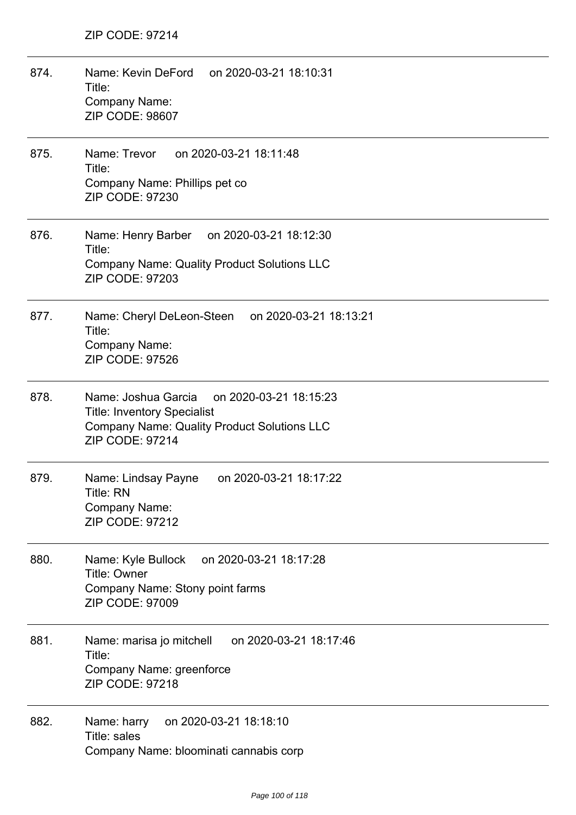| 874. | Name: Kevin DeFord on 2020-03-21 18:10:31<br>Title:<br>Company Name:<br><b>ZIP CODE: 98607</b>                                                                      |
|------|---------------------------------------------------------------------------------------------------------------------------------------------------------------------|
| 875. | Name: Trevor on 2020-03-21 18:11:48<br>Title:<br>Company Name: Phillips pet co<br>ZIP CODE: 97230                                                                   |
| 876. | Name: Henry Barber on 2020-03-21 18:12:30<br>Title:<br><b>Company Name: Quality Product Solutions LLC</b><br><b>ZIP CODE: 97203</b>                                 |
| 877. | Name: Cheryl DeLeon-Steen on 2020-03-21 18:13:21<br>Title:<br>Company Name:<br><b>ZIP CODE: 97526</b>                                                               |
| 878. | Name: Joshua Garcia<br>on 2020-03-21 18:15:23<br><b>Title: Inventory Specialist</b><br><b>Company Name: Quality Product Solutions LLC</b><br><b>ZIP CODE: 97214</b> |
| 879. | Name: Lindsay Payne<br>on 2020-03-21 18:17:22<br>Title: RN<br><b>Company Name:</b><br><b>ZIP CODE: 97212</b>                                                        |
| 880. | on 2020-03-21 18:17:28<br>Name: Kyle Bullock<br>Title: Owner<br>Company Name: Stony point farms<br><b>ZIP CODE: 97009</b>                                           |
| 881. | on 2020-03-21 18:17:46<br>Name: marisa jo mitchell<br>Title:<br>Company Name: greenforce<br>ZIP CODE: 97218                                                         |
| 882. | on 2020-03-21 18:18:10<br>Name: harry<br>Title: sales<br>Company Name: bloominati cannabis corp                                                                     |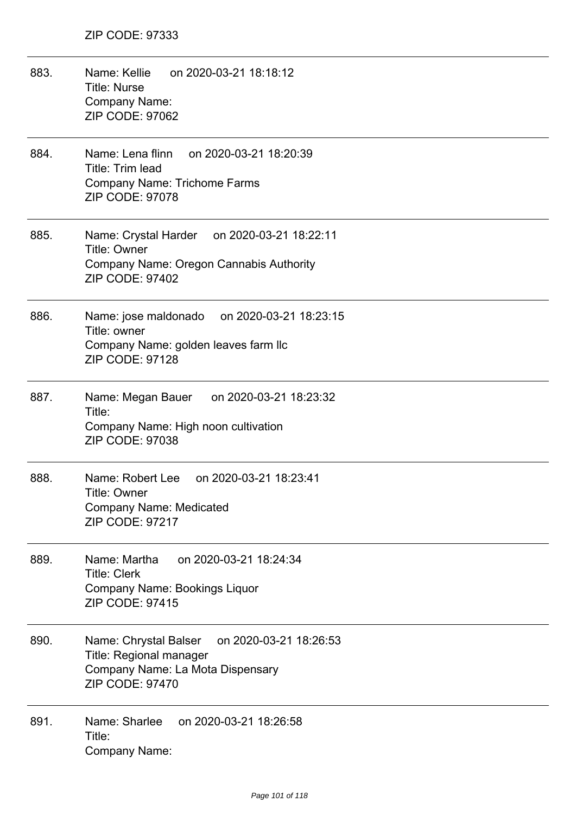883. Name: Kellie on 2020-03-21 18:18:12 Title: Nurse Company Name: ZIP CODE: 97062 884. Name: Lena flinn on 2020-03-21 18:20:39 Title: Trim lead Company Name: Trichome Farms ZIP CODE: 97078 885. Name: Crystal Harder on 2020-03-21 18:22:11 Title: Owner Company Name: Oregon Cannabis Authority ZIP CODE: 97402 886. Name: jose maldonado on 2020-03-21 18:23:15 Title: owner Company Name: golden leaves farm llc ZIP CODE: 97128 887. Name: Megan Bauer on 2020-03-21 18:23:32 Title: Company Name: High noon cultivation ZIP CODE: 97038 888. Name: Robert Lee on 2020-03-21 18:23:41 Title: Owner Company Name: Medicated ZIP CODE: 97217 889. Name: Martha on 2020-03-21 18:24:34 Title: Clerk Company Name: Bookings Liquor ZIP CODE: 97415 890. Name: Chrystal Balser on 2020-03-21 18:26:53 Title: Regional manager Company Name: La Mota Dispensary ZIP CODE: 97470 891. Name: Sharlee on 2020-03-21 18:26:58 Title: Company Name: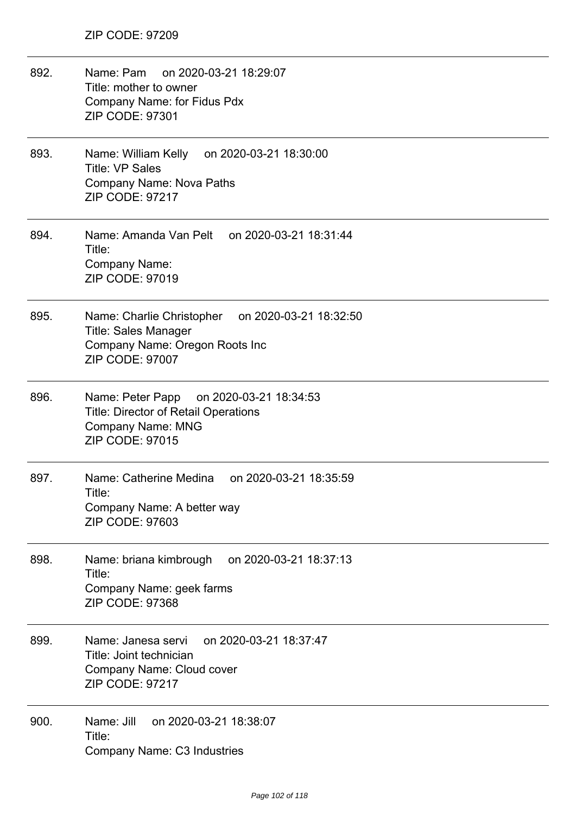| 892. | Name: Pam<br>on 2020-03-21 18:29:07<br>Title: mother to owner<br>Company Name: for Fidus Pdx<br>ZIP CODE: 97301                                 |
|------|-------------------------------------------------------------------------------------------------------------------------------------------------|
| 893. | Name: William Kelly on 2020-03-21 18:30:00<br><b>Title: VP Sales</b><br><b>Company Name: Nova Paths</b><br><b>ZIP CODE: 97217</b>               |
| 894. | Name: Amanda Van Pelt on 2020-03-21 18:31:44<br>Title:<br><b>Company Name:</b><br>ZIP CODE: 97019                                               |
| 895. | Name: Charlie Christopher<br>on 2020-03-21 18:32:50<br><b>Title: Sales Manager</b><br>Company Name: Oregon Roots Inc<br><b>ZIP CODE: 97007</b>  |
| 896. | on 2020-03-21 18:34:53<br>Name: Peter Papp<br><b>Title: Director of Retail Operations</b><br><b>Company Name: MNG</b><br><b>ZIP CODE: 97015</b> |
| 897. | Name: Catherine Medina on 2020-03-21 18:35:59<br>Title:<br>Company Name: A better way<br><b>ZIP CODE: 97603</b>                                 |
| 898. | on 2020-03-21 18:37:13<br>Name: briana kimbrough<br>Title:<br>Company Name: geek farms<br>ZIP CODE: 97368                                       |
| 899. | Name: Janesa servi<br>on 2020-03-21 18:37:47<br>Title: Joint technician<br>Company Name: Cloud cover<br><b>ZIP CODE: 97217</b>                  |
| 900. | Name: Jill<br>on 2020-03-21 18:38:07<br>Title:<br>Company Name: C3 Industries                                                                   |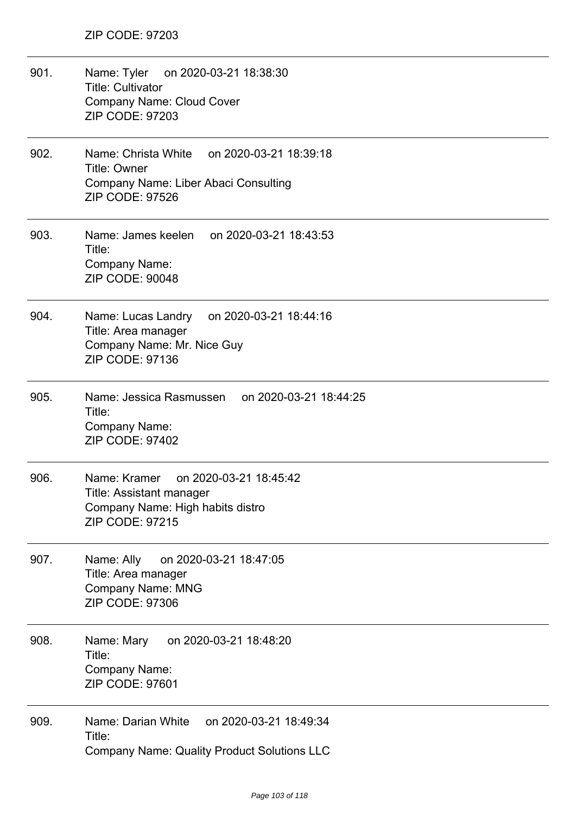| 901. | Name: Tyler on 2020-03-21 18:38:30<br><b>Title: Cultivator</b><br><b>Company Name: Cloud Cover</b><br><b>ZIP CODE: 97203</b>    |
|------|---------------------------------------------------------------------------------------------------------------------------------|
| 902. | on 2020-03-21 18:39:18<br>Name: Christa White<br>Title: Owner<br>Company Name: Liber Abaci Consulting<br><b>ZIP CODE: 97526</b> |
| 903. | Name: James keelen<br>on 2020-03-21 18:43:53<br>Title:<br>Company Name:<br><b>ZIP CODE: 90048</b>                               |
| 904. | Name: Lucas Landry<br>on 2020-03-21 18:44:16<br>Title: Area manager<br>Company Name: Mr. Nice Guy<br>ZIP CODE: 97136            |
| 905. | Name: Jessica Rasmussen<br>on 2020-03-21 18:44:25<br>Title:<br><b>Company Name:</b><br><b>ZIP CODE: 97402</b>                   |
| 906. | Name: Kramer<br>on 2020-03-21 18:45:42<br>Title: Assistant manager<br>Company Name: High habits distro<br>ZIP CODE: 97215       |
| 907. | Name: Ally<br>on 2020-03-21 18:47:05<br>Title: Area manager<br><b>Company Name: MNG</b><br>ZIP CODE: 97306                      |
| 908. | on 2020-03-21 18:48:20<br>Name: Mary<br>Title:<br><b>Company Name:</b><br>ZIP CODE: 97601                                       |
| 909. | Name: Darian White<br>on 2020-03-21 18:49:34<br>Title:<br><b>Company Name: Quality Product Solutions LLC</b>                    |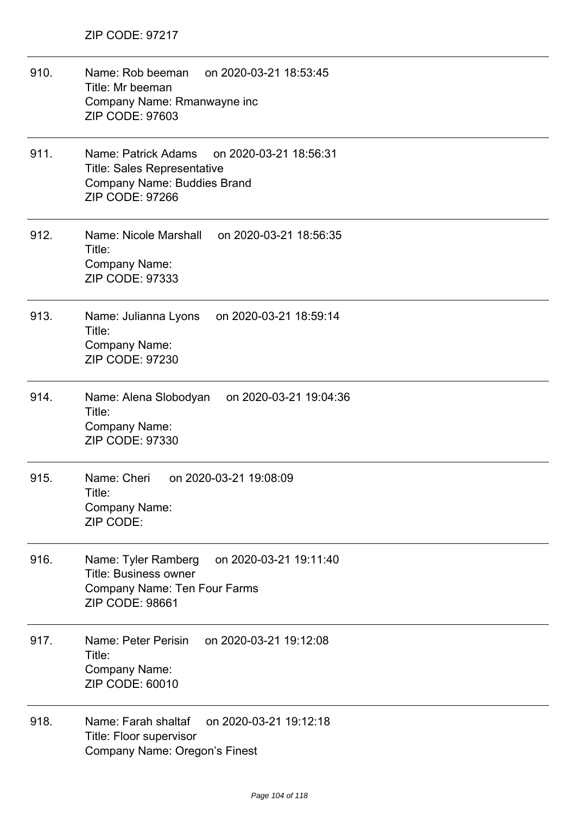| 910. | on 2020-03-21 18:53:45<br>Name: Rob beeman<br>Title: Mr beeman<br>Company Name: Rmanwayne inc<br><b>ZIP CODE: 97603</b>                             |
|------|-----------------------------------------------------------------------------------------------------------------------------------------------------|
| 911. | Name: Patrick Adams<br>on 2020-03-21 18:56:31<br><b>Title: Sales Representative</b><br><b>Company Name: Buddies Brand</b><br><b>ZIP CODE: 97266</b> |
| 912. | Name: Nicole Marshall on 2020-03-21 18:56:35<br>Title:<br>Company Name:<br><b>ZIP CODE: 97333</b>                                                   |
| 913. | Name: Julianna Lyons on 2020-03-21 18:59:14<br>Title:<br>Company Name:<br>ZIP CODE: 97230                                                           |
| 914. | Name: Alena Slobodyan<br>on 2020-03-21 19:04:36<br>Title:<br>Company Name:<br>ZIP CODE: 97330                                                       |
| 915. | Name: Cheri<br>on 2020-03-21 19:08:09<br>Title:<br><b>Company Name:</b><br>ZIP CODE:                                                                |
| 916. | on 2020-03-21 19:11:40<br>Name: Tyler Ramberg<br><b>Title: Business owner</b><br>Company Name: Ten Four Farms<br><b>ZIP CODE: 98661</b>             |
| 917. | on 2020-03-21 19:12:08<br>Name: Peter Perisin<br>Title:<br>Company Name:<br>ZIP CODE: 60010                                                         |
| 918. | Name: Farah shaltaf<br>on 2020-03-21 19:12:18<br>Title: Floor supervisor<br><b>Company Name: Oregon's Finest</b>                                    |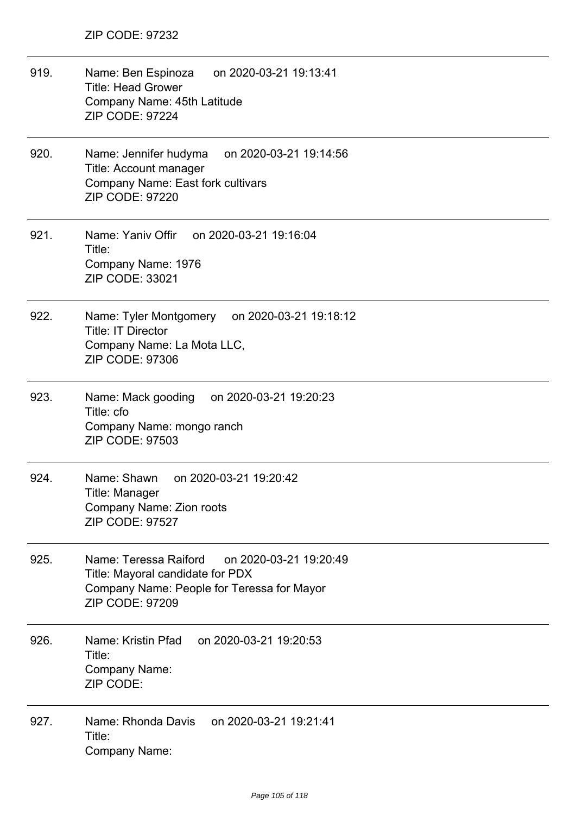919. Name: Ben Espinoza on 2020-03-21 19:13:41 Title: Head Grower Company Name: 45th Latitude ZIP CODE: 97224 920. Name: Jennifer hudyma on 2020-03-21 19:14:56 Title: Account manager Company Name: East fork cultivars ZIP CODE: 97220 921. Name: Yaniv Offir on 2020-03-21 19:16:04 Title: Company Name: 1976 ZIP CODE: 33021 922. Name: Tyler Montgomery on 2020-03-21 19:18:12 Title: IT Director Company Name: La Mota LLC, ZIP CODE: 97306 923. Name: Mack gooding on 2020-03-21 19:20:23 Title: cfo Company Name: mongo ranch ZIP CODE: 97503 924. Name: Shawn on 2020-03-21 19:20:42 Title: Manager Company Name: Zion roots ZIP CODE: 97527 925. Name: Teressa Raiford on 2020-03-21 19:20:49 Title: Mayoral candidate for PDX Company Name: People for Teressa for Mayor ZIP CODE: 97209 926. Name: Kristin Pfad on 2020-03-21 19:20:53 Title: Company Name: ZIP CODE: 927. Name: Rhonda Davis on 2020-03-21 19:21:41 Title: Company Name: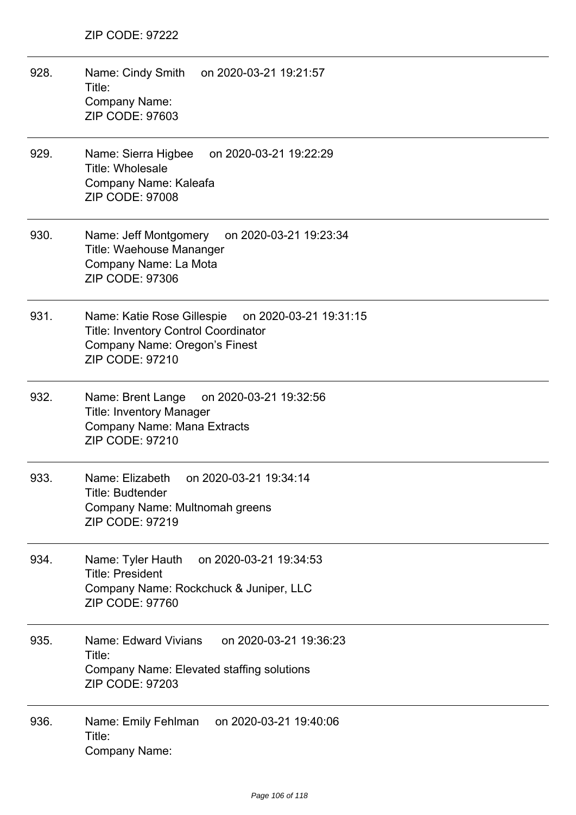- 928. Name: Cindy Smith on 2020-03-21 19:21:57 Title: Company Name: ZIP CODE: 97603
- 929. Name: Sierra Higbee on 2020-03-21 19:22:29 Title: Wholesale Company Name: Kaleafa ZIP CODE: 97008
- 930. Name: Jeff Montgomery on 2020-03-21 19:23:34 Title: Waehouse Mananger Company Name: La Mota ZIP CODE: 97306
- 931. Name: Katie Rose Gillespie on 2020-03-21 19:31:15 Title: Inventory Control Coordinator Company Name: Oregon's Finest ZIP CODE: 97210
- 932. Name: Brent Lange on 2020-03-21 19:32:56 Title: Inventory Manager Company Name: Mana Extracts ZIP CODE: 97210
- 933. Name: Elizabeth on 2020-03-21 19:34:14 Title: Budtender Company Name: Multnomah greens ZIP CODE: 97219
- 934. Name: Tyler Hauth on 2020-03-21 19:34:53 Title: President Company Name: Rockchuck & Juniper, LLC ZIP CODE: 97760
- 935. Name: Edward Vivians on 2020-03-21 19:36:23 Title: Company Name: Elevated staffing solutions ZIP CODE: 97203
- 936. Name: Emily Fehlman on 2020-03-21 19:40:06 Title: Company Name: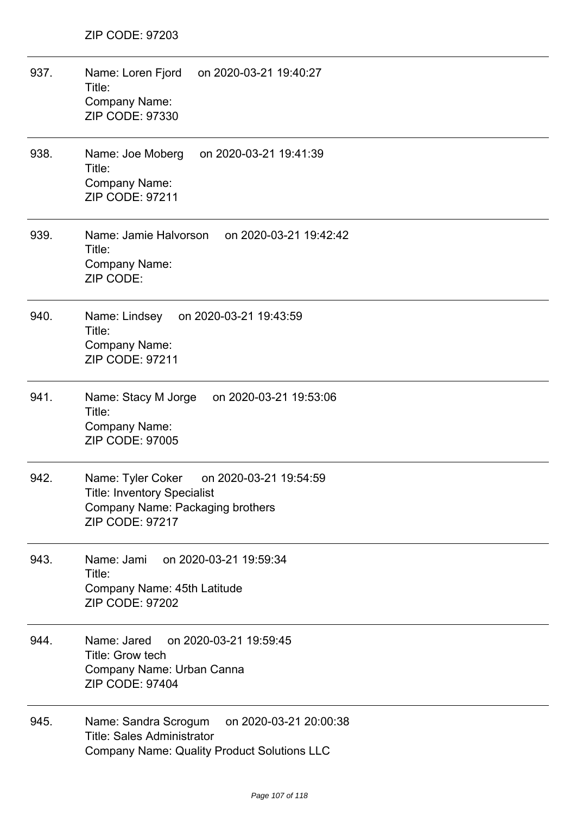| 937. | Name: Loren Fjord<br>on 2020-03-21 19:40:27<br>Title:<br>Company Name:<br>ZIP CODE: 97330                                                    |
|------|----------------------------------------------------------------------------------------------------------------------------------------------|
| 938. | Name: Joe Moberg<br>on 2020-03-21 19:41:39<br>Title:<br>Company Name:<br><b>ZIP CODE: 97211</b>                                              |
| 939. | Name: Jamie Halvorson<br>on 2020-03-21 19:42:42<br>Title:<br><b>Company Name:</b><br>ZIP CODE:                                               |
| 940. | Name: Lindsey on 2020-03-21 19:43:59<br>Title:<br><b>Company Name:</b><br><b>ZIP CODE: 97211</b>                                             |
| 941. | Name: Stacy M Jorge<br>on 2020-03-21 19:53:06<br>Title:<br>Company Name:<br>ZIP CODE: 97005                                                  |
| 942. | Name: Tyler Coker on 2020-03-21 19:54:59<br><b>Title: Inventory Specialist</b><br>Company Name: Packaging brothers<br><b>ZIP CODE: 97217</b> |
| 943. | Name: Jami on 2020-03-21 19:59:34<br>Title:<br>Company Name: 45th Latitude<br><b>ZIP CODE: 97202</b>                                         |
| 944. | Name: Jared<br>on 2020-03-21 19:59:45<br>Title: Grow tech<br>Company Name: Urban Canna<br><b>ZIP CODE: 97404</b>                             |
| 945. | Name: Sandra Scrogum<br>on 2020-03-21 20:00:38<br><b>Title: Sales Administrator</b><br><b>Company Name: Quality Product Solutions LLC</b>    |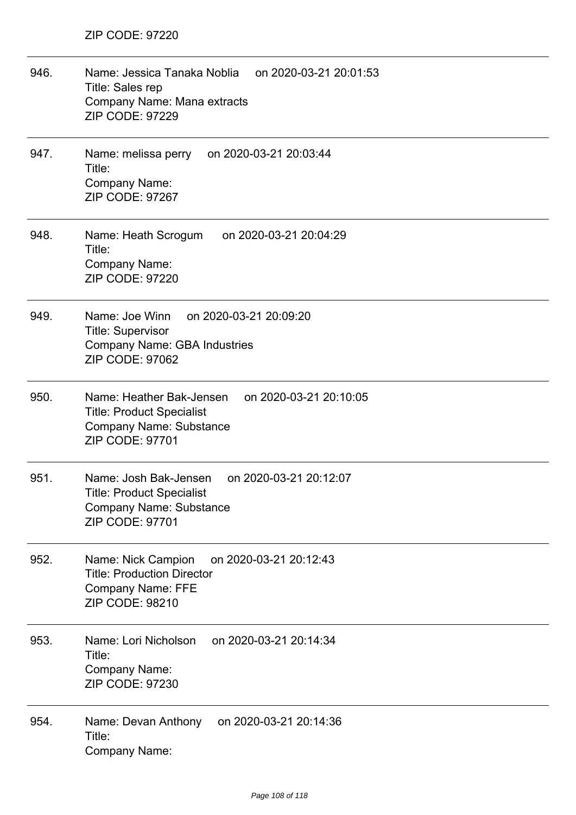| 946. | Name: Jessica Tanaka Noblia on 2020-03-21 20:01:53<br>Title: Sales rep<br>Company Name: Mana extracts<br><b>ZIP CODE: 97229</b>                 |
|------|-------------------------------------------------------------------------------------------------------------------------------------------------|
| 947. | Name: melissa perry<br>on 2020-03-21 20:03:44<br>Title:<br>Company Name:<br>ZIP CODE: 97267                                                     |
| 948. | Name: Heath Scrogum<br>on 2020-03-21 20:04:29<br>Title:<br>Company Name:<br><b>ZIP CODE: 97220</b>                                              |
| 949. | Name: Joe Winn<br>on 2020-03-21 20:09:20<br><b>Title: Supervisor</b><br><b>Company Name: GBA Industries</b><br><b>ZIP CODE: 97062</b>           |
| 950. | Name: Heather Bak-Jensen on 2020-03-21 20:10:05<br><b>Title: Product Specialist</b><br><b>Company Name: Substance</b><br>ZIP CODE: 97701        |
| 951. | Name: Josh Bak-Jensen<br>on 2020-03-21 20:12:07<br><b>Title: Product Specialist</b><br><b>Company Name: Substance</b><br><b>ZIP CODE: 97701</b> |
| 952. | on 2020-03-21 20:12:43<br>Name: Nick Campion<br><b>Title: Production Director</b><br><b>Company Name: FFE</b><br><b>ZIP CODE: 98210</b>         |
| 953. | Name: Lori Nicholson<br>on 2020-03-21 20:14:34<br>Title:<br>Company Name:<br>ZIP CODE: 97230                                                    |
| 954. | on 2020-03-21 20:14:36<br>Name: Devan Anthony<br>Title:<br><b>Company Name:</b>                                                                 |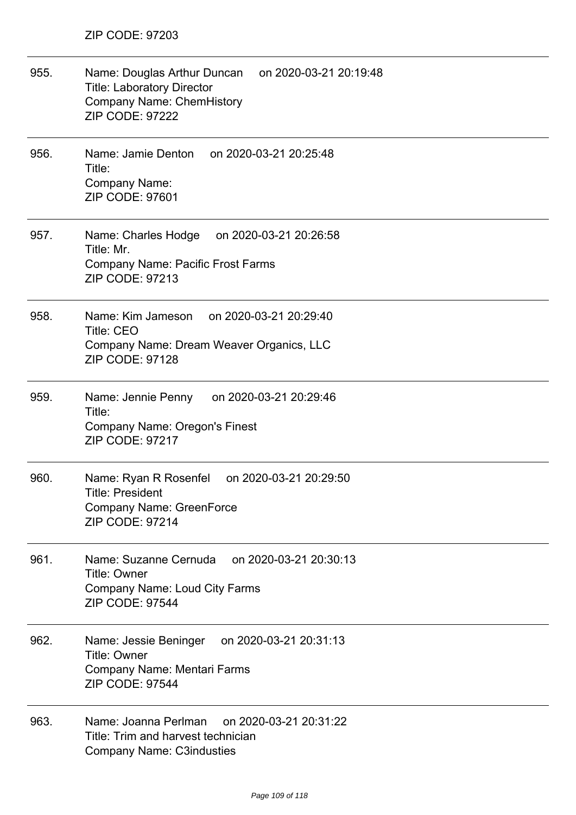| 955. | Name: Douglas Arthur Duncan on 2020-03-21 20:19:48<br><b>Title: Laboratory Director</b><br><b>Company Name: ChemHistory</b><br><b>ZIP CODE: 97222</b> |
|------|-------------------------------------------------------------------------------------------------------------------------------------------------------|
| 956. | Name: Jamie Denton<br>on 2020-03-21 20:25:48<br>Title:<br><b>Company Name:</b><br><b>ZIP CODE: 97601</b>                                              |
| 957. | Name: Charles Hodge on 2020-03-21 20:26:58<br>Title: Mr.<br><b>Company Name: Pacific Frost Farms</b><br><b>ZIP CODE: 97213</b>                        |
| 958. | Name: Kim Jameson<br>on 2020-03-21 20:29:40<br><b>Title: CEO</b><br>Company Name: Dream Weaver Organics, LLC<br><b>ZIP CODE: 97128</b>                |
| 959. | Name: Jennie Penny<br>on 2020-03-21 20:29:46<br>Title:<br>Company Name: Oregon's Finest<br><b>ZIP CODE: 97217</b>                                     |
| 960. | on 2020-03-21 20:29:50<br>Name: Ryan R Rosenfel<br>Title: President<br><b>Company Name: GreenForce</b><br><b>ZIP CODE: 97214</b>                      |
| 961. | on 2020-03-21 20:30:13<br>Name: Suzanne Cernuda<br><b>Title: Owner</b><br><b>Company Name: Loud City Farms</b><br><b>ZIP CODE: 97544</b>              |
| 962. | on 2020-03-21 20:31:13<br>Name: Jessie Beninger<br>Title: Owner<br>Company Name: Mentari Farms<br><b>ZIP CODE: 97544</b>                              |
| 963. | Name: Joanna Perlman<br>on 2020-03-21 20:31:22<br>Title: Trim and harvest technician<br><b>Company Name: C3industies</b>                              |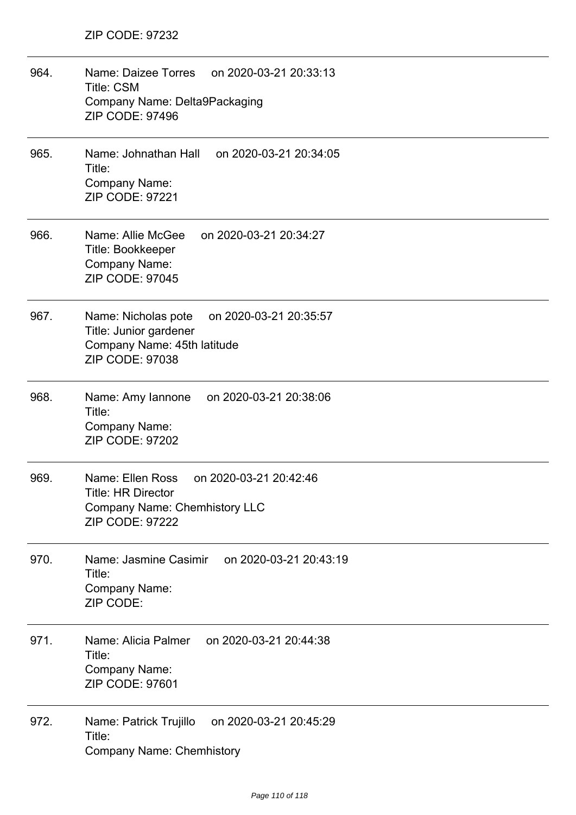| 964. | Name: Daizee Torres<br>on 2020-03-21 20:33:13<br><b>Title: CSM</b><br>Company Name: Delta9Packaging<br><b>ZIP CODE: 97496</b>             |
|------|-------------------------------------------------------------------------------------------------------------------------------------------|
| 965. | Name: Johnathan Hall<br>on 2020-03-21 20:34:05<br>Title:<br><b>Company Name:</b><br><b>ZIP CODE: 97221</b>                                |
| 966. | Name: Allie McGee<br>on 2020-03-21 20:34:27<br>Title: Bookkeeper<br>Company Name:<br><b>ZIP CODE: 97045</b>                               |
| 967. | Name: Nicholas pote<br>on 2020-03-21 20:35:57<br>Title: Junior gardener<br>Company Name: 45th latitude<br><b>ZIP CODE: 97038</b>          |
| 968. | Name: Amy lannone<br>on 2020-03-21 20:38:06<br>Title:<br><b>Company Name:</b><br><b>ZIP CODE: 97202</b>                                   |
| 969. | Name: Ellen Ross<br>on 2020-03-21 20:42:46<br><b>Title: HR Director</b><br><b>Company Name: Chemhistory LLC</b><br><b>ZIP CODE: 97222</b> |
| 970. | Name: Jasmine Casimir<br>on 2020-03-21 20:43:19<br>Title:<br><b>Company Name:</b><br>ZIP CODE:                                            |
| 971. | on 2020-03-21 20:44:38<br>Name: Alicia Palmer<br>Title:<br><b>Company Name:</b><br>ZIP CODE: 97601                                        |
| 972. | on 2020-03-21 20:45:29<br>Name: Patrick Trujillo<br>Title:<br><b>Company Name: Chemhistory</b>                                            |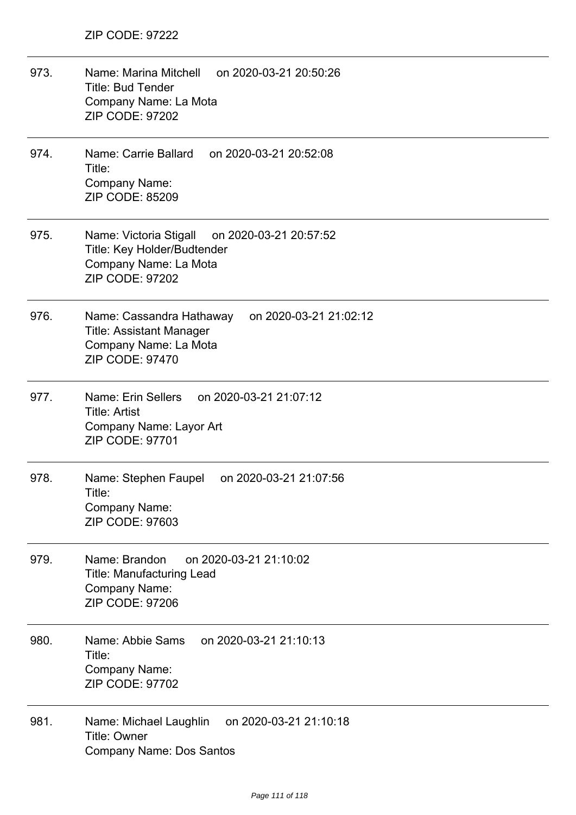- 973. Name: Marina Mitchell on 2020-03-21 20:50:26 Title: Bud Tender Company Name: La Mota ZIP CODE: 97202
- 974. Name: Carrie Ballard on 2020-03-21 20:52:08 Title: Company Name: ZIP CODE: 85209
- 975. Name: Victoria Stigall on 2020-03-21 20:57:52 Title: Key Holder/Budtender Company Name: La Mota ZIP CODE: 97202
- 976. Name: Cassandra Hathaway on 2020-03-21 21:02:12 Title: Assistant Manager Company Name: La Mota ZIP CODE: 97470
- 977. Name: Erin Sellers on 2020-03-21 21:07:12 Title: Artist Company Name: Layor Art ZIP CODE: 97701
- 978. Name: Stephen Faupel on 2020-03-21 21:07:56 Title: Company Name: ZIP CODE: 97603
- 979. Name: Brandon on 2020-03-21 21:10:02 Title: Manufacturing Lead Company Name: ZIP CODE: 97206
- 980. Name: Abbie Sams on 2020-03-21 21:10:13 Title: Company Name: ZIP CODE: 97702
- 981. Name: Michael Laughlin on 2020-03-21 21:10:18 Title: Owner Company Name: Dos Santos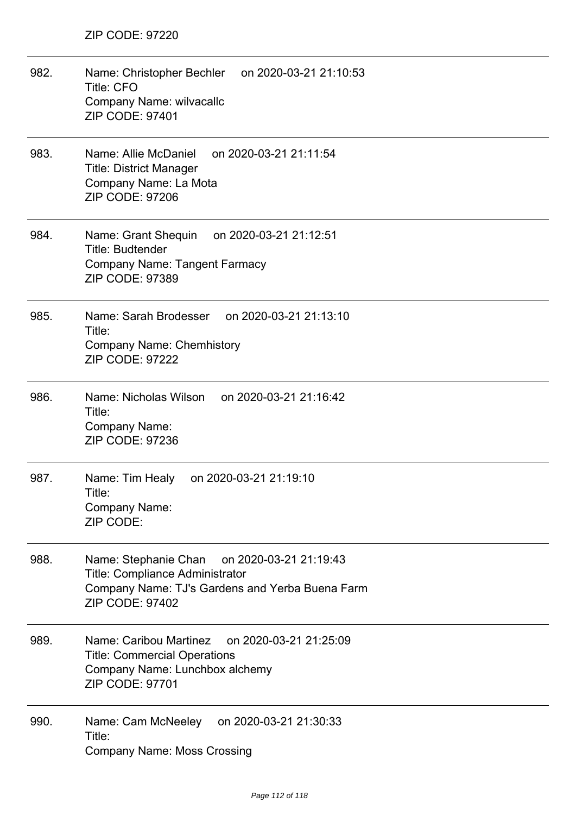| 982. | Name: Christopher Bechler<br>on 2020-03-21 21:10:53<br><b>Title: CFO</b><br>Company Name: wilvacallc<br>ZIP CODE: 97401                                               |
|------|-----------------------------------------------------------------------------------------------------------------------------------------------------------------------|
| 983. | Name: Allie McDaniel<br>on 2020-03-21 21:11:54<br><b>Title: District Manager</b><br>Company Name: La Mota<br><b>ZIP CODE: 97206</b>                                   |
| 984. | Name: Grant Shequin<br>on 2020-03-21 21:12:51<br><b>Title: Budtender</b><br><b>Company Name: Tangent Farmacy</b><br>ZIP CODE: 97389                                   |
| 985. | Name: Sarah Brodesser<br>on 2020-03-21 21:13:10<br>Title:<br><b>Company Name: Chemhistory</b><br><b>ZIP CODE: 97222</b>                                               |
| 986. | Name: Nicholas Wilson<br>on 2020-03-21 21:16:42<br>Title:<br><b>Company Name:</b><br>ZIP CODE: 97236                                                                  |
| 987. | Name: Tim Healy<br>on 2020-03-21 21:19:10<br>Title:<br>Company Name:<br>ZIP CODE:                                                                                     |
| 988. | Name: Stephanie Chan<br>on 2020-03-21 21:19:43<br><b>Title: Compliance Administrator</b><br>Company Name: TJ's Gardens and Yerba Buena Farm<br><b>ZIP CODE: 97402</b> |
| 989. | Name: Caribou Martinez<br>on 2020-03-21 21:25:09<br><b>Title: Commercial Operations</b><br>Company Name: Lunchbox alchemy<br><b>ZIP CODE: 97701</b>                   |
| 990. | on 2020-03-21 21:30:33<br>Name: Cam McNeeley<br>Title:<br><b>Company Name: Moss Crossing</b>                                                                          |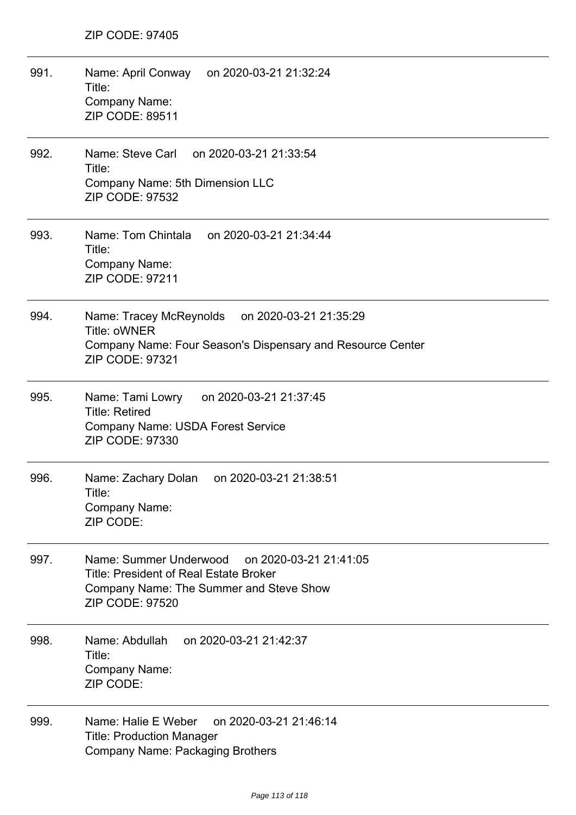| 991. | Name: April Conway on 2020-03-21 21:32:24<br>Title:<br>Company Name:<br><b>ZIP CODE: 89511</b>                                                                  |
|------|-----------------------------------------------------------------------------------------------------------------------------------------------------------------|
| 992. | Name: Steve Carl on 2020-03-21 21:33:54<br>Title:<br>Company Name: 5th Dimension LLC<br><b>ZIP CODE: 97532</b>                                                  |
| 993. | Name: Tom Chintala on 2020-03-21 21:34:44<br>Title:<br>Company Name:<br><b>ZIP CODE: 97211</b>                                                                  |
| 994. | Name: Tracey McReynolds<br>on 2020-03-21 21:35:29<br>Title: oWNER<br>Company Name: Four Season's Dispensary and Resource Center<br>ZIP CODE: 97321              |
| 995. | Name: Tami Lowry<br>on 2020-03-21 21:37:45<br><b>Title: Retired</b><br>Company Name: USDA Forest Service<br>ZIP CODE: 97330                                     |
| 996. | Name: Zachary Dolan<br>on 2020-03-21 21:38:51<br>Title:<br>Company Name:<br>ZIP CODE:                                                                           |
| 997. | Name: Summer Underwood<br>on 2020-03-21 21:41:05<br><b>Title: President of Real Estate Broker</b><br>Company Name: The Summer and Steve Show<br>ZIP CODE: 97520 |
| 998. | on 2020-03-21 21:42:37<br>Name: Abdullah<br>Title:<br>Company Name:<br>ZIP CODE:                                                                                |
| 999. | Name: Halie E Weber<br>on 2020-03-21 21:46:14<br><b>Title: Production Manager</b><br><b>Company Name: Packaging Brothers</b>                                    |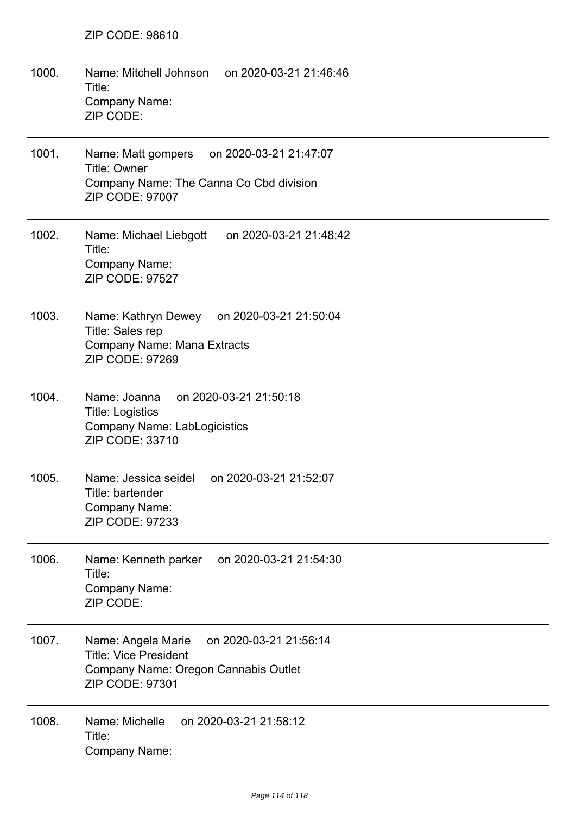| 1000. | Name: Mitchell Johnson<br>on 2020-03-21 21:46:46<br>Title:<br><b>Company Name:</b><br>ZIP CODE:                                                |
|-------|------------------------------------------------------------------------------------------------------------------------------------------------|
| 1001. | Name: Matt gompers<br>on 2020-03-21 21:47:07<br><b>Title: Owner</b><br>Company Name: The Canna Co Cbd division<br><b>ZIP CODE: 97007</b>       |
| 1002. | Name: Michael Liebgott<br>on 2020-03-21 21:48:42<br>Title:<br>Company Name:<br><b>ZIP CODE: 97527</b>                                          |
| 1003. | Name: Kathryn Dewey on 2020-03-21 21:50:04<br>Title: Sales rep<br><b>Company Name: Mana Extracts</b><br>ZIP CODE: 97269                        |
| 1004. | Name: Joanna<br>on 2020-03-21 21:50:18<br><b>Title: Logistics</b><br><b>Company Name: LabLogicistics</b><br>ZIP CODE: 33710                    |
| 1005. | Name: Jessica seidel<br>on 2020-03-21 21:52:07<br>Title: bartender<br>Company Name:<br><b>ZIP CODE: 97233</b>                                  |
| 1006. | on 2020-03-21 21:54:30<br>Name: Kenneth parker<br>Title:<br>Company Name:<br>ZIP CODE:                                                         |
| 1007. | on 2020-03-21 21:56:14<br>Name: Angela Marie<br><b>Title: Vice President</b><br>Company Name: Oregon Cannabis Outlet<br><b>ZIP CODE: 97301</b> |
| 1008. | Name: Michelle<br>on 2020-03-21 21:58:12<br>Title:<br>Company Name:                                                                            |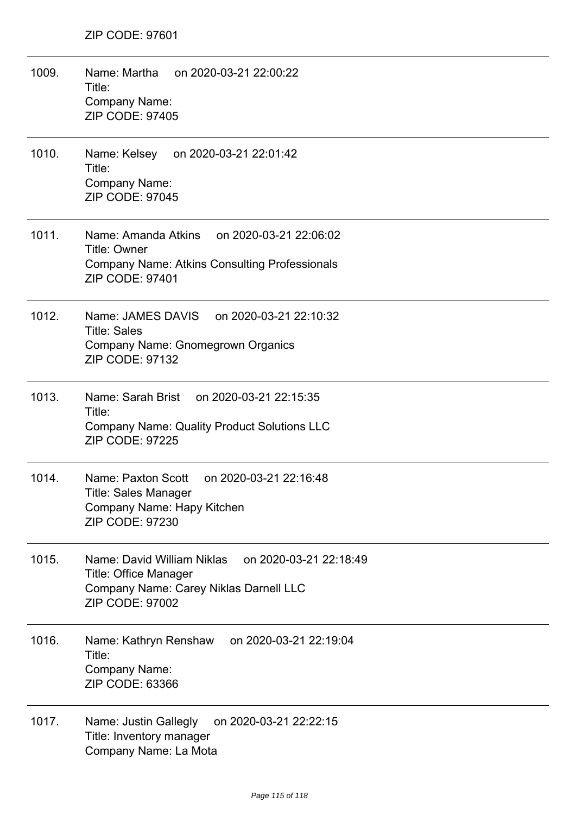1009. Name: Martha on 2020-03-21 22:00:22 Title: Company Name: ZIP CODE: 97405 1010. Name: Kelsey on 2020-03-21 22:01:42 Title: Company Name: ZIP CODE: 97045 1011. Name: Amanda Atkins on 2020-03-21 22:06:02 Title: Owner Company Name: Atkins Consulting Professionals ZIP CODE: 97401 1012. Name: JAMES DAVIS on 2020-03-21 22:10:32 Title: Sales Company Name: Gnomegrown Organics ZIP CODE: 97132 1013. Name: Sarah Brist on 2020-03-21 22:15:35 Title: Company Name: Quality Product Solutions LLC ZIP CODE: 97225 1014. Name: Paxton Scott on 2020-03-21 22:16:48 Title: Sales Manager Company Name: Hapy Kitchen ZIP CODE: 97230 1015. Name: David William Niklas on 2020-03-21 22:18:49 Title: Office Manager Company Name: Carey Niklas Darnell LLC ZIP CODE: 97002 1016. Name: Kathryn Renshaw on 2020-03-21 22:19:04 Title: Company Name: ZIP CODE: 63366 1017. Name: Justin Gallegly on 2020-03-21 22:22:15 Title: Inventory manager Company Name: La Mota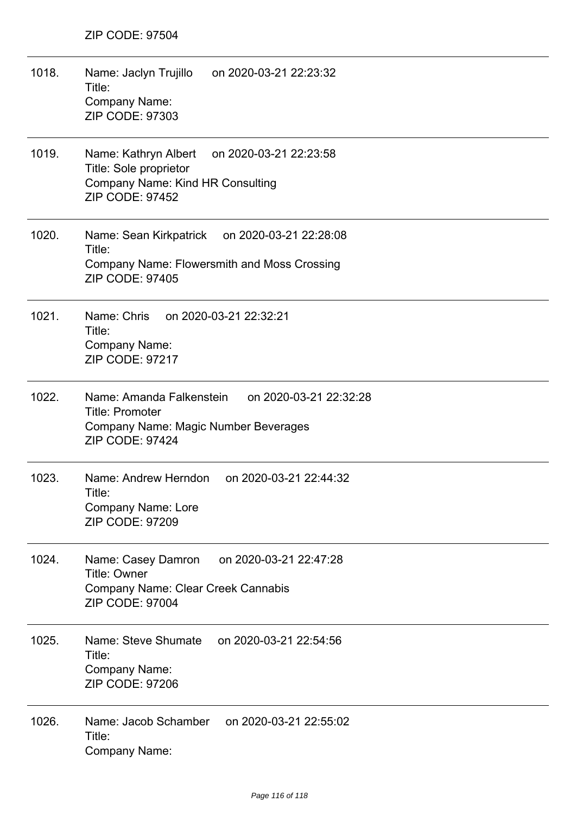| 1018. | Name: Jaclyn Trujillo<br>on 2020-03-21 22:23:32<br>Title:<br>Company Name:<br>ZIP CODE: 97303                                                  |
|-------|------------------------------------------------------------------------------------------------------------------------------------------------|
| 1019. | on 2020-03-21 22:23:58<br>Name: Kathryn Albert<br>Title: Sole proprietor<br>Company Name: Kind HR Consulting<br><b>ZIP CODE: 97452</b>         |
| 1020. | Name: Sean Kirkpatrick on 2020-03-21 22:28:08<br>Title:<br><b>Company Name: Flowersmith and Moss Crossing</b><br><b>ZIP CODE: 97405</b>        |
| 1021. | Name: Chris<br>on 2020-03-21 22:32:21<br>Title:<br>Company Name:<br><b>ZIP CODE: 97217</b>                                                     |
| 1022. | Name: Amanda Falkenstein<br>on 2020-03-21 22:32:28<br><b>Title: Promoter</b><br>Company Name: Magic Number Beverages<br><b>ZIP CODE: 97424</b> |
| 1023. | Name: Andrew Herndon<br>on 2020-03-21 22:44:32<br>Title:<br><b>Company Name: Lore</b><br><b>ZIP CODE: 97209</b>                                |
| 1024. | on 2020-03-21 22:47:28<br>Name: Casey Damron<br><b>Title: Owner</b><br>Company Name: Clear Creek Cannabis<br><b>ZIP CODE: 97004</b>            |
| 1025. | Name: Steve Shumate on 2020-03-21 22:54:56<br>Title:<br>Company Name:<br>ZIP CODE: 97206                                                       |
| 1026. | on 2020-03-21 22:55:02<br>Name: Jacob Schamber<br>Title:<br><b>Company Name:</b>                                                               |